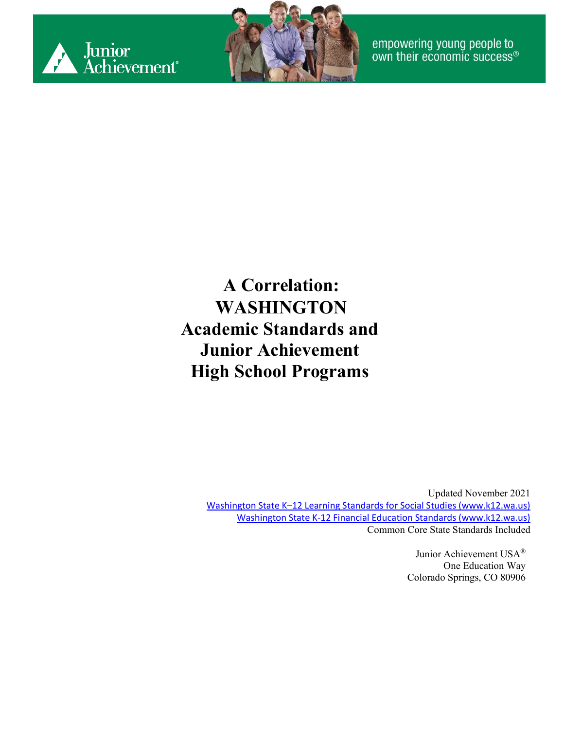



**A Correlation: WASHINGTON Academic Standards and Junior Achievement High School Programs**

> Updated November 2021 [Washington State K–12 Learning Standards for Social Studies \(www.k12.wa.us\)](https://www.k12.wa.us/sites/default/files/public/socialstudies/standards/OSPI_SocStudies_Standards_2019.pdf) [Washington State K-12 Financial Education Standards \(www.k12.wa.us\)](https://www.k12.wa.us/sites/default/files/public/curriculuminstruct/financialeducation/pubdocs/fek-12learningstandardsoct2016.pdf) Common Core State Standards Included

> > Junior Achievement USA® One Education Way Colorado Springs, CO 80906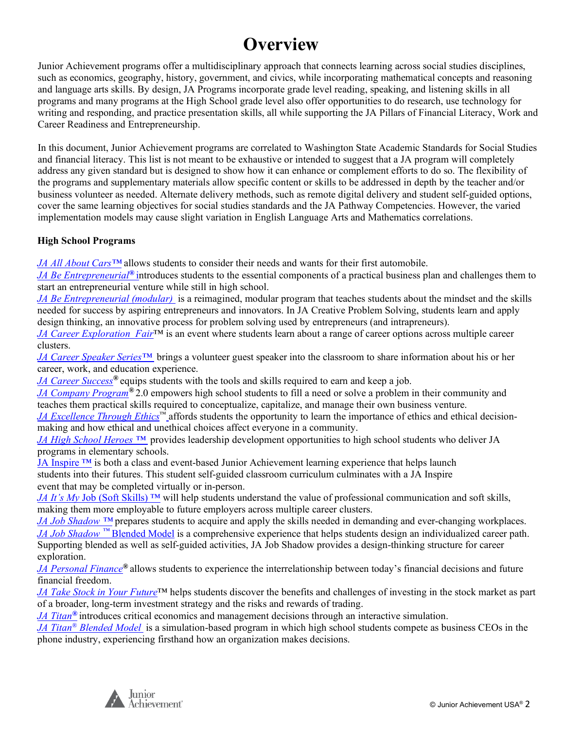#### **Overview**

Junior Achievement programs offer a multidisciplinary approach that connects learning across social studies disciplines, such as economics, geography, history, government, and civics, while incorporating mathematical concepts and reasoning and language arts skills. By design, JA Programs incorporate grade level reading, speaking, and listening skills in all programs and many programs at the High School grade level also offer opportunities to do research, use technology for writing and responding, and practice presentation skills, all while supporting the JA Pillars of Financial Literacy, Work and Career Readiness and Entrepreneurship.

In this document, Junior Achievement programs are correlated to Washington State Academic Standards for Social Studies and financial literacy. This list is not meant to be exhaustive or intended to suggest that a JA program will completely address any given standard but is designed to show how it can enhance or complement efforts to do so. The flexibility of the programs and supplementary materials allow specific content or skills to be addressed in depth by the teacher and/or business volunteer as needed. Alternate delivery methods, such as remote digital delivery and student self-guided options, cover the same learning objectives for social studies standards and the JA Pathway Competencies. However, the varied implementation models may cause slight variation in English Language Arts and Mathematics correlations.

#### **High School Programs**

*JA All About Cars™* allows students to consider their needs and wants for their first automobile.

*JA Be Entrepreneurial®* introduces students to the essential components of a practical business plan and challenges them to start an entrepreneurial venture while still in high school.

*JA Be Entrepreneurial (modular)* is a reimagined, modular program that teaches students about the mindset and the skills needed for success by aspiring entrepreneurs and innovators. In JA Creative Problem Solving, students learn and apply design thinking, an innovative process for problem solving used by entrepreneurs (and intrapreneurs).

*[JA Career Exploration](#page-11-0) Fair*™ is an event where students learn about a range of career options across multiple career clusters.

*JA Career Speaker Series™* brings a volunteer guest speaker into the classroom to share information about his or her career, work, and education experience.

*[JA Career Success](#page-13-0)®* equips students with the tools and skills required to earn and keep a job.

*[JA Company Program](#page-16-0)®* 2.0 empowers high school students to fill a need or solve a problem in their community and teaches them practical skills required to conceptualize, capitalize, and manage their own business venture.

*JA Excellence Through Ethics*™ affords students the opportunity to learn the importance of ethics and ethical decisionmaking and how ethical and unethical choices affect everyone in a community.

*JA High School Heroes ™* provides leadership development opportunities to high school students who deliver JA programs in elementary schools.

[JA Inspire ™](#page-26-0) is both a class and event-based Junior Achievement learning experience that helps launch students into their futures. This student self-guided classroom curriculum culminates with a JA Inspire event that may be completed virtually or in-person.

*JA It's My Job* (Soft Skills)<sup>™</sup> will help students understand the value of professional communication and soft skills, making them more employable to future employers across multiple career clusters.

*JA Job Shadow ™* prepares students to acquire and apply the skills needed in demanding and ever-changing workplaces. *[JA Job Shadow](#page-34-0) [™](#page-34-0)* [Blended Model](#page-34-0) is a comprehensive experience that helps students design an individualized career path. Supporting blended as well as self-guided activities, JA Job Shadow provides a design-thinking structure for career exploration.

*[JA Personal Finance](#page-37-0)®* allows students to experience the interrelationship between today's financial decisions and future financial freedom.

*[JA Take Stock in Your Future](#page-42-0)*™ helps students discover the benefits and challenges of investing in the stock market as part of a broader, long-term investment strategy and the risks and rewards of trading.

*[JA Titan](#page-48-0)[®](#page-48-0)* introduces critical economics and management decisions through an interactive simulation.

*[JA Titan®](#page-51-0) [Blended Model](#page-51-0)* is a simulation-based program in which high school students compete as business CEOs in the phone industry, experiencing firsthand how an organization makes decisions.

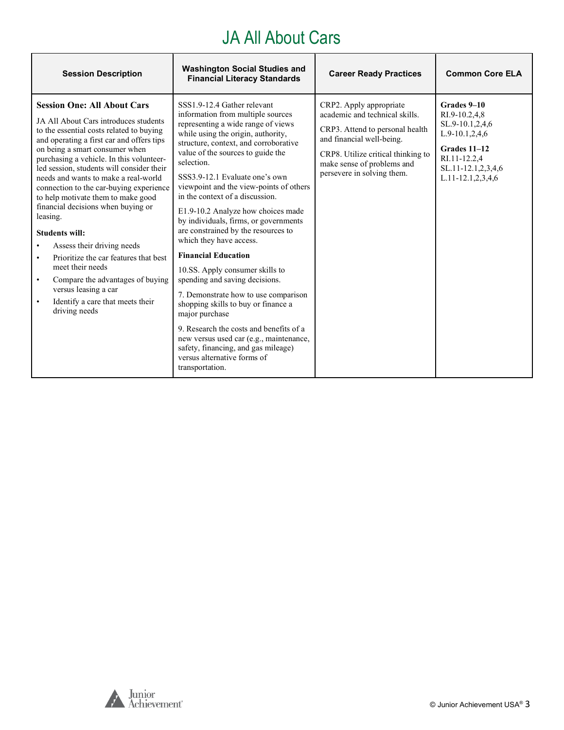#### JA All About Cars

| <b>Session Description</b>                                                                                                                                                                                                                                                                                                                                                                                                                                                                                                                                                                                                                                                                                                                | <b>Washington Social Studies and</b><br><b>Financial Literacy Standards</b>                                                                                                                                                                                                                                                                                                                                                                                                                                                                                                                                                                                                                                                                                                                                                                                                                  | <b>Career Ready Practices</b>                                                                                                                                                                                               | <b>Common Core ELA</b>                                                                                                                                    |
|-------------------------------------------------------------------------------------------------------------------------------------------------------------------------------------------------------------------------------------------------------------------------------------------------------------------------------------------------------------------------------------------------------------------------------------------------------------------------------------------------------------------------------------------------------------------------------------------------------------------------------------------------------------------------------------------------------------------------------------------|----------------------------------------------------------------------------------------------------------------------------------------------------------------------------------------------------------------------------------------------------------------------------------------------------------------------------------------------------------------------------------------------------------------------------------------------------------------------------------------------------------------------------------------------------------------------------------------------------------------------------------------------------------------------------------------------------------------------------------------------------------------------------------------------------------------------------------------------------------------------------------------------|-----------------------------------------------------------------------------------------------------------------------------------------------------------------------------------------------------------------------------|-----------------------------------------------------------------------------------------------------------------------------------------------------------|
| <b>Session One: All About Cars</b><br>JA All About Cars introduces students<br>to the essential costs related to buying<br>and operating a first car and offers tips<br>on being a smart consumer when<br>purchasing a vehicle. In this volunteer-<br>led session, students will consider their<br>needs and wants to make a real-world<br>connection to the car-buying experience<br>to help motivate them to make good<br>financial decisions when buying or<br>leasing.<br><b>Students will:</b><br>Assess their driving needs<br>Prioritize the car features that best<br>meet their needs<br>Compare the advantages of buying<br>$\bullet$<br>versus leasing a car<br>Identify a care that meets their<br>$\bullet$<br>driving needs | SSS1.9-12.4 Gather relevant<br>information from multiple sources<br>representing a wide range of views<br>while using the origin, authority,<br>structure, context, and corroborative<br>value of the sources to guide the<br>selection.<br>SSS3.9-12.1 Evaluate one's own<br>viewpoint and the view-points of others<br>in the context of a discussion.<br>E1.9-10.2 Analyze how choices made<br>by individuals, firms, or governments<br>are constrained by the resources to<br>which they have access.<br><b>Financial Education</b><br>10.SS. Apply consumer skills to<br>spending and saving decisions.<br>7. Demonstrate how to use comparison<br>shopping skills to buy or finance a<br>major purchase<br>9. Research the costs and benefits of a<br>new versus used car (e.g., maintenance,<br>safety, financing, and gas mileage)<br>versus alternative forms of<br>transportation. | CRP2. Apply appropriate<br>academic and technical skills.<br>CRP3. Attend to personal health<br>and financial well-being.<br>CRP8. Utilize critical thinking to<br>make sense of problems and<br>persevere in solving them. | Grades 9-10<br>RI.9-10.2,4,8<br>SL.9-10.1,2,4,6<br>$L.9-10.1, 2, 4, 6$<br>Grades 11-12<br>RI.11-12.2,4<br>SL.11-12.1,2,3,4,6<br>$L.11 - 12.1, 2, 3, 4, 6$ |

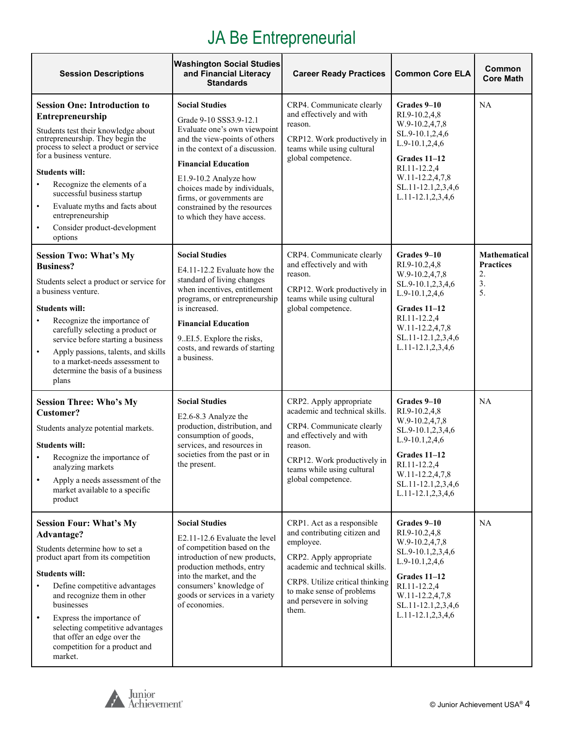### JA Be Entrepreneurial

| <b>Session Descriptions</b>                                                                                                                                                                                                                                                                                                                                                                                               | <b>Washington Social Studies</b><br>and Financial Literacy<br><b>Standards</b>                                                                                                                                                                                                                                                        | <b>Career Ready Practices</b>                                                                                                                                                                                                             | <b>Common Core ELA</b>                                                                                                                                                                         | Common<br><b>Core Math</b>                                |
|---------------------------------------------------------------------------------------------------------------------------------------------------------------------------------------------------------------------------------------------------------------------------------------------------------------------------------------------------------------------------------------------------------------------------|---------------------------------------------------------------------------------------------------------------------------------------------------------------------------------------------------------------------------------------------------------------------------------------------------------------------------------------|-------------------------------------------------------------------------------------------------------------------------------------------------------------------------------------------------------------------------------------------|------------------------------------------------------------------------------------------------------------------------------------------------------------------------------------------------|-----------------------------------------------------------|
| <b>Session One: Introduction to</b><br>Entrepreneurship<br>Students test their knowledge about<br>entrepreneurship. They begin the<br>process to select a product or service<br>for a business venture.<br><b>Students will:</b><br>Recognize the elements of a<br>successful business startup<br>Evaluate myths and facts about<br>$\bullet$<br>entrepreneurship<br>Consider product-development<br>$\bullet$<br>options | <b>Social Studies</b><br>Grade 9-10 SSS3.9-12.1<br>Evaluate one's own viewpoint<br>and the view-points of others<br>in the context of a discussion.<br><b>Financial Education</b><br>E1.9-10.2 Analyze how<br>choices made by individuals,<br>firms, or governments are<br>constrained by the resources<br>to which they have access. | CRP4. Communicate clearly<br>and effectively and with<br>reason.<br>CRP12. Work productively in<br>teams while using cultural<br>global competence.                                                                                       | Grades 9-10<br>RI.9-10.2,4,8<br>W.9-10.2,4,7,8<br>SL.9-10.1,2,4,6<br>$L.9-10.1, 2, 4, 6$<br>Grades 11-12<br>RI.11-12.2,4<br>W.11-12.2,4,7,8<br>SL.11-12.1,2,3,4,6<br>L.11-12.1,2,3,4,6         | NA                                                        |
| <b>Session Two: What's My</b><br><b>Business?</b><br>Students select a product or service for<br>a business venture.<br><b>Students will:</b><br>Recognize the importance of<br>carefully selecting a product or<br>service before starting a business<br>Apply passions, talents, and skills<br>$\bullet$<br>to a market-needs assessment to<br>determine the basis of a business<br>plans                               | <b>Social Studies</b><br>E4.11-12.2 Evaluate how the<br>standard of living changes<br>when incentives, entitlement<br>programs, or entrepreneurship<br>is increased.<br><b>Financial Education</b><br>9. EI.5. Explore the risks,<br>costs, and rewards of starting<br>a business.                                                    | CRP4. Communicate clearly<br>and effectively and with<br>reason.<br>CRP12. Work productively in<br>teams while using cultural<br>global competence.                                                                                       | Grades 9-10<br>RI.9-10.2,4,8<br>W.9-10.2,4,7,8<br>SL.9-10.1,2,3,4,6<br>L.9-10.1,2,4,6<br>Grades 11-12<br>RI.11-12.2,4<br>W.11-12.2,4,7,8<br>SL.11-12.1,2,3,4,6<br>L.11-12.1,2,3,4,6            | <b>Mathematical</b><br><b>Practices</b><br>2.<br>3.<br>5. |
| <b>Session Three: Who's My</b><br><b>Customer?</b><br>Students analyze potential markets.<br><b>Students will:</b><br>Recognize the importance of<br>analyzing markets<br>Apply a needs assessment of the<br>market available to a specific<br>product                                                                                                                                                                    | <b>Social Studies</b><br>E2.6-8.3 Analyze the<br>production, distribution, and<br>consumption of goods,<br>services, and resources in<br>societies from the past or in<br>the present.                                                                                                                                                | CRP2. Apply appropriate<br>academic and technical skills.<br>CRP4. Communicate clearly<br>and effectively and with<br>reason.<br>CRP12. Work productively in<br>teams while using cultural<br>global competence.                          | Grades 9-10<br>RI.9-10.2,4,8<br>W.9-10.2,4,7,8<br>SL.9-10.1,2,3,4,6<br>$L.9-10.1, 2, 4, 6$<br>Grades 11-12<br>RI.11-12.2,4<br>W.11-12.2,4,7,8<br>SL.11-12.1,2,3,4,6<br>$L.11-12.1, 2, 3, 4, 6$ | <b>NA</b>                                                 |
| <b>Session Four: What's My</b><br>Advantage?<br>Students determine how to set a<br>product apart from its competition<br><b>Students will:</b><br>Define competitive advantages<br>and recognize them in other<br>businesses<br>Express the importance of<br>$\bullet$<br>selecting competitive advantages<br>that offer an edge over the<br>competition for a product and<br>market.                                     | <b>Social Studies</b><br>E2.11-12.6 Evaluate the level<br>of competition based on the<br>introduction of new products,<br>production methods, entry<br>into the market, and the<br>consumers' knowledge of<br>goods or services in a variety<br>of economies.                                                                         | CRP1. Act as a responsible<br>and contributing citizen and<br>employee.<br>CRP2. Apply appropriate<br>academic and technical skills.<br>CRP8. Utilize critical thinking<br>to make sense of problems<br>and persevere in solving<br>them. | Grades 9-10<br>RI.9-10.2,4,8<br>W.9-10.2,4,7,8<br>SL.9-10.1,2,3,4,6<br>L.9-10.1,2,4,6<br>Grades 11-12<br>RI.11-12.2,4<br>W.11-12.2,4,7,8<br>SL.11-12.1,2,3,4,6<br>$L.11-12.1, 2, 3, 4, 6$      | <b>NA</b>                                                 |

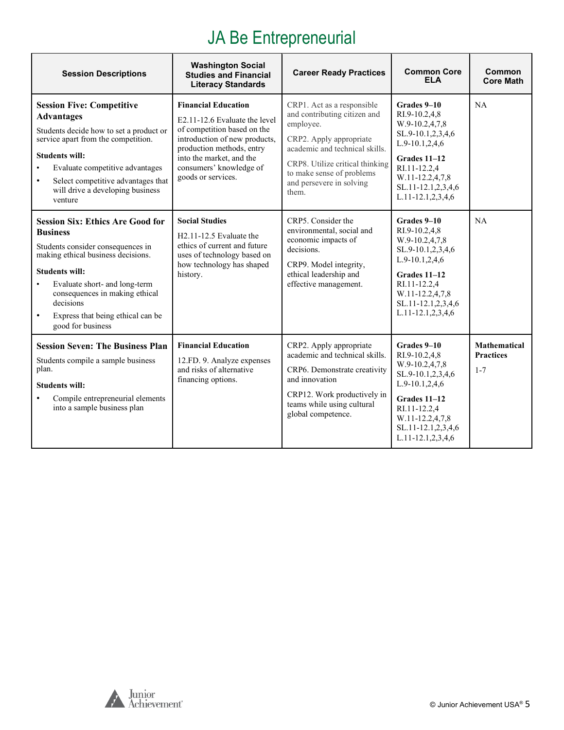### JA Be Entrepreneurial

| <b>Session Descriptions</b>                                                                                                                                                                                                                                                                                           | <b>Washington Social</b><br><b>Studies and Financial</b><br><b>Literacy Standards</b>                                                                                                                                                 | <b>Career Ready Practices</b>                                                                                                                                                                                                             | <b>Common Core</b><br><b>ELA</b>                                                                                                                                                          | Common<br><b>Core Math</b>                         |
|-----------------------------------------------------------------------------------------------------------------------------------------------------------------------------------------------------------------------------------------------------------------------------------------------------------------------|---------------------------------------------------------------------------------------------------------------------------------------------------------------------------------------------------------------------------------------|-------------------------------------------------------------------------------------------------------------------------------------------------------------------------------------------------------------------------------------------|-------------------------------------------------------------------------------------------------------------------------------------------------------------------------------------------|----------------------------------------------------|
| <b>Session Five: Competitive</b><br><b>Advantages</b><br>Students decide how to set a product or<br>service apart from the competition.<br><b>Students will:</b><br>Evaluate competitive advantages<br>Select competitive advantages that<br>$\bullet$<br>will drive a developing business<br>venture                 | <b>Financial Education</b><br>E2.11-12.6 Evaluate the level<br>of competition based on the<br>introduction of new products,<br>production methods, entry<br>into the market, and the<br>consumers' knowledge of<br>goods or services. | CRP1. Act as a responsible<br>and contributing citizen and<br>employee.<br>CRP2. Apply appropriate<br>academic and technical skills.<br>CRP8. Utilize critical thinking<br>to make sense of problems<br>and persevere in solving<br>them. | Grades 9-10<br>RI.9-10.2,4,8<br>W.9-10.2,4,7,8<br>SL.9-10.1,2,3,4,6<br>L.9-10.1,2,4,6<br>Grades 11-12<br>RI.11-12.2,4<br>W.11-12.2,4,7,8<br>SL.11-12.1,2,3,4,6<br>$L.11-12.1, 2, 3, 4, 6$ | NA                                                 |
| <b>Session Six: Ethics Are Good for</b><br><b>Business</b><br>Students consider consequences in<br>making ethical business decisions.<br><b>Students will:</b><br>Evaluate short- and long-term<br>consequences in making ethical<br>decisions<br>Express that being ethical can be<br>$\bullet$<br>good for business | <b>Social Studies</b><br>$H2.11-12.5$ Evaluate the<br>ethics of current and future<br>uses of technology based on<br>how technology has shaped<br>history.                                                                            | CRP5. Consider the<br>environmental, social and<br>economic impacts of<br>decisions.<br>CRP9. Model integrity,<br>ethical leadership and<br>effective management.                                                                         | Grades 9-10<br>RI.9-10.2,4,8<br>W.9-10.2,4,7,8<br>SL.9-10.1,2,3,4,6<br>$L.9-10.1, 2, 4, 6$<br>Grades 11-12<br>RI.11-12.2,4<br>W.11-12.2,4,7,8<br>SL.11-12.1,2,3,4,6<br>L.11-12.1,2,3,4,6  | NA                                                 |
| <b>Session Seven: The Business Plan</b><br>Students compile a sample business<br>plan.<br><b>Students will:</b><br>Compile entrepreneurial elements<br>into a sample business plan                                                                                                                                    | <b>Financial Education</b><br>12.FD. 9. Analyze expenses<br>and risks of alternative<br>financing options.                                                                                                                            | CRP2. Apply appropriate<br>academic and technical skills.<br>CRP6. Demonstrate creativity<br>and innovation<br>CRP12. Work productively in<br>teams while using cultural<br>global competence.                                            | Grades 9-10<br>RI.9-10.2,4,8<br>W.9-10.2,4,7,8<br>SL.9-10.1,2,3,4,6<br>L.9-10.1,2,4,6<br>Grades 11-12<br>RI.11-12.2,4<br>W.11-12.2,4,7,8<br>SL.11-12.1,2,3,4,6<br>L.11-12.1,2,3,4,6       | <b>Mathematical</b><br><b>Practices</b><br>$1 - 7$ |

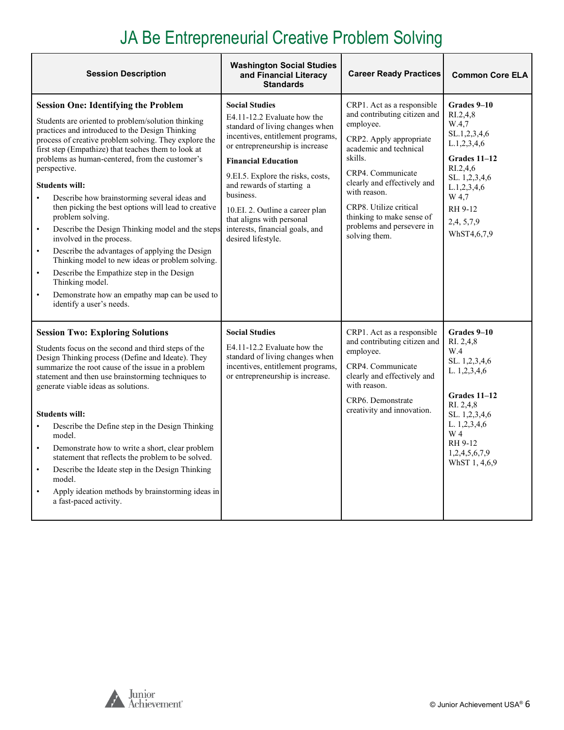## JA Be Entrepreneurial Creative Problem Solving

 $\overline{\phantom{a}}$ 

| <b>Session Description</b>                                                                                                                                                                                                                                                                                                                                                                                                                                                                                                                                                                                                                                                                                                                                                                                                                                                                     | <b>Washington Social Studies</b><br>and Financial Literacy<br><b>Standards</b>                                                                                                                                                                                                                                                                                                                        | <b>Career Ready Practices</b>                                                                                                                                                                                                                                                                                    | <b>Common Core ELA</b>                                                                                                                                                                             |
|------------------------------------------------------------------------------------------------------------------------------------------------------------------------------------------------------------------------------------------------------------------------------------------------------------------------------------------------------------------------------------------------------------------------------------------------------------------------------------------------------------------------------------------------------------------------------------------------------------------------------------------------------------------------------------------------------------------------------------------------------------------------------------------------------------------------------------------------------------------------------------------------|-------------------------------------------------------------------------------------------------------------------------------------------------------------------------------------------------------------------------------------------------------------------------------------------------------------------------------------------------------------------------------------------------------|------------------------------------------------------------------------------------------------------------------------------------------------------------------------------------------------------------------------------------------------------------------------------------------------------------------|----------------------------------------------------------------------------------------------------------------------------------------------------------------------------------------------------|
| <b>Session One: Identifying the Problem</b><br>Students are oriented to problem/solution thinking<br>practices and introduced to the Design Thinking<br>process of creative problem solving. They explore the<br>first step (Empathize) that teaches them to look at<br>problems as human-centered, from the customer's<br>perspective.<br><b>Students will:</b><br>Describe how brainstorming several ideas and<br>$\bullet$<br>then picking the best options will lead to creative<br>problem solving.<br>Describe the Design Thinking model and the steps<br>$\bullet$<br>involved in the process.<br>Describe the advantages of applying the Design<br>$\bullet$<br>Thinking model to new ideas or problem solving.<br>Describe the Empathize step in the Design<br>$\bullet$<br>Thinking model.<br>Demonstrate how an empathy map can be used to<br>$\bullet$<br>identify a user's needs. | <b>Social Studies</b><br>E4.11-12.2 Evaluate how the<br>standard of living changes when<br>incentives, entitlement programs,<br>or entrepreneurship is increase<br><b>Financial Education</b><br>9.EI.5. Explore the risks, costs,<br>and rewards of starting a<br>business.<br>10.EI. 2. Outline a career plan<br>that aligns with personal<br>interests, financial goals, and<br>desired lifestyle. | CRP1. Act as a responsible<br>and contributing citizen and<br>employee.<br>CRP2. Apply appropriate<br>academic and technical<br>skills.<br>CRP4. Communicate<br>clearly and effectively and<br>with reason.<br>CRP8. Utilize critical<br>thinking to make sense of<br>problems and persevere in<br>solving them. | Grades 9-10<br>R <sub>1.2,4,8</sub><br>W.4,7<br>SL.1,2,3,4,6<br>L.1, 2, 3, 4, 6<br>Grades 11-12<br>RI.2.4.6<br>SL. 1,2,3,4,6<br>L.1, 2, 3, 4, 6<br>W 4,7<br>RH 9-12<br>2,4, 5, 7, 9<br>WhST4,6,7,9 |
| <b>Session Two: Exploring Solutions</b><br>Students focus on the second and third steps of the<br>Design Thinking process (Define and Ideate). They<br>summarize the root cause of the issue in a problem<br>statement and then use brainstorming techniques to<br>generate viable ideas as solutions.<br><b>Students will:</b><br>Describe the Define step in the Design Thinking<br>model.<br>Demonstrate how to write a short, clear problem<br>$\bullet$<br>statement that reflects the problem to be solved.<br>Describe the Ideate step in the Design Thinking<br>$\bullet$<br>model.<br>Apply ideation methods by brainstorming ideas in<br>$\bullet$<br>a fast-paced activity.                                                                                                                                                                                                         | <b>Social Studies</b><br>E4.11-12.2 Evaluate how the<br>standard of living changes when<br>incentives, entitlement programs,<br>or entrepreneurship is increase.                                                                                                                                                                                                                                      | CRP1. Act as a responsible<br>and contributing citizen and<br>employee.<br>CRP4. Communicate<br>clearly and effectively and<br>with reason.<br>CRP6. Demonstrate<br>creativity and innovation.                                                                                                                   | Grades 9-10<br>RI. 2,4,8<br>W.4<br>SL. 1,2,3,4,6<br>L. 1,2,3,4,6<br>Grades 11-12<br>RI. 2,4,8<br>SL. 1,2,3,4,6<br>L. 1,2,3,4,6<br>W 4<br>RH 9-12<br>1,2,4,5,6,7,9<br>WhST 1, 4,6,9                 |



Ī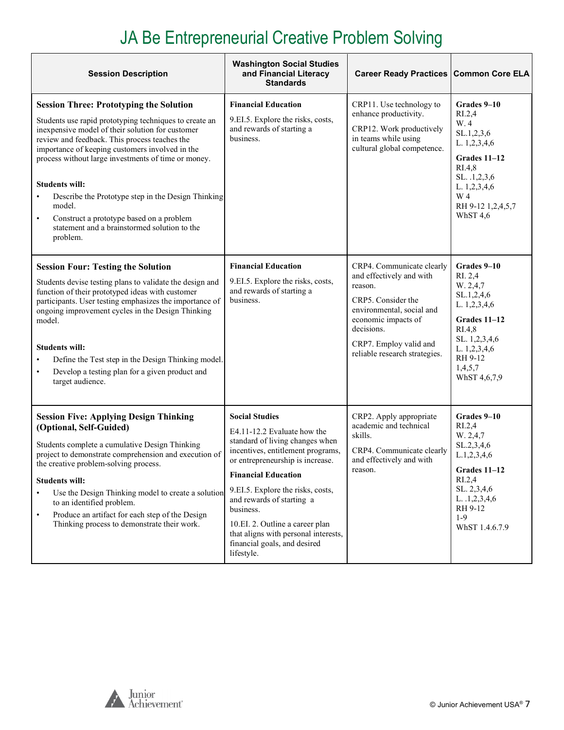# JA Be Entrepreneurial Creative Problem Solving

| <b>Session Description</b>                                                                                                                                                                                                                                                                                                                                                                                                                                                                                                            | <b>Washington Social Studies</b><br>and Financial Literacy<br><b>Standards</b>                                                                                                                                                                                                                                                                                                                         | Career Ready Practices   Common Core ELA                                                                                                                                                                            |                                                                                                                                                                                     |
|---------------------------------------------------------------------------------------------------------------------------------------------------------------------------------------------------------------------------------------------------------------------------------------------------------------------------------------------------------------------------------------------------------------------------------------------------------------------------------------------------------------------------------------|--------------------------------------------------------------------------------------------------------------------------------------------------------------------------------------------------------------------------------------------------------------------------------------------------------------------------------------------------------------------------------------------------------|---------------------------------------------------------------------------------------------------------------------------------------------------------------------------------------------------------------------|-------------------------------------------------------------------------------------------------------------------------------------------------------------------------------------|
| <b>Session Three: Prototyping the Solution</b><br>Students use rapid prototyping techniques to create an<br>inexpensive model of their solution for customer<br>review and feedback. This process teaches the<br>importance of keeping customers involved in the<br>process without large investments of time or money.<br><b>Students will:</b><br>Describe the Prototype step in the Design Thinking<br>model.<br>Construct a prototype based on a problem<br>$\bullet$<br>statement and a brainstormed solution to the<br>problem. | <b>Financial Education</b><br>9.EI.5. Explore the risks, costs,<br>and rewards of starting a<br>business.                                                                                                                                                                                                                                                                                              | CRP11. Use technology to<br>enhance productivity.<br>CRP12. Work productively<br>in teams while using<br>cultural global competence.                                                                                | Grades 9-10<br>R <sub>L</sub> 2,4<br>W.4<br>SL.1,2,3,6<br>L. 1,2,3,4,6<br>Grades 11-12<br>RI.4,8<br>SL. .1,2,3,6<br>L. 1,2,3,4,6<br>W <sub>4</sub><br>RH 9-12 1,2,4,5,7<br>WhST 4,6 |
| <b>Session Four: Testing the Solution</b><br>Students devise testing plans to validate the design and<br>function of their prototyped ideas with customer<br>participants. User testing emphasizes the importance of<br>ongoing improvement cycles in the Design Thinking<br>model.<br><b>Students will:</b><br>Define the Test step in the Design Thinking model.<br>Develop a testing plan for a given product and<br>$\bullet$<br>target audience.                                                                                 | <b>Financial Education</b><br>9.EI.5. Explore the risks, costs,<br>and rewards of starting a<br>business.                                                                                                                                                                                                                                                                                              | CRP4. Communicate clearly<br>and effectively and with<br>reason.<br>CRP5. Consider the<br>environmental, social and<br>economic impacts of<br>decisions.<br>CRP7. Employ valid and<br>reliable research strategies. | Grades 9-10<br>RI. 2,4<br>W. 2,4,7<br>SL.1,2,4,6<br>L. 1,2,3,4,6<br>Grades 11-12<br>RI.4,8<br>SL. 1,2,3,4,6<br>L. 1,2,3,4,6<br>RH 9-12<br>1,4,5,7<br>WhST 4,6,7,9                   |
| <b>Session Five: Applying Design Thinking</b><br>(Optional, Self-Guided)<br>Students complete a cumulative Design Thinking<br>project to demonstrate comprehension and execution of<br>the creative problem-solving process.<br><b>Students will:</b><br>Use the Design Thinking model to create a solution<br>$\bullet$<br>to an identified problem.<br>Produce an artifact for each step of the Design<br>$\bullet$<br>Thinking process to demonstrate their work.                                                                  | <b>Social Studies</b><br>E4.11-12.2 Evaluate how the<br>standard of living changes when<br>incentives, entitlement programs,<br>or entrepreneurship is increase.<br><b>Financial Education</b><br>9.EI.5. Explore the risks, costs,<br>and rewards of starting a<br>business.<br>10.EI. 2. Outline a career plan<br>that aligns with personal interests,<br>financial goals, and desired<br>lifestyle. | CRP2. Apply appropriate<br>academic and technical<br>skills.<br>CRP4. Communicate clearly<br>and effectively and with<br>reason.                                                                                    | Grades 9-10<br>RI.2,4<br>W. 2,4,7<br>SL.2,3,4,6<br>L.1, 2, 3, 4, 6<br>Grades 11-12<br>R <sub>L</sub> 2,4<br>SL. 2,3,4,6<br>L. 1, 2, 3, 4, 6<br>RH 9-12<br>$1-9$<br>WhST 1.4.6.7.9   |



 $\overline{\phantom{a}}$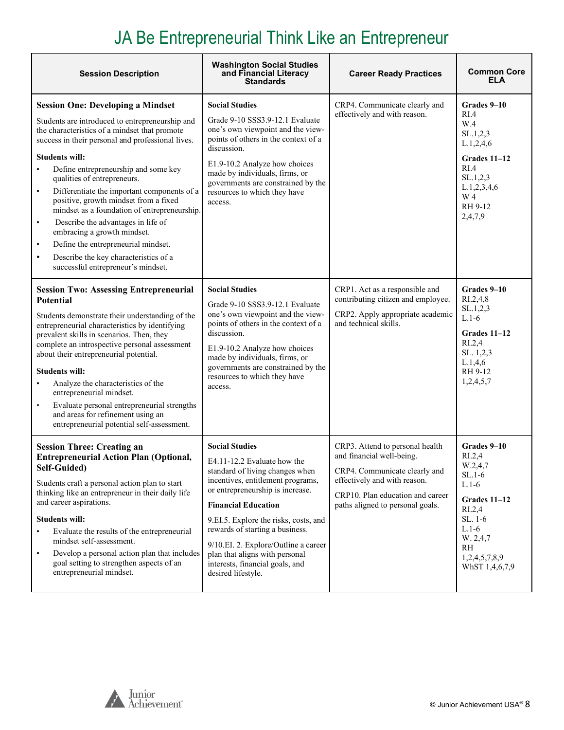# JA Be Entrepreneurial Think Like an Entrepreneur

| <b>Session Description</b>                                                                                                                                                                                                                                                                                                                                                                                                                                                                                                                                                                                                                                                               | <b>Washington Social Studies</b><br>and Financial Literacy<br><b>Standards</b>                                                                                                                                                                                                                                                                                                                                | <b>Career Ready Practices</b>                                                                                                                                                                         | <b>Common Core</b><br><b>ELA</b>                                                                                                                                                     |
|------------------------------------------------------------------------------------------------------------------------------------------------------------------------------------------------------------------------------------------------------------------------------------------------------------------------------------------------------------------------------------------------------------------------------------------------------------------------------------------------------------------------------------------------------------------------------------------------------------------------------------------------------------------------------------------|---------------------------------------------------------------------------------------------------------------------------------------------------------------------------------------------------------------------------------------------------------------------------------------------------------------------------------------------------------------------------------------------------------------|-------------------------------------------------------------------------------------------------------------------------------------------------------------------------------------------------------|--------------------------------------------------------------------------------------------------------------------------------------------------------------------------------------|
| <b>Session One: Developing a Mindset</b><br>Students are introduced to entrepreneurship and<br>the characteristics of a mindset that promote<br>success in their personal and professional lives.<br><b>Students will:</b><br>Define entrepreneurship and some key<br>qualities of entrepreneurs.<br>Differentiate the important components of a<br>$\bullet$<br>positive, growth mindset from a fixed<br>mindset as a foundation of entrepreneurship.<br>Describe the advantages in life of<br>$\bullet$<br>embracing a growth mindset.<br>Define the entrepreneurial mindset.<br>$\bullet$<br>Describe the key characteristics of a<br>$\bullet$<br>successful entrepreneur's mindset. | <b>Social Studies</b><br>Grade 9-10 SSS3.9-12.1 Evaluate<br>one's own viewpoint and the view-<br>points of others in the context of a<br>discussion.<br>E1.9-10.2 Analyze how choices<br>made by individuals, firms, or<br>governments are constrained by the<br>resources to which they have<br>access.                                                                                                      | CRP4. Communicate clearly and<br>effectively and with reason.                                                                                                                                         | Grades 9–10<br>RI.4<br>W.4<br>SL.1,2,3<br>L.1, 2, 4, 6<br>Grades 11-12<br>RI.4<br>SL.1, 2, 3<br>L.1,2,3,4,6<br>W 4<br>RH 9-12<br>2,4,7,9                                             |
| <b>Session Two: Assessing Entrepreneurial</b><br><b>Potential</b><br>Students demonstrate their understanding of the<br>entrepreneurial characteristics by identifying<br>prevalent skills in scenarios. Then, they<br>complete an introspective personal assessment<br>about their entrepreneurial potential.<br><b>Students will:</b><br>Analyze the characteristics of the<br>$\bullet$<br>entrepreneurial mindset.<br>Evaluate personal entrepreneurial strengths<br>$\bullet$<br>and areas for refinement using an<br>entrepreneurial potential self-assessment.                                                                                                                    | <b>Social Studies</b><br>Grade 9-10 SSS3.9-12.1 Evaluate<br>one's own viewpoint and the view-<br>points of others in the context of a<br>discussion.<br>E1.9-10.2 Analyze how choices<br>made by individuals, firms, or<br>governments are constrained by the<br>resources to which they have<br>access.                                                                                                      | CRP1. Act as a responsible and<br>contributing citizen and employee.<br>CRP2. Apply appropriate academic<br>and technical skills.                                                                     | Grades 9-10<br>RI.2,4,8<br>SL.1, 2, 3<br>$L.1-6$<br>Grades 11-12<br>R <sub>L.2,4</sub><br>SL. 1,2,3<br>L.1,4,6<br>RH 9-12<br>1,2,4,5,7                                               |
| <b>Session Three: Creating an</b><br><b>Entrepreneurial Action Plan (Optional,</b><br>Self-Guided)<br>Students craft a personal action plan to start<br>thinking like an entrepreneur in their daily life<br>and career aspirations.<br><b>Students will:</b><br>Evaluate the results of the entrepreneurial<br>mindset self-assessment.<br>Develop a personal action plan that includes<br>$\bullet$<br>goal setting to strengthen aspects of an<br>entrepreneurial mindset.                                                                                                                                                                                                            | <b>Social Studies</b><br>E4.11-12.2 Evaluate how the<br>standard of living changes when<br>incentives, entitlement programs,<br>or entrepreneurship is increase.<br><b>Financial Education</b><br>9.EI.5. Explore the risks, costs, and<br>rewards of starting a business.<br>9/10.EI. 2. Explore/Outline a career<br>plan that aligns with personal<br>interests, financial goals, and<br>desired lifestyle. | CRP3. Attend to personal health<br>and financial well-being.<br>CRP4. Communicate clearly and<br>effectively and with reason.<br>CRP10. Plan education and career<br>paths aligned to personal goals. | Grades 9–10<br>R <sub>L</sub> 2,4<br>W.2,4,7<br>$SL.1-6$<br>$L.1-6$<br>Grades 11-12<br>R <sub>L.2,4</sub><br>SL. 1-6<br>$L.1-6$<br>W. 2,4,7<br>RH<br>1,2,4,5,7,8,9<br>WhST 1,4,6,7,9 |



h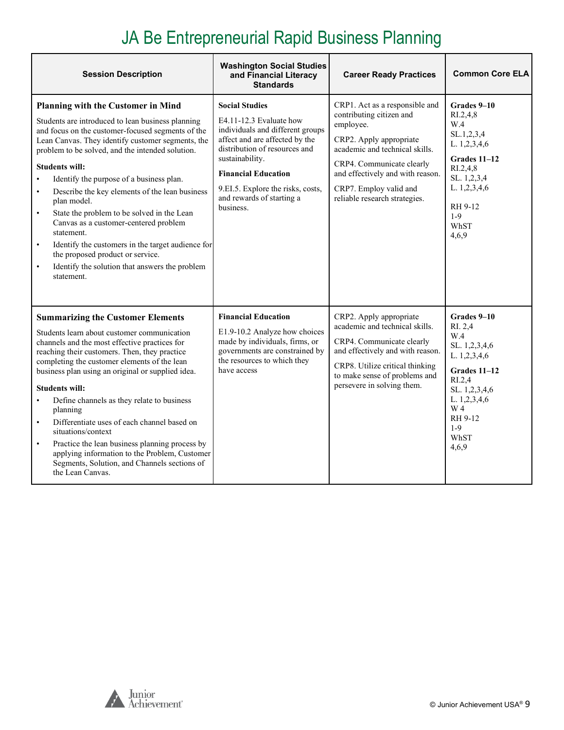#### JA Be Entrepreneurial Rapid Business Planning

| <b>Session Description</b>                                                                                                                                                                                                                                                                                                                                                                                                                                                                                                                                                                                                                                                                                                        | <b>Washington Social Studies</b><br>and Financial Literacy<br><b>Standards</b>                                                                                                                                                                                                          | <b>Career Ready Practices</b>                                                                                                                                                                                                                                    | <b>Common Core ELA</b>                                                                                                                                                         |
|-----------------------------------------------------------------------------------------------------------------------------------------------------------------------------------------------------------------------------------------------------------------------------------------------------------------------------------------------------------------------------------------------------------------------------------------------------------------------------------------------------------------------------------------------------------------------------------------------------------------------------------------------------------------------------------------------------------------------------------|-----------------------------------------------------------------------------------------------------------------------------------------------------------------------------------------------------------------------------------------------------------------------------------------|------------------------------------------------------------------------------------------------------------------------------------------------------------------------------------------------------------------------------------------------------------------|--------------------------------------------------------------------------------------------------------------------------------------------------------------------------------|
| <b>Planning with the Customer in Mind</b><br>Students are introduced to lean business planning<br>and focus on the customer-focused segments of the<br>Lean Canvas. They identify customer segments, the<br>problem to be solved, and the intended solution.<br><b>Students will:</b><br>Identify the purpose of a business plan.<br>$\bullet$<br>Describe the key elements of the lean business<br>$\bullet$<br>plan model.<br>State the problem to be solved in the Lean<br>$\bullet$<br>Canvas as a customer-centered problem<br>statement.<br>Identify the customers in the target audience for<br>$\bullet$<br>the proposed product or service.<br>Identify the solution that answers the problem<br>$\bullet$<br>statement. | <b>Social Studies</b><br>E4.11-12.3 Evaluate how<br>individuals and different groups<br>affect and are affected by the<br>distribution of resources and<br>sustainability.<br><b>Financial Education</b><br>9.EI.5. Explore the risks, costs,<br>and rewards of starting a<br>business. | CRP1. Act as a responsible and<br>contributing citizen and<br>employee.<br>CRP2. Apply appropriate<br>academic and technical skills.<br>CRP4. Communicate clearly<br>and effectively and with reason.<br>CRP7. Employ valid and<br>reliable research strategies. | Grades 9-10<br>RI.2,4,8<br>W.4<br>SL.1,2,3,4<br>L. 1,2,3,4,6<br><b>Grades 11-12</b><br>RI.2,4,8<br>SL. 1,2,3,4<br>L. 1,2,3,4,6<br>RH 9-12<br>$1-9$<br>WhST<br>4,6,9            |
| <b>Summarizing the Customer Elements</b><br>Students learn about customer communication<br>channels and the most effective practices for<br>reaching their customers. Then, they practice<br>completing the customer elements of the lean<br>business plan using an original or supplied idea.<br><b>Students will:</b><br>Define channels as they relate to business<br>planning<br>Differentiate uses of each channel based on<br>$\bullet$<br>situations/context<br>Practice the lean business planning process by<br>$\bullet$<br>applying information to the Problem, Customer<br>Segments, Solution, and Channels sections of<br>the Lean Canvas.                                                                           | <b>Financial Education</b><br>E1.9-10.2 Analyze how choices<br>made by individuals, firms, or<br>governments are constrained by<br>the resources to which they<br>have access                                                                                                           | CRP2. Apply appropriate<br>academic and technical skills.<br>CRP4. Communicate clearly<br>and effectively and with reason.<br>CRP8. Utilize critical thinking<br>to make sense of problems and<br>persevere in solving them.                                     | Grades 9-10<br>RI. 2,4<br>W.4<br>SL. 1,2,3,4,6<br>L. 1,2,3,4,6<br><b>Grades 11-12</b><br>RI.2,4<br>SL. 1,2,3,4,6<br>L. 1,2,3,4,6<br>W 4<br>RH 9-12<br>$1 - 9$<br>WhST<br>4,6,9 |

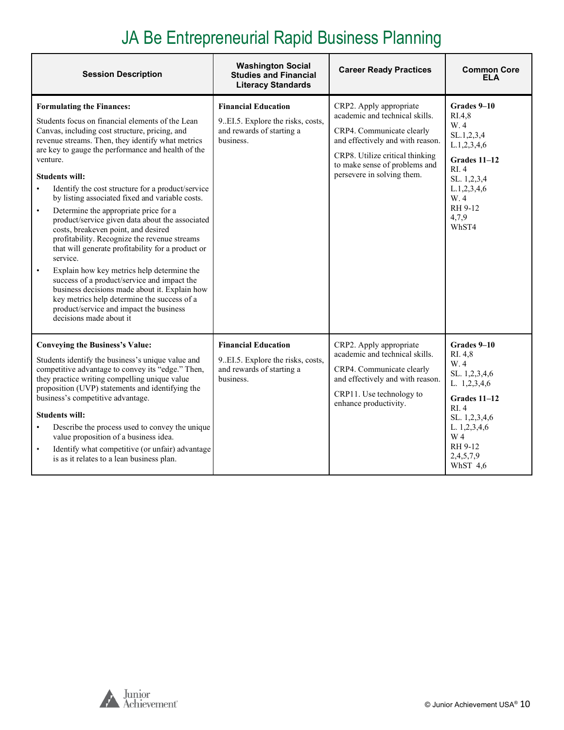#### JA Be Entrepreneurial Rapid Business Planning

| <b>Session Description</b>                                                                                                                                                                                                                                                                                                                                                                                                                                                                                                                                                                                                                                                                                                                                                                                                                                                                                                                                   | <b>Washington Social</b><br><b>Studies and Financial</b><br><b>Literacy Standards</b>                      | <b>Career Ready Practices</b>                                                                                                                                                                                                | <b>Common Core</b><br>ELA                                                                                                                                            |
|--------------------------------------------------------------------------------------------------------------------------------------------------------------------------------------------------------------------------------------------------------------------------------------------------------------------------------------------------------------------------------------------------------------------------------------------------------------------------------------------------------------------------------------------------------------------------------------------------------------------------------------------------------------------------------------------------------------------------------------------------------------------------------------------------------------------------------------------------------------------------------------------------------------------------------------------------------------|------------------------------------------------------------------------------------------------------------|------------------------------------------------------------------------------------------------------------------------------------------------------------------------------------------------------------------------------|----------------------------------------------------------------------------------------------------------------------------------------------------------------------|
| <b>Formulating the Finances:</b><br>Students focus on financial elements of the Lean<br>Canvas, including cost structure, pricing, and<br>revenue streams. Then, they identify what metrics<br>are key to gauge the performance and health of the<br>venture.<br><b>Students will:</b><br>Identify the cost structure for a product/service<br>$\bullet$<br>by listing associated fixed and variable costs.<br>Determine the appropriate price for a<br>$\bullet$<br>product/service given data about the associated<br>costs, breakeven point, and desired<br>profitability. Recognize the revenue streams<br>that will generate profitability for a product or<br>service.<br>Explain how key metrics help determine the<br>$\bullet$<br>success of a product/service and impact the<br>business decisions made about it. Explain how<br>key metrics help determine the success of a<br>product/service and impact the business<br>decisions made about it | <b>Financial Education</b><br>9. EI.5. Explore the risks, costs,<br>and rewards of starting a<br>business. | CRP2. Apply appropriate<br>academic and technical skills.<br>CRP4. Communicate clearly<br>and effectively and with reason.<br>CRP8. Utilize critical thinking<br>to make sense of problems and<br>persevere in solving them. | Grades 9-10<br>RI.4.8<br>W.4<br>SL.1,2,3,4<br>L.1, 2, 3, 4, 6<br>Grades 11-12<br>RI.4<br>SL. 1,2,3,4<br>L.1, 2, 3, 4, 6<br>W.4<br>RH 9-12<br>4.7.9<br>WhST4          |
| <b>Conveying the Business's Value:</b><br>Students identify the business's unique value and<br>competitive advantage to convey its "edge." Then,<br>they practice writing compelling unique value<br>proposition (UVP) statements and identifying the<br>business's competitive advantage.<br><b>Students will:</b><br>Describe the process used to convey the unique<br>$\bullet$<br>value proposition of a business idea.<br>Identify what competitive (or unfair) advantage<br>$\bullet$<br>is as it relates to a lean business plan.                                                                                                                                                                                                                                                                                                                                                                                                                     | <b>Financial Education</b><br>9. EI.5. Explore the risks, costs,<br>and rewards of starting a<br>business. | CRP2. Apply appropriate<br>academic and technical skills.<br>CRP4. Communicate clearly<br>and effectively and with reason.<br>CRP11. Use technology to<br>enhance productivity.                                              | Grades 9-10<br>RI. 4,8<br>W.4<br>SL. 1,2,3,4,6<br>L. 1,2,3,4,6<br>Grades 11-12<br>RI.4<br>SL. 1,2,3,4,6<br>L. 1,2,3,4,6<br>W 4<br>RH 9-12<br>2,4,5,7,9<br>WhST $4,6$ |

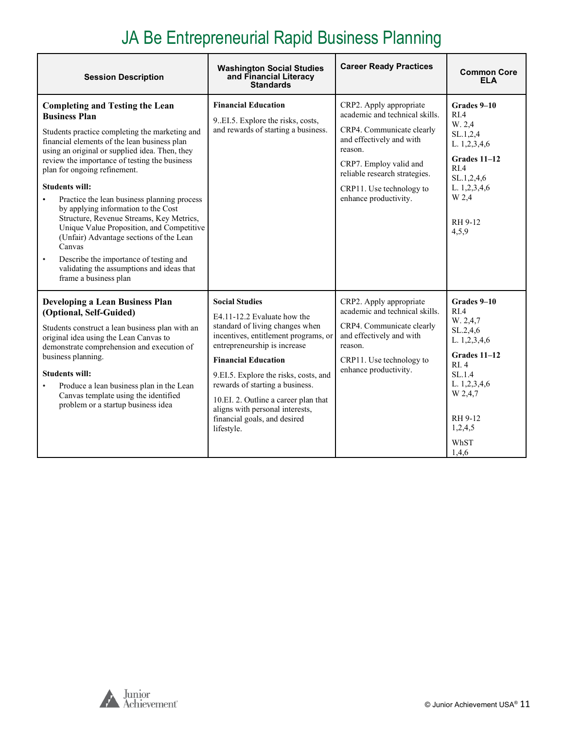#### JA Be Entrepreneurial Rapid Business Planning

| <b>Session Description</b>                                                                                                                                                                                                                                                                                                                                                                                                                                                                                                                                                                                                                                                                    | <b>Washington Social Studies</b><br>and Financial Literacy<br><b>Standards</b>                                                                                                                                                                                                                                                                                                                     | <b>Career Ready Practices</b>                                                                                                                                                                                                                 | <b>Common Core</b><br><b>ELA</b>                                                                                                                                            |
|-----------------------------------------------------------------------------------------------------------------------------------------------------------------------------------------------------------------------------------------------------------------------------------------------------------------------------------------------------------------------------------------------------------------------------------------------------------------------------------------------------------------------------------------------------------------------------------------------------------------------------------------------------------------------------------------------|----------------------------------------------------------------------------------------------------------------------------------------------------------------------------------------------------------------------------------------------------------------------------------------------------------------------------------------------------------------------------------------------------|-----------------------------------------------------------------------------------------------------------------------------------------------------------------------------------------------------------------------------------------------|-----------------------------------------------------------------------------------------------------------------------------------------------------------------------------|
| <b>Completing and Testing the Lean</b><br><b>Business Plan</b><br>Students practice completing the marketing and<br>financial elements of the lean business plan<br>using an original or supplied idea. Then, they<br>review the importance of testing the business<br>plan for ongoing refinement.<br><b>Students will:</b><br>Practice the lean business planning process<br>by applying information to the Cost<br>Structure, Revenue Streams, Key Metrics,<br>Unique Value Proposition, and Competitive<br>(Unfair) Advantage sections of the Lean<br>Canvas<br>Describe the importance of testing and<br>$\bullet$<br>validating the assumptions and ideas that<br>frame a business plan | <b>Financial Education</b><br>9. EI.5. Explore the risks, costs,<br>and rewards of starting a business.                                                                                                                                                                                                                                                                                            | CRP2. Apply appropriate<br>academic and technical skills.<br>CRP4. Communicate clearly<br>and effectively and with<br>reason.<br>CRP7. Employ valid and<br>reliable research strategies.<br>CRP11. Use technology to<br>enhance productivity. | Grades 9-10<br>R <sub>L</sub> 4<br>W. 2,4<br>SL.1,2,4<br>L. 1,2,3,4,6<br>Grades 11-12<br>RIA<br>SL.1,2,4,6<br>L. 1,2,3,4,6<br>W 2,4<br>RH 9-12<br>4,5,9                     |
| <b>Developing a Lean Business Plan</b><br>(Optional, Self-Guided)<br>Students construct a lean business plan with an<br>original idea using the Lean Canvas to<br>demonstrate comprehension and execution of<br>business planning.<br><b>Students will:</b><br>Produce a lean business plan in the Lean<br>Canvas template using the identified<br>problem or a startup business idea                                                                                                                                                                                                                                                                                                         | <b>Social Studies</b><br>E4.11-12.2 Evaluate how the<br>standard of living changes when<br>incentives, entitlement programs, or<br>entrepreneurship is increase<br><b>Financial Education</b><br>9.EI.5. Explore the risks, costs, and<br>rewards of starting a business.<br>10.EI. 2. Outline a career plan that<br>aligns with personal interests,<br>financial goals, and desired<br>lifestyle. | CRP2. Apply appropriate<br>academic and technical skills.<br>CRP4. Communicate clearly<br>and effectively and with<br>reason.<br>CRP11. Use technology to<br>enhance productivity.                                                            | Grades 9-10<br>R <sub>I.4</sub><br>W. 2,4,7<br>SL.2,4,6<br>L. 1,2,3,4,6<br>Grades 11-12<br>RI.4<br>SL.1.4<br>L. 1,2,3,4,6<br>W 2,4,7<br>RH 9-12<br>1,2,4,5<br>WhST<br>1,4,6 |

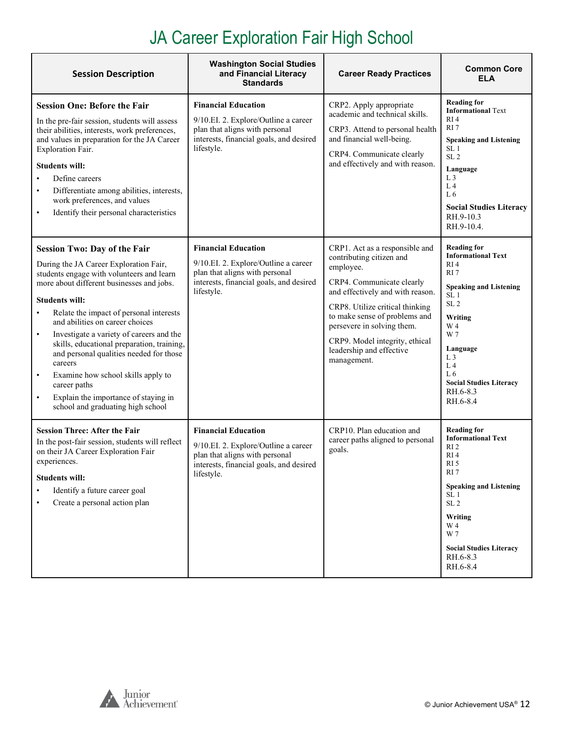#### JA Career Exploration Fair High School

<span id="page-11-0"></span>

| <b>Session Description</b>                                                                                                                                                                                                                                                                                                                                                                                                                                                                                                                                                                                            | <b>Washington Social Studies</b><br>and Financial Literacy<br><b>Standards</b>                                                                                | <b>Career Ready Practices</b>                                                                                                                                                                                                                                                                                           | <b>Common Core</b><br>ELA                                                                                                                                                                                                                                                                  |
|-----------------------------------------------------------------------------------------------------------------------------------------------------------------------------------------------------------------------------------------------------------------------------------------------------------------------------------------------------------------------------------------------------------------------------------------------------------------------------------------------------------------------------------------------------------------------------------------------------------------------|---------------------------------------------------------------------------------------------------------------------------------------------------------------|-------------------------------------------------------------------------------------------------------------------------------------------------------------------------------------------------------------------------------------------------------------------------------------------------------------------------|--------------------------------------------------------------------------------------------------------------------------------------------------------------------------------------------------------------------------------------------------------------------------------------------|
| <b>Session One: Before the Fair</b><br>In the pre-fair session, students will assess<br>their abilities, interests, work preferences,<br>and values in preparation for the JA Career<br>Exploration Fair.<br><b>Students will:</b><br>Define careers<br>Differentiate among abilities, interests,<br>$\bullet$<br>work preferences, and values<br>Identify their personal characteristics<br>$\bullet$                                                                                                                                                                                                                | <b>Financial Education</b><br>9/10.EI. 2. Explore/Outline a career<br>plan that aligns with personal<br>interests, financial goals, and desired<br>lifestyle. | CRP2. Apply appropriate<br>academic and technical skills.<br>CRP3. Attend to personal health<br>and financial well-being.<br>CRP4. Communicate clearly<br>and effectively and with reason.                                                                                                                              | <b>Reading for</b><br><b>Informational Text</b><br>RI <sub>4</sub><br>RI <sub>7</sub><br><b>Speaking and Listening</b><br>SL <sub>1</sub><br>SL <sub>2</sub><br>Language<br>L <sub>3</sub><br>L <sub>4</sub><br>L6<br><b>Social Studies Literacy</b><br>RH.9-10.3<br>RH.9-10.4.            |
| <b>Session Two: Day of the Fair</b><br>During the JA Career Exploration Fair,<br>students engage with volunteers and learn<br>more about different businesses and jobs.<br><b>Students will:</b><br>Relate the impact of personal interests<br>$\bullet$<br>and abilities on career choices<br>Investigate a variety of careers and the<br>$\bullet$<br>skills, educational preparation, training,<br>and personal qualities needed for those<br>careers<br>Examine how school skills apply to<br>$\bullet$<br>career paths<br>Explain the importance of staying in<br>$\bullet$<br>school and graduating high school | <b>Financial Education</b><br>9/10.EI. 2. Explore/Outline a career<br>plan that aligns with personal<br>interests, financial goals, and desired<br>lifestyle. | CRP1. Act as a responsible and<br>contributing citizen and<br>employee.<br>CRP4. Communicate clearly<br>and effectively and with reason.<br>CRP8. Utilize critical thinking<br>to make sense of problems and<br>persevere in solving them.<br>CRP9. Model integrity, ethical<br>leadership and effective<br>management. | <b>Reading for</b><br><b>Informational Text</b><br>RI <sub>4</sub><br>RI 7<br><b>Speaking and Listening</b><br>SL <sub>1</sub><br>SL <sub>2</sub><br>Writing<br>W 4<br>W 7<br>Language<br>L <sub>3</sub><br>L <sub>4</sub><br>L6<br><b>Social Studies Literacy</b><br>RH.6-8.3<br>RH.6-8.4 |
| <b>Session Three: After the Fair</b><br>In the post-fair session, students will reflect<br>on their JA Career Exploration Fair<br>experiences.<br><b>Students will:</b><br>Identify a future career goal<br>Create a personal action plan<br>$\bullet$                                                                                                                                                                                                                                                                                                                                                                | <b>Financial Education</b><br>9/10.EI. 2. Explore/Outline a career<br>plan that aligns with personal<br>interests, financial goals, and desired<br>lifestyle. | CRP10. Plan education and<br>career paths aligned to personal<br>goals.                                                                                                                                                                                                                                                 | <b>Reading for</b><br><b>Informational Text</b><br>RI <sub>2</sub><br>RI <sub>4</sub><br>RI <sub>5</sub><br>RI 7<br><b>Speaking and Listening</b><br>SL <sub>1</sub><br>SL <sub>2</sub><br>Writing<br>W 4<br>W 7<br><b>Social Studies Literacy</b><br>RH.6-8.3<br>RH.6-8.4                 |

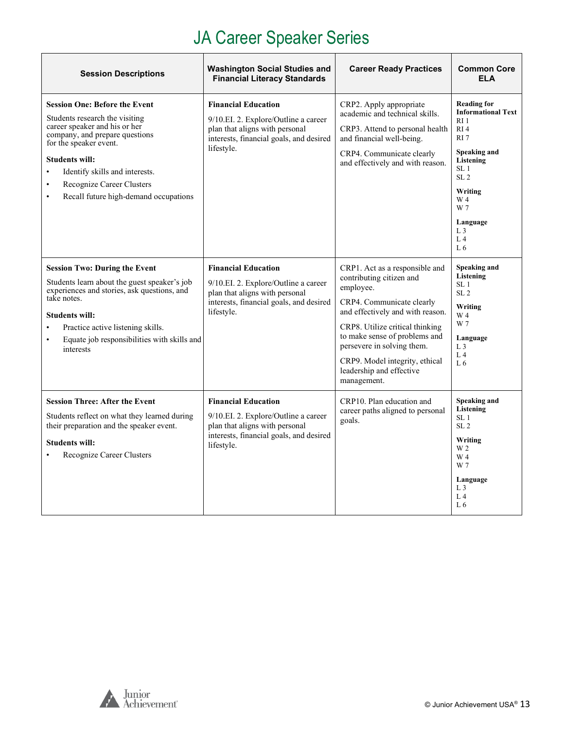### JA Career Speaker Series

| <b>Session Descriptions</b>                                                                                                                                                                                                                                                                                                    | <b>Washington Social Studies and</b><br><b>Financial Literacy Standards</b>                                                                                     | <b>Career Ready Practices</b>                                                                                                                                                                                                                                                                                           | <b>Common Core</b><br><b>ELA</b>                                                                                                                                                                                                                                        |
|--------------------------------------------------------------------------------------------------------------------------------------------------------------------------------------------------------------------------------------------------------------------------------------------------------------------------------|-----------------------------------------------------------------------------------------------------------------------------------------------------------------|-------------------------------------------------------------------------------------------------------------------------------------------------------------------------------------------------------------------------------------------------------------------------------------------------------------------------|-------------------------------------------------------------------------------------------------------------------------------------------------------------------------------------------------------------------------------------------------------------------------|
| <b>Session One: Before the Event</b><br>Students research the visiting<br>career speaker and his or her<br>company, and prepare questions<br>for the speaker event.<br><b>Students will:</b><br>Identify skills and interests.<br>$\bullet$<br>Recognize Career Clusters<br>$\bullet$<br>Recall future high-demand occupations | <b>Financial Education</b><br>9/10.EI. 2. Explore/Outline a career<br>plan that aligns with personal<br>interests, financial goals, and desired<br>lifestyle.   | CRP2. Apply appropriate<br>academic and technical skills.<br>CRP3. Attend to personal health<br>and financial well-being.<br>CRP4. Communicate clearly<br>and effectively and with reason.                                                                                                                              | <b>Reading for</b><br><b>Informational Text</b><br>R <sub>I</sub> 1<br>RI <sub>4</sub><br>RI <sub>7</sub><br>Speaking and<br>Listening<br>SL <sub>1</sub><br>SL <sub>2</sub><br>Writing<br>W 4<br>W 7<br>Language<br>L <sub>3</sub><br>L <sub>4</sub><br>L <sub>6</sub> |
| <b>Session Two: During the Event</b><br>Students learn about the guest speaker's job<br>experiences and stories, ask questions, and<br>take notes.<br><b>Students will:</b><br>Practice active listening skills.<br>Equate job responsibilities with skills and<br>interests                                                   | <b>Financial Education</b><br>$9/10.EI.$ 2. Explore/Outline a career<br>plan that aligns with personal<br>interests, financial goals, and desired<br>lifestyle. | CRP1. Act as a responsible and<br>contributing citizen and<br>employee.<br>CRP4. Communicate clearly<br>and effectively and with reason.<br>CRP8. Utilize critical thinking<br>to make sense of problems and<br>persevere in solving them.<br>CRP9. Model integrity, ethical<br>leadership and effective<br>management. | Speaking and<br>Listening<br>SL <sub>1</sub><br>SL <sub>2</sub><br>Writing<br>W 4<br>W 7<br>Language<br>L <sub>3</sub><br>L <sub>4</sub><br>L <sub>6</sub>                                                                                                              |
| <b>Session Three: After the Event</b><br>Students reflect on what they learned during<br>their preparation and the speaker event.<br><b>Students will:</b><br>Recognize Career Clusters                                                                                                                                        | <b>Financial Education</b><br>9/10.EI. 2. Explore/Outline a career<br>plan that aligns with personal<br>interests, financial goals, and desired<br>lifestyle.   | CRP10. Plan education and<br>career paths aligned to personal<br>goals.                                                                                                                                                                                                                                                 | Speaking and<br>Listening<br>SL <sub>1</sub><br>SL <sub>2</sub><br>Writing<br>W 2<br>W 4<br>W 7<br>Language<br>L <sub>3</sub><br>L <sub>4</sub><br>L <sub>6</sub>                                                                                                       |



 $\overline{1}$ 

٦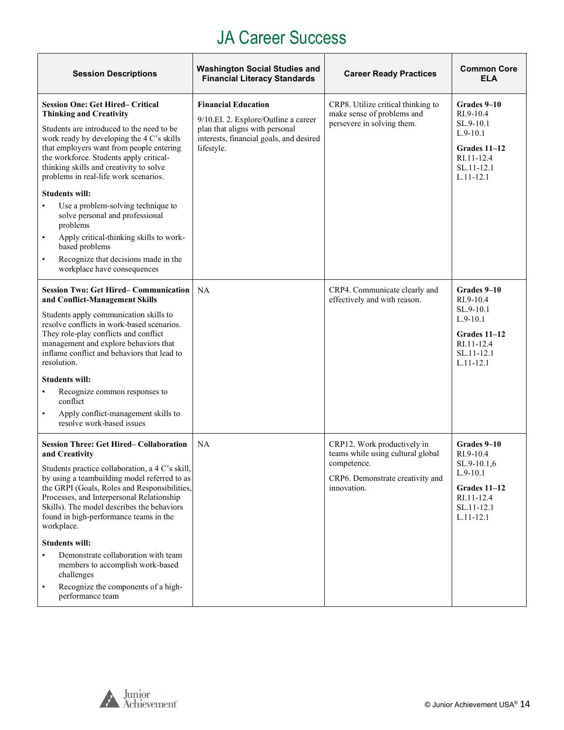#### JA Career Success

<span id="page-13-0"></span>

| <b>Session Descriptions</b>                                                                                                                                                                                                                                                                                                                                                                                                                                                                                                                                                                                   | <b>Washington Social Studies and</b><br><b>Financial Literacy Standards</b>                                                                                   | <b>Career Ready Practices</b>                                                                                                      | <b>Common Core</b><br><b>ELA</b>                                                                                 |
|---------------------------------------------------------------------------------------------------------------------------------------------------------------------------------------------------------------------------------------------------------------------------------------------------------------------------------------------------------------------------------------------------------------------------------------------------------------------------------------------------------------------------------------------------------------------------------------------------------------|---------------------------------------------------------------------------------------------------------------------------------------------------------------|------------------------------------------------------------------------------------------------------------------------------------|------------------------------------------------------------------------------------------------------------------|
| <b>Session One: Get Hired– Critical</b><br><b>Thinking and Creativity</b><br>Students are introduced to the need to be<br>work ready by developing the 4 C's skills<br>that employers want from people entering<br>the workforce. Students apply critical-<br>thinking skills and creativity to solve<br>problems in real-life work scenarios.<br><b>Students will:</b><br>Use a problem-solving technique to<br>solve personal and professional<br>problems<br>Apply critical-thinking skills to work-<br>based problems<br>Recognize that decisions made in the<br>$\bullet$<br>workplace have consequences | <b>Financial Education</b><br>9/10.EI. 2. Explore/Outline a career<br>plan that aligns with personal<br>interests, financial goals, and desired<br>lifestyle. | CRP8. Utilize critical thinking to<br>make sense of problems and<br>persevere in solving them.                                     | Grades 9-10<br>RI.9-10.4<br>SL.9-10.1<br>$L.9-10.1$<br>Grades 11-12<br>RI.11-12.4<br>SL.11-12.1<br>$L.11 - 12.1$ |
| <b>Session Two: Get Hired- Communication</b><br>and Conflict-Management Skills<br>Students apply communication skills to<br>resolve conflicts in work-based scenarios.<br>They role-play conflicts and conflict<br>management and explore behaviors that<br>inflame conflict and behaviors that lead to<br>resolution.<br><b>Students will:</b><br>Recognize common responses to<br>$\bullet$<br>conflict<br>Apply conflict-management skills to<br>resolve work-based issues                                                                                                                                 | NA                                                                                                                                                            | CRP4. Communicate clearly and<br>effectively and with reason.                                                                      | Grades 9-10<br>RI.9-10.4<br>SL.9-10.1<br>$L.9-10.1$<br>Grades 11-12<br>RI.11-12.4<br>SL.11-12.1<br>$L.11 - 12.1$ |
| <b>Session Three: Get Hired– Collaboration</b><br>and Creativity<br>Students practice collaboration, a 4 C's skill,<br>by using a teambuilding model referred to as<br>the GRPI (Goals, Roles and Responsibilities,<br>Processes, and Interpersonal Relationship<br>Skills). The model describes the behaviors<br>found in high-performance teams in the<br>workplace.<br><b>Students will:</b><br>Demonstrate collaboration with team<br>$\bullet$<br>members to accomplish work-based<br>challenges<br>Recognize the components of a high-<br>$\bullet$<br>performance team                                 | NA                                                                                                                                                            | CRP12. Work productively in<br>teams while using cultural global<br>competence.<br>CRP6. Demonstrate creativity and<br>innovation. | Grades 9-10<br>RI.9-10.4<br>SL.9-10.1,6<br>$L.9-10.1$<br>Grades 11-12<br>RI.11-12.4<br>SL.11-12.1<br>$L.11-12.1$ |

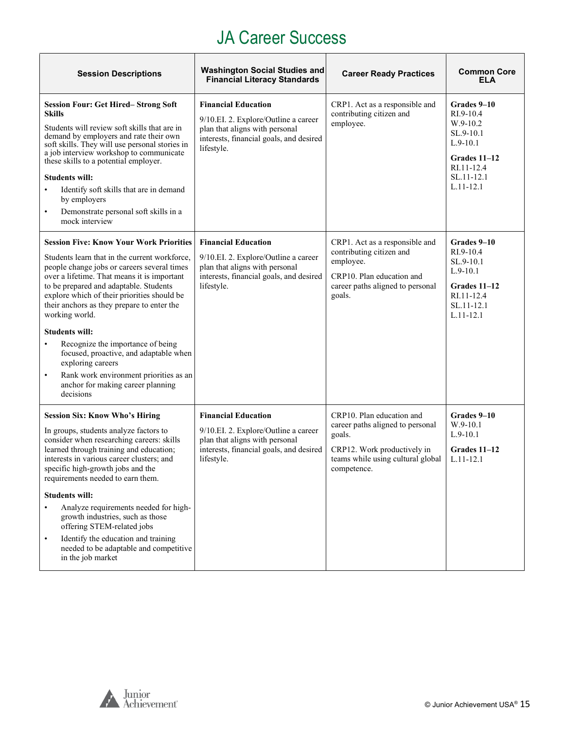#### JA Career Success

| <b>Session Descriptions</b>                                                                                                                                                                                                                                                                                                                                                                                                                                                                                                                                                                               | <b>Washington Social Studies and</b><br><b>Financial Literacy Standards</b>                                                                                   | <b>Career Ready Practices</b>                                                                                                                              | <b>Common Core</b><br><b>ELA</b>                                                                                             |
|-----------------------------------------------------------------------------------------------------------------------------------------------------------------------------------------------------------------------------------------------------------------------------------------------------------------------------------------------------------------------------------------------------------------------------------------------------------------------------------------------------------------------------------------------------------------------------------------------------------|---------------------------------------------------------------------------------------------------------------------------------------------------------------|------------------------------------------------------------------------------------------------------------------------------------------------------------|------------------------------------------------------------------------------------------------------------------------------|
| <b>Session Four: Get Hired-Strong Soft</b><br><b>Skills</b><br>Students will review soft skills that are in<br>demand by employers and rate their own<br>soft skills. They will use personal stories in<br>a job interview workshop to communicate<br>these skills to a potential employer.<br><b>Students will:</b><br>Identify soft skills that are in demand<br>$\bullet$<br>by employers<br>Demonstrate personal soft skills in a<br>$\bullet$<br>mock interview                                                                                                                                      | <b>Financial Education</b><br>9/10.EI. 2. Explore/Outline a career<br>plan that aligns with personal<br>interests, financial goals, and desired<br>lifestyle. | CRP1. Act as a responsible and<br>contributing citizen and<br>employee.                                                                                    | Grades 9-10<br>$RI.9-10.4$<br>W.9-10.2<br>SL.9-10.1<br>$L.9-10.1$<br>Grades 11-12<br>RI.11-12.4<br>SL.11-12.1<br>$L.11-12.1$ |
| <b>Session Five: Know Your Work Priorities</b><br>Students learn that in the current workforce.<br>people change jobs or careers several times<br>over a lifetime. That means it is important<br>to be prepared and adaptable. Students<br>explore which of their priorities should be<br>their anchors as they prepare to enter the<br>working world.<br><b>Students will:</b><br>Recognize the importance of being<br>$\bullet$<br>focused, proactive, and adaptable when<br>exploring careers<br>Rank work environment priorities as an<br>$\bullet$<br>anchor for making career planning<br>decisions | <b>Financial Education</b><br>9/10.EI. 2. Explore/Outline a career<br>plan that aligns with personal<br>interests, financial goals, and desired<br>lifestyle. | CRP1. Act as a responsible and<br>contributing citizen and<br>employee.<br>CRP10. Plan education and<br>career paths aligned to personal<br>goals.         | Grades 9–10<br>$RI.9-10.4$<br>SL.9-10.1<br>$L.9-10.1$<br>Grades 11-12<br>RI.11-12.4<br>SL.11-12.1<br>$L.11-12.1$             |
| <b>Session Six: Know Who's Hiring</b><br>In groups, students analyze factors to<br>consider when researching careers: skills<br>learned through training and education;<br>interests in various career clusters; and<br>specific high-growth jobs and the<br>requirements needed to earn them.<br><b>Students will:</b><br>Analyze requirements needed for high-<br>$\bullet$<br>growth industries, such as those<br>offering STEM-related jobs<br>Identify the education and training<br>$\bullet$<br>needed to be adaptable and competitive<br>in the job market                                        | <b>Financial Education</b><br>9/10.EI. 2. Explore/Outline a career<br>plan that aligns with personal<br>interests, financial goals, and desired<br>lifestyle. | CRP10. Plan education and<br>career paths aligned to personal<br>goals.<br>CRP12. Work productively in<br>teams while using cultural global<br>competence. | Grades 9-10<br>W.9-10.1<br>$L.9-10.1$<br>Grades 11-12<br>$L.11 - 12.1$                                                       |

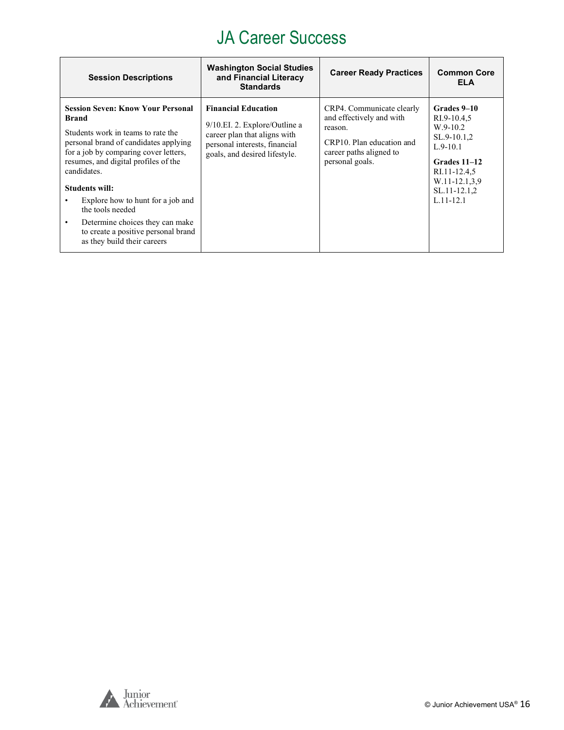#### JA Career Success

| <b>Session Descriptions</b>                                                                                                                                                                                                                                                                                                                                                                                                             | <b>Washington Social Studies</b><br>and Financial Literacy<br><b>Standards</b>                                                                                | <b>Career Ready Practices</b>                                                                                                               | <b>Common Core</b><br><b>ELA</b>                                                                                                                        |
|-----------------------------------------------------------------------------------------------------------------------------------------------------------------------------------------------------------------------------------------------------------------------------------------------------------------------------------------------------------------------------------------------------------------------------------------|---------------------------------------------------------------------------------------------------------------------------------------------------------------|---------------------------------------------------------------------------------------------------------------------------------------------|---------------------------------------------------------------------------------------------------------------------------------------------------------|
| <b>Session Seven: Know Your Personal</b><br><b>Brand</b><br>Students work in teams to rate the<br>personal brand of candidates applying<br>for a job by comparing cover letters,<br>resumes, and digital profiles of the<br>candidates.<br><b>Students will:</b><br>Explore how to hunt for a job and<br>the tools needed<br>Determine choices they can make<br>٠<br>to create a positive personal brand<br>as they build their careers | <b>Financial Education</b><br>9/10.EI. 2. Explore/Outline a<br>career plan that aligns with<br>personal interests, financial<br>goals, and desired lifestyle. | CRP4. Communicate clearly<br>and effectively and with<br>reason.<br>CRP10. Plan education and<br>career paths aligned to<br>personal goals. | Grades 9-10<br>RI.9-10.4,5<br>$W.9-10.2$<br>SL.9-10.1,2<br>$L.9-10.1$<br>Grades 11–12<br>RI.11-12.4,5<br>W.11-12.1.3.9<br>SL.11-12.1,2<br>$L.11 - 12.1$ |

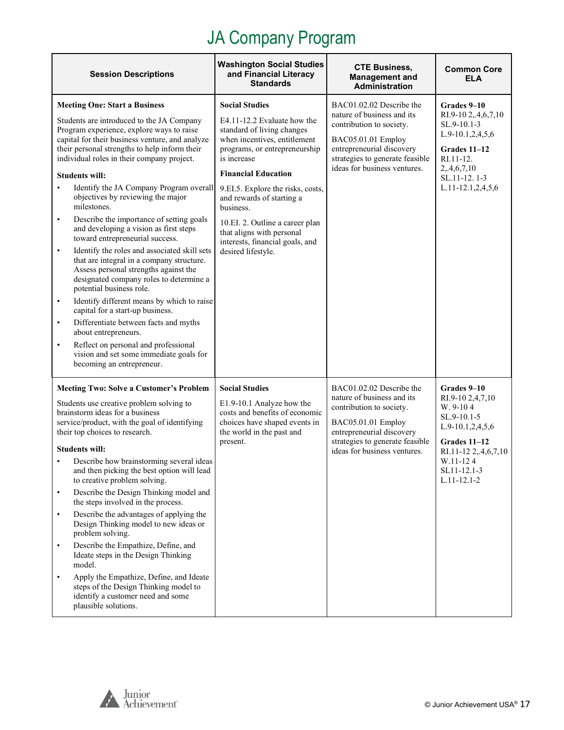<span id="page-16-0"></span>

| <b>Session Descriptions</b>                                                                                                                                                                                                                                                                                                                                                                                                                                                                                                                                                                                                                                                                                                                                                                                                                                                                                                                                                                                                                                                        | <b>Washington Social Studies</b><br>and Financial Literacy<br><b>Standards</b>                                                                                                                                                                                                                                                                                                                           | <b>CTE Business,</b><br><b>Management and</b><br>Administration                                                                                                                                          | <b>Common Core</b><br><b>ELA</b>                                                                                                                                         |
|------------------------------------------------------------------------------------------------------------------------------------------------------------------------------------------------------------------------------------------------------------------------------------------------------------------------------------------------------------------------------------------------------------------------------------------------------------------------------------------------------------------------------------------------------------------------------------------------------------------------------------------------------------------------------------------------------------------------------------------------------------------------------------------------------------------------------------------------------------------------------------------------------------------------------------------------------------------------------------------------------------------------------------------------------------------------------------|----------------------------------------------------------------------------------------------------------------------------------------------------------------------------------------------------------------------------------------------------------------------------------------------------------------------------------------------------------------------------------------------------------|----------------------------------------------------------------------------------------------------------------------------------------------------------------------------------------------------------|--------------------------------------------------------------------------------------------------------------------------------------------------------------------------|
| <b>Meeting One: Start a Business</b><br>Students are introduced to the JA Company<br>Program experience, explore ways to raise<br>capital for their business venture, and analyze<br>their personal strengths to help inform their<br>individual roles in their company project.<br><b>Students will:</b><br>Identify the JA Company Program overall<br>objectives by reviewing the major<br>milestones.<br>Describe the importance of setting goals<br>$\bullet$<br>and developing a vision as first steps<br>toward entrepreneurial success.<br>Identify the roles and associated skill sets<br>$\bullet$<br>that are integral in a company structure.<br>Assess personal strengths against the<br>designated company roles to determine a<br>potential business role.<br>Identify different means by which to raise<br>$\bullet$<br>capital for a start-up business.<br>Differentiate between facts and myths<br>$\bullet$<br>about entrepreneurs.<br>Reflect on personal and professional<br>$\bullet$<br>vision and set some immediate goals for<br>becoming an entrepreneur. | <b>Social Studies</b><br>E4.11-12.2 Evaluate how the<br>standard of living changes<br>when incentives, entitlement<br>programs, or entrepreneurship<br>is increase<br><b>Financial Education</b><br>9.EI.5. Explore the risks, costs,<br>and rewards of starting a<br>business.<br>10.EI. 2. Outline a career plan<br>that aligns with personal<br>interests, financial goals, and<br>desired lifestyle. | BAC01.02.02 Describe the<br>nature of business and its<br>contribution to society.<br>BAC05.01.01 Employ<br>entrepreneurial discovery<br>strategies to generate feasible<br>ideas for business ventures. | Grades 9-10<br>RI.9-10 2,.4,6,7,10<br>SL.9-10.1-3<br>L.9-10.1,2,4,5,6<br>Grades 11-12<br>RI.11-12.<br>2, 4, 6, 7, 10<br>SL.11-12.1-3<br>L.11-12.1,2,4,5,6                |
| <b>Meeting Two: Solve a Customer's Problem</b><br>Students use creative problem solving to<br>brainstorm ideas for a business<br>service/product, with the goal of identifying<br>their top choices to research.<br><b>Students will:</b><br>Describe how brainstorming several ideas<br>and then picking the best option will lead<br>to creative problem solving.<br>Describe the Design Thinking model and<br>$\bullet$<br>the steps involved in the process.<br>Describe the advantages of applying the<br>$\bullet$<br>Design Thinking model to new ideas or<br>problem solving.<br>Describe the Empathize, Define, and<br>$\bullet$<br>Ideate steps in the Design Thinking<br>model.<br>Apply the Empathize, Define, and Ideate<br>$\bullet$<br>steps of the Design Thinking model to<br>identify a customer need and some<br>plausible solutions.                                                                                                                                                                                                                           | <b>Social Studies</b><br>E1.9-10.1 Analyze how the<br>costs and benefits of economic<br>choices have shaped events in<br>the world in the past and<br>present.                                                                                                                                                                                                                                           | BAC01.02.02 Describe the<br>nature of business and its<br>contribution to society.<br>BAC05.01.01 Employ<br>entrepreneurial discovery<br>strategies to generate feasible<br>ideas for business ventures. | Grades 9-10<br>RI.9-10 2,4,7,10<br>W. 9-104<br>$SL.9-10.1-5$<br>L.9-10.1,2,4,5,6<br>Grades 11-12<br>RI.11-12 2,.4,6,7,10<br>W.11-124<br>SL11-12.1-3<br>$L.11 - 12.1 - 2$ |

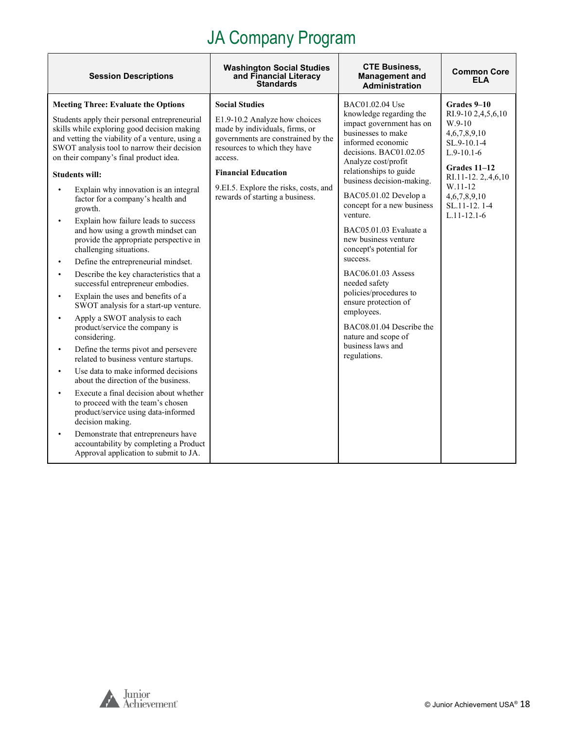| <b>Session Descriptions</b>                                                                                                                                                                                                                                                                                                                                                                                                                                                                                                                                                                                                                                                                                                                                                                                                                                                                                                                                                                                                                                                                                                                                                                                                                                                                                                                  | <b>Washington Social Studies</b><br>and Financial Literacy<br><b>Standards</b>                                                                                                                                                                                                      | <b>CTE Business,</b><br><b>Management and</b><br><b>Administration</b>                                                                                                                                                                                                                                                                                                                                                                                                                                                                                                               | <b>Common Core</b><br>FI A                                                                                                                                                                         |
|----------------------------------------------------------------------------------------------------------------------------------------------------------------------------------------------------------------------------------------------------------------------------------------------------------------------------------------------------------------------------------------------------------------------------------------------------------------------------------------------------------------------------------------------------------------------------------------------------------------------------------------------------------------------------------------------------------------------------------------------------------------------------------------------------------------------------------------------------------------------------------------------------------------------------------------------------------------------------------------------------------------------------------------------------------------------------------------------------------------------------------------------------------------------------------------------------------------------------------------------------------------------------------------------------------------------------------------------|-------------------------------------------------------------------------------------------------------------------------------------------------------------------------------------------------------------------------------------------------------------------------------------|--------------------------------------------------------------------------------------------------------------------------------------------------------------------------------------------------------------------------------------------------------------------------------------------------------------------------------------------------------------------------------------------------------------------------------------------------------------------------------------------------------------------------------------------------------------------------------------|----------------------------------------------------------------------------------------------------------------------------------------------------------------------------------------------------|
| <b>Meeting Three: Evaluate the Options</b><br>Students apply their personal entrepreneurial<br>skills while exploring good decision making<br>and vetting the viability of a venture, using a<br>SWOT analysis tool to narrow their decision<br>on their company's final product idea.<br><b>Students will:</b><br>Explain why innovation is an integral<br>$\bullet$<br>factor for a company's health and<br>growth.<br>Explain how failure leads to success<br>and how using a growth mindset can<br>provide the appropriate perspective in<br>challenging situations.<br>Define the entrepreneurial mindset.<br>$\bullet$<br>Describe the key characteristics that a<br>successful entrepreneur embodies.<br>Explain the uses and benefits of a<br>SWOT analysis for a start-up venture.<br>Apply a SWOT analysis to each<br>product/service the company is<br>considering.<br>Define the terms pivot and persevere<br>related to business venture startups.<br>Use data to make informed decisions<br>about the direction of the business.<br>Execute a final decision about whether<br>$\bullet$<br>to proceed with the team's chosen<br>product/service using data-informed<br>decision making.<br>Demonstrate that entrepreneurs have<br>$\bullet$<br>accountability by completing a Product<br>Approval application to submit to JA. | <b>Social Studies</b><br>E1.9-10.2 Analyze how choices<br>made by individuals, firms, or<br>governments are constrained by the<br>resources to which they have<br>access.<br><b>Financial Education</b><br>9.EI.5. Explore the risks, costs, and<br>rewards of starting a business. | BAC01.02.04 Use<br>knowledge regarding the<br>impact government has on<br>businesses to make<br>informed economic<br>decisions. BAC01.02.05<br>Analyze cost/profit<br>relationships to guide<br>business decision-making.<br>BAC05.01.02 Develop a<br>concept for a new business<br>venture.<br>BAC05.01.03 Evaluate a<br>new business venture<br>concept's potential for<br>success.<br>BAC06.01.03 Assess<br>needed safety<br>policies/procedures to<br>ensure protection of<br>employees.<br>BAC08.01.04 Describe the<br>nature and scope of<br>business laws and<br>regulations. | Grades 9-10<br>RI.9-10 2,4,5,6,10<br>$W.9-10$<br>4,6,7,8,9,10<br>SL.9-10.1-4<br>$L.9-10.1-6$<br>Grades 11-12<br>RI.11-12.2,.4,6,10<br>W.11-12<br>4,6,7,8,9,10<br>SL.11-12.1-4<br>$L.11 - 12.1 - 6$ |

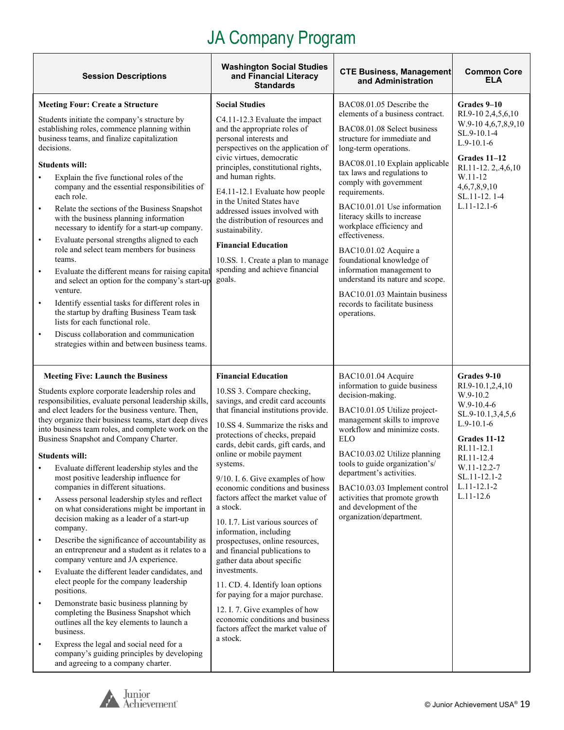| <b>Session Descriptions</b>                                                                                                                                                                                                                                                                                                                                                                                                                                                                                                                                                                                                                                                                                                                                                                                                                                                                                                                                                                                                                                                                                                                                                                                                                                                                            | <b>Washington Social Studies</b><br>and Financial Literacy<br><b>Standards</b>                                                                                                                                                                                                                                                                                                                                                                                                                                                                                                                                                                                                                                                                                                                       | <b>CTE Business, Management</b><br>and Administration                                                                                                                                                                                                                                                                                                                                                                                                                                                                                                                                | <b>Common Core</b><br>ELA                                                                                                                                                                                         |
|--------------------------------------------------------------------------------------------------------------------------------------------------------------------------------------------------------------------------------------------------------------------------------------------------------------------------------------------------------------------------------------------------------------------------------------------------------------------------------------------------------------------------------------------------------------------------------------------------------------------------------------------------------------------------------------------------------------------------------------------------------------------------------------------------------------------------------------------------------------------------------------------------------------------------------------------------------------------------------------------------------------------------------------------------------------------------------------------------------------------------------------------------------------------------------------------------------------------------------------------------------------------------------------------------------|------------------------------------------------------------------------------------------------------------------------------------------------------------------------------------------------------------------------------------------------------------------------------------------------------------------------------------------------------------------------------------------------------------------------------------------------------------------------------------------------------------------------------------------------------------------------------------------------------------------------------------------------------------------------------------------------------------------------------------------------------------------------------------------------------|--------------------------------------------------------------------------------------------------------------------------------------------------------------------------------------------------------------------------------------------------------------------------------------------------------------------------------------------------------------------------------------------------------------------------------------------------------------------------------------------------------------------------------------------------------------------------------------|-------------------------------------------------------------------------------------------------------------------------------------------------------------------------------------------------------------------|
| <b>Meeting Four: Create a Structure</b><br>Students initiate the company's structure by<br>establishing roles, commence planning within<br>business teams, and finalize capitalization<br>decisions.<br><b>Students will:</b><br>Explain the five functional roles of the<br>$\bullet$<br>company and the essential responsibilities of<br>each role.<br>Relate the sections of the Business Snapshot<br>$\bullet$<br>with the business planning information<br>necessary to identify for a start-up company.<br>Evaluate personal strengths aligned to each<br>$\bullet$<br>role and select team members for business<br>teams.<br>Evaluate the different means for raising capital<br>$\bullet$<br>and select an option for the company's start-up<br>venture.<br>Identify essential tasks for different roles in<br>$\bullet$<br>the startup by drafting Business Team task<br>lists for each functional role.<br>Discuss collaboration and communication<br>$\bullet$<br>strategies within and between business teams.                                                                                                                                                                                                                                                                             | <b>Social Studies</b><br>C4.11-12.3 Evaluate the impact<br>and the appropriate roles of<br>personal interests and<br>perspectives on the application of<br>civic virtues, democratic<br>principles, constitutional rights,<br>and human rights.<br>E4.11-12.1 Evaluate how people<br>in the United States have<br>addressed issues involved with<br>the distribution of resources and<br>sustainability.<br><b>Financial Education</b><br>10.SS. 1. Create a plan to manage<br>spending and achieve financial<br>goals.                                                                                                                                                                                                                                                                              | BAC08.01.05 Describe the<br>elements of a business contract.<br>BAC08.01.08 Select business<br>structure for immediate and<br>long-term operations.<br>BAC08.01.10 Explain applicable<br>tax laws and regulations to<br>comply with government<br>requirements.<br>BAC10.01.01 Use information<br>literacy skills to increase<br>workplace efficiency and<br>effectiveness.<br>BAC10.01.02 Acquire a<br>foundational knowledge of<br>information management to<br>understand its nature and scope.<br>BAC10.01.03 Maintain business<br>records to facilitate business<br>operations. | Grades 9-10<br>RI.9-10 2,4,5,6,10<br>W.9-10 4, 6, 7, 8, 9, 10<br>SL.9-10.1-4<br>$L.9-10.1-6$<br>Grades 11–12<br>RI.11-12.2,.4,6,10<br>W.11-12<br>4,6,7,8,9,10<br>SL.11-12.1-4<br>$L.11 - 12.1 - 6$                |
| <b>Meeting Five: Launch the Business</b><br>Students explore corporate leadership roles and<br>responsibilities, evaluate personal leadership skills,<br>and elect leaders for the business venture. Then,<br>they organize their business teams, start deep dives<br>into business team roles, and complete work on the<br>Business Snapshot and Company Charter.<br><b>Students will:</b><br>Evaluate different leadership styles and the<br>$\bullet$<br>most positive leadership influence for<br>companies in different situations.<br>Assess personal leadership styles and reflect<br>$\bullet$<br>on what considerations might be important in<br>decision making as a leader of a start-up<br>company.<br>Describe the significance of accountability as<br>$\bullet$<br>an entrepreneur and a student as it relates to a<br>company venture and JA experience.<br>Evaluate the different leader candidates, and<br>$\bullet$<br>elect people for the company leadership<br>positions.<br>Demonstrate basic business planning by<br>$\bullet$<br>completing the Business Snapshot which<br>outlines all the key elements to launch a<br>business.<br>Express the legal and social need for a<br>$\bullet$<br>company's guiding principles by developing<br>and agreeing to a company charter. | <b>Financial Education</b><br>10.SS 3. Compare checking,<br>savings, and credit card accounts<br>that financial institutions provide.<br>10.SS 4. Summarize the risks and<br>protections of checks, prepaid<br>cards, debit cards, gift cards, and<br>online or mobile payment<br>systems.<br>9/10. I. 6. Give examples of how<br>economic conditions and business<br>factors affect the market value of<br>a stock.<br>10. I.7. List various sources of<br>information, including<br>prospectuses, online resources,<br>and financial publications to<br>gather data about specific<br>investments.<br>11. CD. 4. Identify loan options<br>for paying for a major purchase.<br>12. I. 7. Give examples of how<br>economic conditions and business<br>factors affect the market value of<br>a stock. | BAC10.01.04 Acquire<br>information to guide business<br>decision-making.<br>BAC10.01.05 Utilize project-<br>management skills to improve<br>workflow and minimize costs.<br><b>ELO</b><br>BAC10.03.02 Utilize planning<br>tools to guide organization's/<br>department's activities.<br>BAC10.03.03 Implement control<br>activities that promote growth<br>and development of the<br>organization/department.                                                                                                                                                                        | Grades 9-10<br>RI.9-10.1,2,4,10<br>W.9-10.2<br>$W.9-10.4-6$<br>SL.9-10.1,3,4,5,6<br>$L.9-10.1-6$<br>Grades 11-12<br>RI.11-12.1<br>RI.11-12.4<br>W.11-12.2-7<br>SL.11-12.1-2<br>$L.11 - 12.1 - 2$<br>$L.11 - 12.6$ |

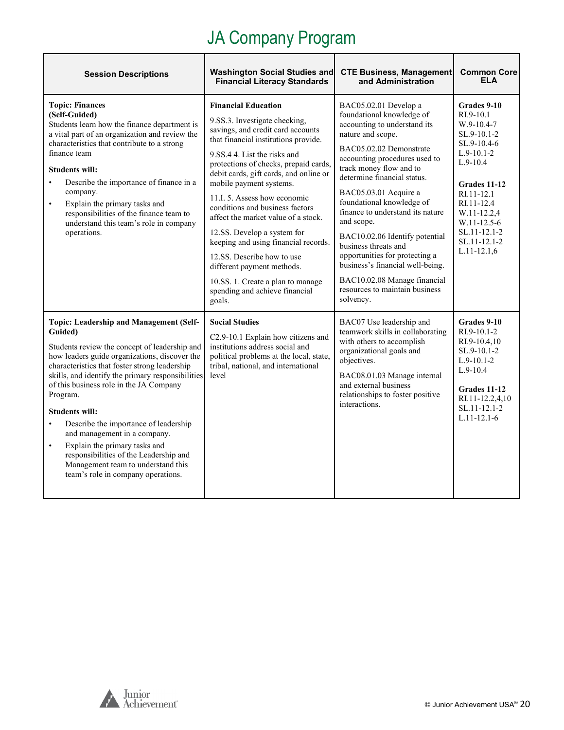| <b>Session Descriptions</b>                                                                                                                                                                                                                                                                                                                                                                                                                                                                                                                                                                                 | <b>Washington Social Studies and</b><br><b>Financial Literacy Standards</b>                                                                                                                                                                                                                                                                                                                                                                                                                                                                                                                                          | <b>CTE Business, Management</b><br>and Administration                                                                                                                                                                                                                                                                                                                                                                                                                                                                                                | <b>Common Core</b><br><b>ELA</b>                                                                                                                                                                                                          |
|-------------------------------------------------------------------------------------------------------------------------------------------------------------------------------------------------------------------------------------------------------------------------------------------------------------------------------------------------------------------------------------------------------------------------------------------------------------------------------------------------------------------------------------------------------------------------------------------------------------|----------------------------------------------------------------------------------------------------------------------------------------------------------------------------------------------------------------------------------------------------------------------------------------------------------------------------------------------------------------------------------------------------------------------------------------------------------------------------------------------------------------------------------------------------------------------------------------------------------------------|------------------------------------------------------------------------------------------------------------------------------------------------------------------------------------------------------------------------------------------------------------------------------------------------------------------------------------------------------------------------------------------------------------------------------------------------------------------------------------------------------------------------------------------------------|-------------------------------------------------------------------------------------------------------------------------------------------------------------------------------------------------------------------------------------------|
| <b>Topic: Finances</b><br>(Self-Guided)<br>Students learn how the finance department is<br>a vital part of an organization and review the<br>characteristics that contribute to a strong<br>finance team<br><b>Students will:</b><br>Describe the importance of finance in a<br>company.<br>Explain the primary tasks and<br>$\bullet$<br>responsibilities of the finance team to<br>understand this team's role in company<br>operations.                                                                                                                                                                  | <b>Financial Education</b><br>9.SS.3. Investigate checking,<br>savings, and credit card accounts<br>that financial institutions provide.<br>9.SS.4 4. List the risks and<br>protections of checks, prepaid cards,<br>debit cards, gift cards, and online or<br>mobile payment systems.<br>11.I. 5. Assess how economic<br>conditions and business factors<br>affect the market value of a stock.<br>12.SS. Develop a system for<br>keeping and using financial records.<br>12.SS. Describe how to use<br>different payment methods.<br>10.SS. 1. Create a plan to manage<br>spending and achieve financial<br>goals. | BAC05.02.01 Develop a<br>foundational knowledge of<br>accounting to understand its<br>nature and scope.<br>BAC05.02.02 Demonstrate<br>accounting procedures used to<br>track money flow and to<br>determine financial status.<br>BAC05.03.01 Acquire a<br>foundational knowledge of<br>finance to understand its nature<br>and scope.<br>BAC10.02.06 Identify potential<br>business threats and<br>opportunities for protecting a<br>business's financial well-being.<br>BAC10.02.08 Manage financial<br>resources to maintain business<br>solvency. | Grades 9-10<br>RI.9-10.1<br>$W.9-10.4-7$<br>$SL.9-10.1-2$<br>SL.9-10.4-6<br>$L.9-10.1-2$<br>$L.9-10.4$<br>Grades 11-12<br>RI.11-12.1<br>RI.11-12.4<br>W.11-12.2,4<br>$W.11 - 12.5 - 6$<br>SL.11-12.1-2<br>SL.11-12.1-2<br>$L.11 - 12.1,6$ |
| <b>Topic: Leadership and Management (Self-</b><br>Guided)<br>Students review the concept of leadership and<br>how leaders guide organizations, discover the<br>characteristics that foster strong leadership<br>skills, and identify the primary responsibilities<br>of this business role in the JA Company<br>Program.<br><b>Students will:</b><br>Describe the importance of leadership<br>$\bullet$<br>and management in a company.<br>Explain the primary tasks and<br>$\bullet$<br>responsibilities of the Leadership and<br>Management team to understand this<br>team's role in company operations. | <b>Social Studies</b><br>C2.9-10.1 Explain how citizens and<br>institutions address social and<br>political problems at the local, state,<br>tribal, national, and international<br>level                                                                                                                                                                                                                                                                                                                                                                                                                            | BAC07 Use leadership and<br>teamwork skills in collaborating<br>with others to accomplish<br>organizational goals and<br>objectives.<br>BAC08.01.03 Manage internal<br>and external business<br>relationships to foster positive<br>interactions.                                                                                                                                                                                                                                                                                                    | Grades 9-10<br>$RI.9-10.1-2$<br>RI.9-10.4,10<br>SL.9-10.1-2<br>$L.9-10.1-2$<br>$L.9 - 10.4$<br>Grades 11-12<br>RI.11-12.2,4,10<br>SL.11-12.1-2<br>$L.11 - 12.1 - 6$                                                                       |

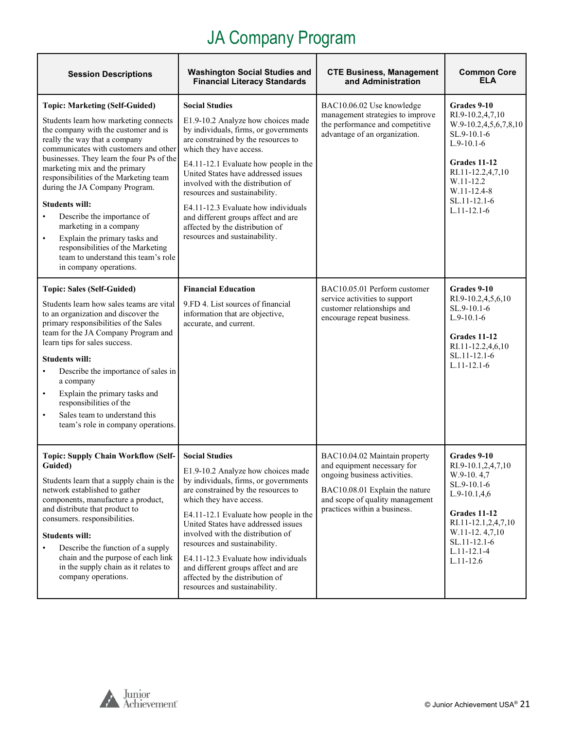| <b>Session Descriptions</b>                                                                                                                                                                                                                                                                                                                                                                                                                                                                                                                                                                                  | <b>Washington Social Studies and</b><br><b>Financial Literacy Standards</b>                                                                                                                                                                                                                                                                                                                                                                                                    | <b>CTE Business, Management</b><br>and Administration                                                                                                                                             | <b>Common Core</b><br>ELA                                                                                                                                                                           |
|--------------------------------------------------------------------------------------------------------------------------------------------------------------------------------------------------------------------------------------------------------------------------------------------------------------------------------------------------------------------------------------------------------------------------------------------------------------------------------------------------------------------------------------------------------------------------------------------------------------|--------------------------------------------------------------------------------------------------------------------------------------------------------------------------------------------------------------------------------------------------------------------------------------------------------------------------------------------------------------------------------------------------------------------------------------------------------------------------------|---------------------------------------------------------------------------------------------------------------------------------------------------------------------------------------------------|-----------------------------------------------------------------------------------------------------------------------------------------------------------------------------------------------------|
| <b>Topic: Marketing (Self-Guided)</b><br>Students learn how marketing connects<br>the company with the customer and is<br>really the way that a company<br>communicates with customers and other<br>businesses. They learn the four Ps of the<br>marketing mix and the primary<br>responsibilities of the Marketing team<br>during the JA Company Program.<br><b>Students will:</b><br>Describe the importance of<br>$\bullet$<br>marketing in a company<br>Explain the primary tasks and<br>$\bullet$<br>responsibilities of the Marketing<br>team to understand this team's role<br>in company operations. | <b>Social Studies</b><br>E1.9-10.2 Analyze how choices made<br>by individuals, firms, or governments<br>are constrained by the resources to<br>which they have access.<br>E4.11-12.1 Evaluate how people in the<br>United States have addressed issues<br>involved with the distribution of<br>resources and sustainability.<br>E4.11-12.3 Evaluate how individuals<br>and different groups affect and are<br>affected by the distribution of<br>resources and sustainability. | BAC10.06.02 Use knowledge<br>management strategies to improve<br>the performance and competitive<br>advantage of an organization.                                                                 | Grades 9-10<br>RI.9-10.2,4,7,10<br>W.9-10.2,4,5,6,7,8,10<br>SL.9-10.1-6<br>$L.9-10.1-6$<br>Grades 11-12<br>RI.11-12.2,4,7,10<br>W.11-12.2<br>W.11-12.4-8<br>SL.11-12.1-6<br>$L.11 - 12.1 - 6$       |
| <b>Topic: Sales (Self-Guided)</b><br>Students learn how sales teams are vital<br>to an organization and discover the<br>primary responsibilities of the Sales<br>team for the JA Company Program and<br>learn tips for sales success.<br><b>Students will:</b><br>Describe the importance of sales in<br>$\bullet$<br>a company<br>Explain the primary tasks and<br>$\bullet$<br>responsibilities of the<br>Sales team to understand this<br>$\bullet$<br>team's role in company operations.                                                                                                                 | <b>Financial Education</b><br>9.FD 4. List sources of financial<br>information that are objective,<br>accurate, and current.                                                                                                                                                                                                                                                                                                                                                   | BAC10.05.01 Perform customer<br>service activities to support<br>customer relationships and<br>encourage repeat business.                                                                         | Grades 9-10<br>RI.9-10.2,4,5,6,10<br>SL.9-10.1-6<br>$L.9-10.1-6$<br>Grades 11-12<br>RI.11-12.2,4,6,10<br>SL.11-12.1-6<br>$L.11 - 12.1 - 6$                                                          |
| <b>Topic: Supply Chain Workflow (Self-</b><br>Guided)<br>Students learn that a supply chain is the<br>network established to gather<br>components, manufacture a product,<br>and distribute that product to<br>consumers. responsibilities.<br><b>Students will:</b><br>Describe the function of a supply<br>chain and the purpose of each link<br>in the supply chain as it relates to<br>company operations.                                                                                                                                                                                               | <b>Social Studies</b><br>E1.9-10.2 Analyze how choices made<br>by individuals, firms, or governments<br>are constrained by the resources to<br>which they have access.<br>E4.11-12.1 Evaluate how people in the<br>United States have addressed issues<br>involved with the distribution of<br>resources and sustainability.<br>E4.11-12.3 Evaluate how individuals<br>and different groups affect and are<br>affected by the distribution of<br>resources and sustainability. | BAC10.04.02 Maintain property<br>and equipment necessary for<br>ongoing business activities.<br>BAC10.08.01 Explain the nature<br>and scope of quality management<br>practices within a business. | Grades 9-10<br>RI.9-10.1,2,4,7,10<br>$W.9-10.4,7$<br>SL.9-10.1-6<br>$L.9-10.1,4,6$<br>Grades 11-12<br>RI.11-12.1,2,4,7,10<br>W.11-12.4,7,10<br>$SL.11-12.1-6$<br>$L.11 - 12.1 - 4$<br>$L.11 - 12.6$ |

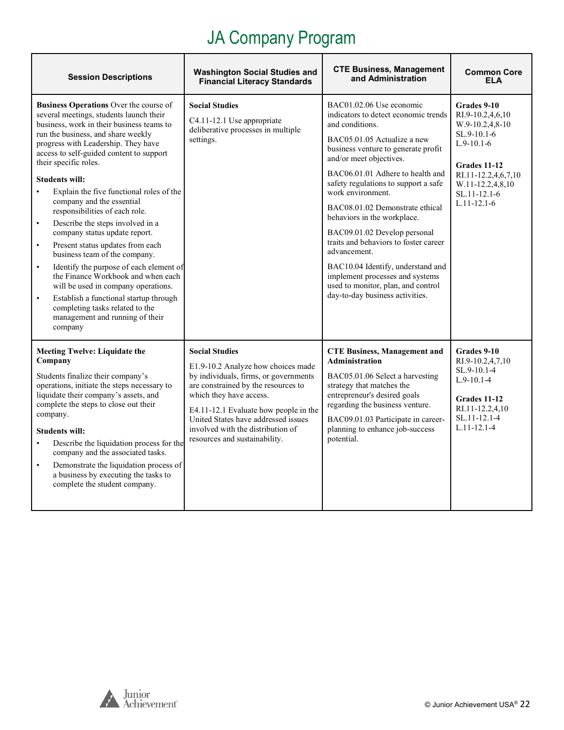| <b>Session Descriptions</b>                                                                                                                                                                                                                                                                                                                                                                                                                                                                                                                                                                                                                                                                                                                                                                                                                                                        | <b>Washington Social Studies and</b><br><b>Financial Literacy Standards</b>                                                                                                                                                                                                                                                  | <b>CTE Business, Management</b><br>and Administration                                                                                                                                                                                                                                                                                                                                                                                                                                                                                                                                             | <b>Common Core</b><br><b>ELA</b>                                                                                                                                                      |
|------------------------------------------------------------------------------------------------------------------------------------------------------------------------------------------------------------------------------------------------------------------------------------------------------------------------------------------------------------------------------------------------------------------------------------------------------------------------------------------------------------------------------------------------------------------------------------------------------------------------------------------------------------------------------------------------------------------------------------------------------------------------------------------------------------------------------------------------------------------------------------|------------------------------------------------------------------------------------------------------------------------------------------------------------------------------------------------------------------------------------------------------------------------------------------------------------------------------|---------------------------------------------------------------------------------------------------------------------------------------------------------------------------------------------------------------------------------------------------------------------------------------------------------------------------------------------------------------------------------------------------------------------------------------------------------------------------------------------------------------------------------------------------------------------------------------------------|---------------------------------------------------------------------------------------------------------------------------------------------------------------------------------------|
| Business Operations Over the course of<br>several meetings, students launch their<br>business, work in their business teams to<br>run the business, and share weekly<br>progress with Leadership. They have<br>access to self-guided content to support<br>their specific roles.<br><b>Students will:</b><br>Explain the five functional roles of the<br>$\bullet$<br>company and the essential<br>responsibilities of each role.<br>Describe the steps involved in a<br>$\bullet$<br>company status update report.<br>Present status updates from each<br>$\bullet$<br>business team of the company.<br>Identify the purpose of each element of<br>$\bullet$<br>the Finance Workbook and when each<br>will be used in company operations.<br>$\bullet$<br>Establish a functional startup through<br>completing tasks related to the<br>management and running of their<br>company | <b>Social Studies</b><br>C4.11-12.1 Use appropriate<br>deliberative processes in multiple<br>settings.                                                                                                                                                                                                                       | BAC01.02.06 Use economic<br>indicators to detect economic trends<br>and conditions.<br>BAC05.01.05 Actualize a new<br>business venture to generate profit<br>and/or meet objectives.<br>BAC06.01.01 Adhere to health and<br>safety regulations to support a safe<br>work environment.<br>BAC08.01.02 Demonstrate ethical<br>behaviors in the workplace.<br>BAC09.01.02 Develop personal<br>traits and behaviors to foster career<br>advancement.<br>BAC10.04 Identify, understand and<br>implement processes and systems<br>used to monitor, plan, and control<br>day-to-day business activities. | Grades 9-10<br>RI.9-10.2,4,6,10<br>$W.9-10.2,4,8-10$<br>SL.9-10.1-6<br>$L.9-10.1-6$<br>Grades 11-12<br>RI.11-12.2,4,6,7,10<br>W.11-12.2,4,8,10<br>$SL.11-12.1-6$<br>$L.11 - 12.1 - 6$ |
| <b>Meeting Twelve: Liquidate the</b><br>Company<br>Students finalize their company's<br>operations, initiate the steps necessary to<br>liquidate their company's assets, and<br>complete the steps to close out their<br>company.<br><b>Students will:</b><br>Describe the liquidation process for the<br>$\bullet$<br>company and the associated tasks.<br>Demonstrate the liquidation process of<br>$\bullet$<br>a business by executing the tasks to<br>complete the student company.                                                                                                                                                                                                                                                                                                                                                                                           | <b>Social Studies</b><br>E1.9-10.2 Analyze how choices made<br>by individuals, firms, or governments<br>are constrained by the resources to<br>which they have access.<br>E4.11-12.1 Evaluate how people in the<br>United States have addressed issues<br>involved with the distribution of<br>resources and sustainability. | <b>CTE Business, Management and</b><br><b>Administration</b><br>BAC05.01.06 Select a harvesting<br>strategy that matches the<br>entrepreneur's desired goals<br>regarding the business venture.<br>BAC09.01.03 Participate in career-<br>planning to enhance job-success<br>potential.                                                                                                                                                                                                                                                                                                            | Grades 9-10<br>RI.9-10.2,4,7,10<br>SL.9-10.1-4<br>$L.9-10.1-4$<br>Grades 11-12<br>RI.11-12.2,4,10<br>SL.11-12.1-4<br>$L.11 - 12.1 - 4$                                                |

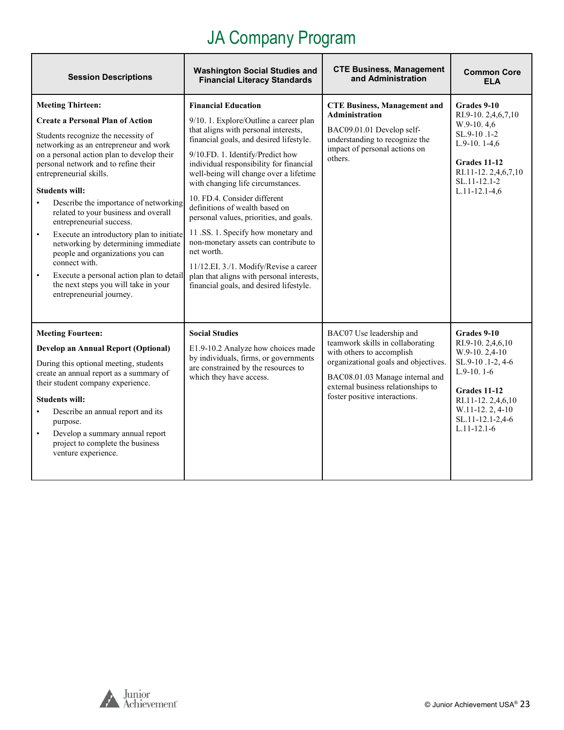| <b>Session Descriptions</b>                                                                                                                                                                                                                                                                                                                                                                                                                                                                                                                                                                                                                                                                                | <b>Washington Social Studies and</b><br><b>Financial Literacy Standards</b>                                                                                                                                                                                                                                                                                                                                                                                                                                                                                                                                                                                        | <b>CTE Business, Management</b><br>and Administration                                                                                                                                                                                       | <b>Common Core</b><br><b>ELA</b>                                                                                                                                                         |
|------------------------------------------------------------------------------------------------------------------------------------------------------------------------------------------------------------------------------------------------------------------------------------------------------------------------------------------------------------------------------------------------------------------------------------------------------------------------------------------------------------------------------------------------------------------------------------------------------------------------------------------------------------------------------------------------------------|--------------------------------------------------------------------------------------------------------------------------------------------------------------------------------------------------------------------------------------------------------------------------------------------------------------------------------------------------------------------------------------------------------------------------------------------------------------------------------------------------------------------------------------------------------------------------------------------------------------------------------------------------------------------|---------------------------------------------------------------------------------------------------------------------------------------------------------------------------------------------------------------------------------------------|------------------------------------------------------------------------------------------------------------------------------------------------------------------------------------------|
| <b>Meeting Thirteen:</b><br><b>Create a Personal Plan of Action</b><br>Students recognize the necessity of<br>networking as an entrepreneur and work<br>on a personal action plan to develop their<br>personal network and to refine their<br>entrepreneurial skills.<br><b>Students will:</b><br>Describe the importance of networking<br>$\bullet$<br>related to your business and overall<br>entrepreneurial success.<br>Execute an introductory plan to initiate<br>$\bullet$<br>networking by determining immediate<br>people and organizations you can<br>connect with.<br>Execute a personal action plan to detail<br>$\bullet$<br>the next steps you will take in your<br>entrepreneurial journey. | <b>Financial Education</b><br>9/10. 1. Explore/Outline a career plan<br>that aligns with personal interests,<br>financial goals, and desired lifestyle.<br>9/10.FD. 1. Identify/Predict how<br>individual responsibility for financial<br>well-being will change over a lifetime<br>with changing life circumstances.<br>10. FD.4. Consider different<br>definitions of wealth based on<br>personal values, priorities, and goals.<br>11 .SS. 1. Specify how monetary and<br>non-monetary assets can contribute to<br>net worth.<br>11/12.EI. 3./1. Modify/Revise a career<br>plan that aligns with personal interests,<br>financial goals, and desired lifestyle. | <b>CTE Business, Management and</b><br><b>Administration</b><br>BAC09.01.01 Develop self-<br>understanding to recognize the<br>impact of personal actions on<br>others.                                                                     | Grades 9-10<br>RI.9-10. 2,4,6,7,10<br>$W.9-10.4.6$<br>SL.9-10.1-2<br>$L.9-10.1-4,6$<br>Grades 11-12<br>RI.11-12.2,4,6,7,10<br>SL.11-12.1-2<br>$L.11 - 12.1 - 4,6$                        |
| <b>Meeting Fourteen:</b><br>Develop an Annual Report (Optional)<br>During this optional meeting, students<br>create an annual report as a summary of<br>their student company experience.<br><b>Students will:</b><br>Describe an annual report and its<br>$\bullet$<br>purpose.<br>Develop a summary annual report<br>$\bullet$<br>project to complete the business<br>venture experience.                                                                                                                                                                                                                                                                                                                | <b>Social Studies</b><br>E1.9-10.2 Analyze how choices made<br>by individuals, firms, or governments<br>are constrained by the resources to<br>which they have access.                                                                                                                                                                                                                                                                                                                                                                                                                                                                                             | BAC07 Use leadership and<br>teamwork skills in collaborating<br>with others to accomplish<br>organizational goals and objectives.<br>BAC08.01.03 Manage internal and<br>external business relationships to<br>foster positive interactions. | Grades 9-10<br>RI.9-10. 2,4,6,10<br>$W.9-10.2,4-10$<br>SL.9-10.1-2, 4-6<br>$L.9-10.1-6$<br>Grades 11-12<br>RI.11-12.2,4,6,10<br>W.11-12.2, 4-10<br>SL.11-12.1-2,4-6<br>$L.11 - 12.1 - 6$ |

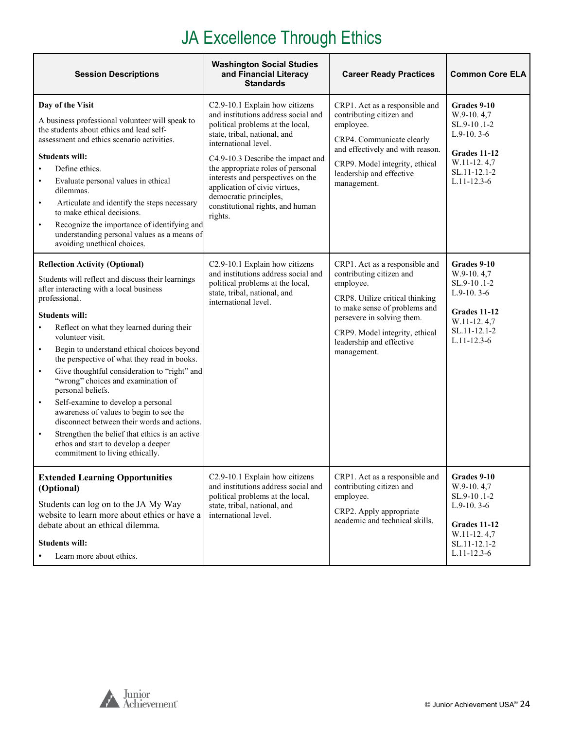#### JA Excellence Through Ethics

| <b>Session Descriptions</b>                                                                                                                                                                                                                                                                                                                                                                                                                                                                                                                                                                                                                                                                                                     | <b>Washington Social Studies</b><br>and Financial Literacy<br><b>Standards</b>                                                                                                                                                                                                                                                                                                                                               | <b>Career Ready Practices</b>                                                                                                                                                                                                                           | <b>Common Core ELA</b>                                                                                                                       |
|---------------------------------------------------------------------------------------------------------------------------------------------------------------------------------------------------------------------------------------------------------------------------------------------------------------------------------------------------------------------------------------------------------------------------------------------------------------------------------------------------------------------------------------------------------------------------------------------------------------------------------------------------------------------------------------------------------------------------------|------------------------------------------------------------------------------------------------------------------------------------------------------------------------------------------------------------------------------------------------------------------------------------------------------------------------------------------------------------------------------------------------------------------------------|---------------------------------------------------------------------------------------------------------------------------------------------------------------------------------------------------------------------------------------------------------|----------------------------------------------------------------------------------------------------------------------------------------------|
| Day of the Visit<br>A business professional volunteer will speak to<br>the students about ethics and lead self-<br>assessment and ethics scenario activities.<br><b>Students will:</b><br>Define ethics.<br>Evaluate personal values in ethical<br>dilemmas.<br>Articulate and identify the steps necessary<br>$\bullet$<br>to make ethical decisions.<br>Recognize the importance of identifying and<br>$\bullet$<br>understanding personal values as a means of<br>avoiding unethical choices.<br><b>Reflection Activity (Optional)</b>                                                                                                                                                                                       | C2.9-10.1 Explain how citizens<br>and institutions address social and<br>political problems at the local,<br>state, tribal, national, and<br>international level.<br>C4.9-10.3 Describe the impact and<br>the appropriate roles of personal<br>interests and perspectives on the<br>application of civic virtues,<br>democratic principles,<br>constitutional rights, and human<br>rights.<br>C2.9-10.1 Explain how citizens | CRP1. Act as a responsible and<br>contributing citizen and<br>employee.<br>CRP4. Communicate clearly<br>and effectively and with reason.<br>CRP9. Model integrity, ethical<br>leadership and effective<br>management.<br>CRP1. Act as a responsible and | Grades 9-10<br>W.9-10, 4.7<br>SL.9-10.1-2<br>$L.9-10.3-6$<br>Grades 11-12<br>W.11-12.4.7<br>SL.11-12.1-2<br>$L.11 - 12.3 - 6$<br>Grades 9-10 |
| Students will reflect and discuss their learnings<br>after interacting with a local business<br>professional.<br><b>Students will:</b><br>Reflect on what they learned during their<br>volunteer visit.<br>Begin to understand ethical choices beyond<br>$\bullet$<br>the perspective of what they read in books.<br>Give thoughtful consideration to "right" and<br>$\bullet$<br>"wrong" choices and examination of<br>personal beliefs.<br>Self-examine to develop a personal<br>$\bullet$<br>awareness of values to begin to see the<br>disconnect between their words and actions.<br>Strengthen the belief that ethics is an active<br>$\bullet$<br>ethos and start to develop a deeper<br>commitment to living ethically. | and institutions address social and<br>political problems at the local,<br>state, tribal, national, and<br>international level.                                                                                                                                                                                                                                                                                              | contributing citizen and<br>employee.<br>CRP8. Utilize critical thinking<br>to make sense of problems and<br>persevere in solving them.<br>CRP9. Model integrity, ethical<br>leadership and effective<br>management.                                    | W.9-10.4,7<br>SL.9-10.1-2<br>$L.9-10.3-6$<br>Grades 11-12<br>W.11-12.4,7<br>SL.11-12.1-2<br>$L.11 - 12.3 - 6$                                |
| <b>Extended Learning Opportunities</b><br>(Optional)<br>Students can log on to the JA My Way<br>website to learn more about ethics or have a<br>debate about an ethical dilemma.<br><b>Students will:</b><br>Learn more about ethics.                                                                                                                                                                                                                                                                                                                                                                                                                                                                                           | C2.9-10.1 Explain how citizens<br>and institutions address social and<br>political problems at the local,<br>state, tribal, national, and<br>international level.                                                                                                                                                                                                                                                            | CRP1. Act as a responsible and<br>contributing citizen and<br>employee.<br>CRP2. Apply appropriate<br>academic and technical skills.                                                                                                                    | Grades 9-10<br>W.9-10.4,7<br>SL.9-10.1-2<br>$L.9-10.3-6$<br>Grades 11-12<br>W.11-12.4,7<br>SL.11-12.1-2<br>$L.11 - 12.3 - 6$                 |

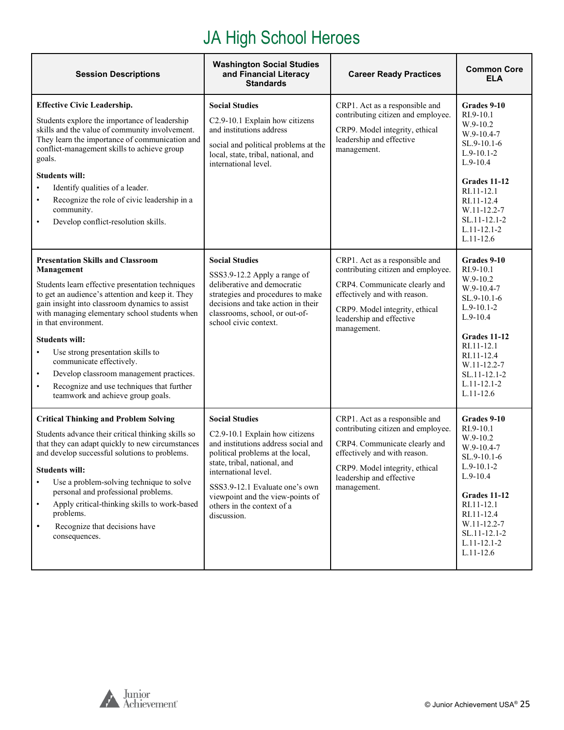#### JA High School Heroes

| <b>Session Descriptions</b>                                                                                                                                                                                                                                                                                                                                                                                                                                                                                                                             | <b>Washington Social Studies</b><br>and Financial Literacy<br><b>Standards</b>                                                                                                                                                                                                                                | <b>Career Ready Practices</b>                                                                                                                                                                                      | <b>Common Core</b><br>ELA                                                                                                                                                                                          |
|---------------------------------------------------------------------------------------------------------------------------------------------------------------------------------------------------------------------------------------------------------------------------------------------------------------------------------------------------------------------------------------------------------------------------------------------------------------------------------------------------------------------------------------------------------|---------------------------------------------------------------------------------------------------------------------------------------------------------------------------------------------------------------------------------------------------------------------------------------------------------------|--------------------------------------------------------------------------------------------------------------------------------------------------------------------------------------------------------------------|--------------------------------------------------------------------------------------------------------------------------------------------------------------------------------------------------------------------|
| <b>Effective Civic Leadership.</b><br>Students explore the importance of leadership<br>skills and the value of community involvement.<br>They learn the importance of communication and<br>conflict-management skills to achieve group<br>goals.<br><b>Students will:</b><br>Identify qualities of a leader.<br>$\bullet$<br>Recognize the role of civic leadership in a<br>$\bullet$<br>community.<br>Develop conflict-resolution skills.<br>$\bullet$                                                                                                 | <b>Social Studies</b><br>C2.9-10.1 Explain how citizens<br>and institutions address<br>social and political problems at the<br>local, state, tribal, national, and<br>international level.                                                                                                                    | CRP1. Act as a responsible and<br>contributing citizen and employee.<br>CRP9. Model integrity, ethical<br>leadership and effective<br>management.                                                                  | Grades 9-10<br>RI.9-10.1<br>W.9-10.2<br>$W.9-10.4-7$<br>$SL.9-10.1-6$<br>$L.9-10.1-2$<br>$L.9-10.4$<br>Grades 11-12<br>RI.11-12.1<br>RI.11-12.4<br>W.11-12.2-7<br>SL.11-12.1-2<br>$L.11 - 12.1 - 2$<br>$L.11-12.6$ |
| <b>Presentation Skills and Classroom</b><br>Management<br>Students learn effective presentation techniques<br>to get an audience's attention and keep it. They<br>gain insight into classroom dynamics to assist<br>with managing elementary school students when<br>in that environment.<br><b>Students will:</b><br>Use strong presentation skills to<br>$\bullet$<br>communicate effectively.<br>Develop classroom management practices.<br>$\bullet$<br>Recognize and use techniques that further<br>$\bullet$<br>teamwork and achieve group goals. | <b>Social Studies</b><br>SSS3.9-12.2 Apply a range of<br>deliberative and democratic<br>strategies and procedures to make<br>decisions and take action in their<br>classrooms, school, or out-of-<br>school civic context.                                                                                    | CRP1. Act as a responsible and<br>contributing citizen and employee.<br>CRP4. Communicate clearly and<br>effectively and with reason.<br>CRP9. Model integrity, ethical<br>leadership and effective<br>management. | Grades 9-10<br>RI.9-10.1<br>$W.9-10.2$<br>W.9-10.4-7<br>$SL.9-10.1-6$<br>$L.9-10.1-2$<br>$L.9-10.4$<br>Grades 11-12<br>RI.11-12.1<br>RI.11-12.4<br>W.11-12.2-7<br>SL.11-12.1-2<br>$L.11 - 12.1 - 2$<br>$L.11-12.6$ |
| <b>Critical Thinking and Problem Solving</b><br>Students advance their critical thinking skills so<br>that they can adapt quickly to new circumstances<br>and develop successful solutions to problems.<br><b>Students will:</b><br>Use a problem-solving technique to solve<br>personal and professional problems.<br>Apply critical-thinking skills to work-based<br>$\bullet$<br>problems.<br>Recognize that decisions have<br>$\bullet$<br>consequences.                                                                                            | <b>Social Studies</b><br>C2.9-10.1 Explain how citizens<br>and institutions address social and<br>political problems at the local,<br>state, tribal, national, and<br>international level.<br>SSS3.9-12.1 Evaluate one's own<br>viewpoint and the view-points of<br>others in the context of a<br>discussion. | CRP1. Act as a responsible and<br>contributing citizen and employee.<br>CRP4. Communicate clearly and<br>effectively and with reason.<br>CRP9. Model integrity, ethical<br>leadership and effective<br>management. | Grades 9-10<br>RI.9-10.1<br>W.9-10.2<br>$W.9-10.4-7$<br>$SL.9-10.1-6$<br>$L.9-10.1-2$<br>$L.9-10.4$<br>Grades 11-12<br>RI.11-12.1<br>RI.11-12.4<br>W.11-12.2-7<br>SL.11-12.1-2<br>$L.11 - 12.1 - 2$<br>$L.11-12.6$ |

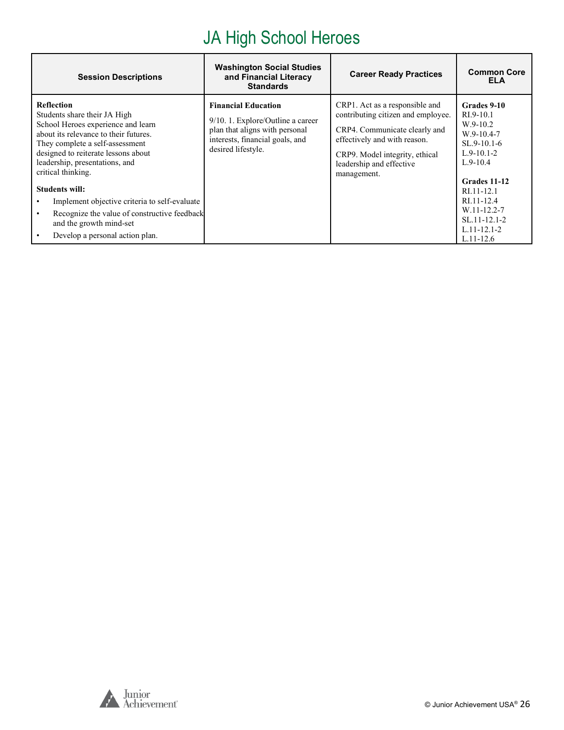#### JA High School Heroes

| <b>Session Descriptions</b>                                                                                                                                                                                                                                                                                                                                                                                                                                | <b>Washington Social Studies</b><br>and Financial Literacy<br><b>Standards</b>                                                                               | <b>Career Ready Practices</b>                                                                                                                                                                                      | <b>Common Core</b><br><b>ELA</b>                                                                                                                                                                                         |
|------------------------------------------------------------------------------------------------------------------------------------------------------------------------------------------------------------------------------------------------------------------------------------------------------------------------------------------------------------------------------------------------------------------------------------------------------------|--------------------------------------------------------------------------------------------------------------------------------------------------------------|--------------------------------------------------------------------------------------------------------------------------------------------------------------------------------------------------------------------|--------------------------------------------------------------------------------------------------------------------------------------------------------------------------------------------------------------------------|
| <b>Reflection</b><br>Students share their JA High<br>School Heroes experience and learn<br>about its relevance to their futures.<br>They complete a self-assessment<br>designed to reiterate lessons about<br>leadership, presentations, and<br>critical thinking.<br><b>Students will:</b><br>Implement objective criteria to self-evaluate<br>Recognize the value of constructive feedback<br>and the growth mind-set<br>Develop a personal action plan. | <b>Financial Education</b><br>$9/10.1$ . Explore/Outline a career<br>plan that aligns with personal<br>interests, financial goals, and<br>desired lifestyle. | CRP1. Act as a responsible and<br>contributing citizen and employee.<br>CRP4. Communicate clearly and<br>effectively and with reason.<br>CRP9. Model integrity, ethical<br>leadership and effective<br>management. | Grades 9-10<br>$RI.9-10.1$<br>$W.9-10.2$<br>$W.9-10.4-7$<br>$SL.9-10.1-6$<br>$L.9-10.1-2$<br>$L.9-10.4$<br>Grades 11-12<br>RI.11-12.1<br>RI.11-12.4<br>W.11-12.2-7<br>SL.11-12.1-2<br>$L.11 - 12.1 - 2$<br>$L.11 - 12.6$ |

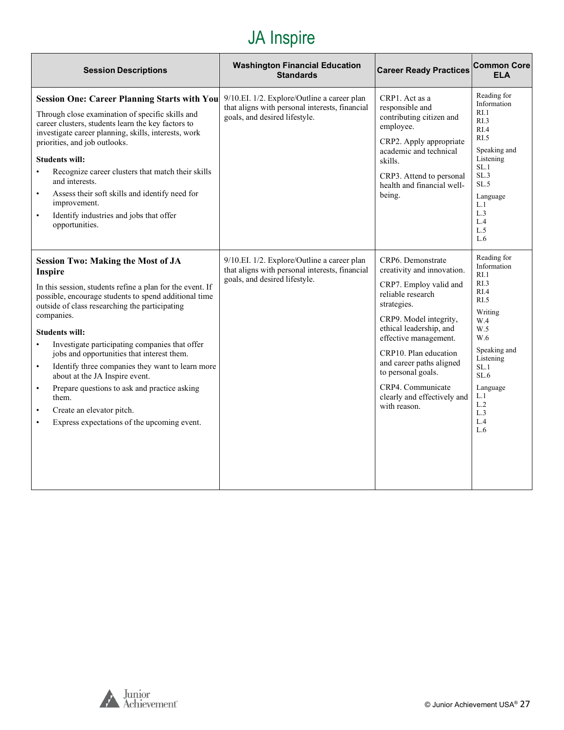<span id="page-26-0"></span>

| <b>Session Descriptions</b>                                                                                                                                                                                                                                                                                                                                                                                                                                                                                                                                                                                                                        | <b>Washington Financial Education</b><br><b>Standards</b>                                                                      | <b>Career Ready Practices</b>                                                                                                                                                                                                                                                                                                              | <b>Common Core</b><br><b>ELA</b>                                                                                                                                                                   |
|----------------------------------------------------------------------------------------------------------------------------------------------------------------------------------------------------------------------------------------------------------------------------------------------------------------------------------------------------------------------------------------------------------------------------------------------------------------------------------------------------------------------------------------------------------------------------------------------------------------------------------------------------|--------------------------------------------------------------------------------------------------------------------------------|--------------------------------------------------------------------------------------------------------------------------------------------------------------------------------------------------------------------------------------------------------------------------------------------------------------------------------------------|----------------------------------------------------------------------------------------------------------------------------------------------------------------------------------------------------|
| <b>Session One: Career Planning Starts with You</b><br>Through close examination of specific skills and<br>career clusters, students learn the key factors to<br>investigate career planning, skills, interests, work<br>priorities, and job outlooks.<br><b>Students will:</b><br>Recognize career clusters that match their skills<br>and interests.<br>Assess their soft skills and identify need for<br>$\bullet$<br>improvement.<br>Identify industries and jobs that offer<br>$\bullet$<br>opportunities.                                                                                                                                    | 9/10.EI. 1/2. Explore/Outline a career plan<br>that aligns with personal interests, financial<br>goals, and desired lifestyle. | CRP1. Act as a<br>responsible and<br>contributing citizen and<br>employee.<br>CRP2. Apply appropriate<br>academic and technical<br>skills.<br>CRP3. Attend to personal<br>health and financial well-<br>being.                                                                                                                             | Reading for<br>Information<br>RI.1<br>RI.3<br>RI.4<br>RI.5<br>Speaking and<br>Listening<br>SL.1<br>SL.3<br>SL.5<br>Language<br>L.1<br>L.3<br>L.4<br>L.5<br>L.6                                     |
| <b>Session Two: Making the Most of JA</b><br>Inspire<br>In this session, students refine a plan for the event. If<br>possible, encourage students to spend additional time<br>outside of class researching the participating<br>companies.<br><b>Students will:</b><br>Investigate participating companies that offer<br>$\bullet$<br>jobs and opportunities that interest them.<br>Identify three companies they want to learn more<br>$\bullet$<br>about at the JA Inspire event.<br>Prepare questions to ask and practice asking<br>$\bullet$<br>them.<br>Create an elevator pitch.<br>$\bullet$<br>Express expectations of the upcoming event. | 9/10.EI. 1/2. Explore/Outline a career plan<br>that aligns with personal interests, financial<br>goals, and desired lifestyle. | CRP6. Demonstrate<br>creativity and innovation.<br>CRP7. Employ valid and<br>reliable research<br>strategies.<br>CRP9. Model integrity,<br>ethical leadership, and<br>effective management.<br>CRP10. Plan education<br>and career paths aligned<br>to personal goals.<br>CRP4. Communicate<br>clearly and effectively and<br>with reason. | Reading for<br>Information<br>RI.1<br>RI.3<br>RI.4<br>R <sub>L</sub> 5<br>Writing<br>W.4<br>W.5<br>W.6<br>Speaking and<br>Listening<br>SL.1<br>SL.6<br>Language<br>L.1<br>L.2<br>L.3<br>L.4<br>L.6 |

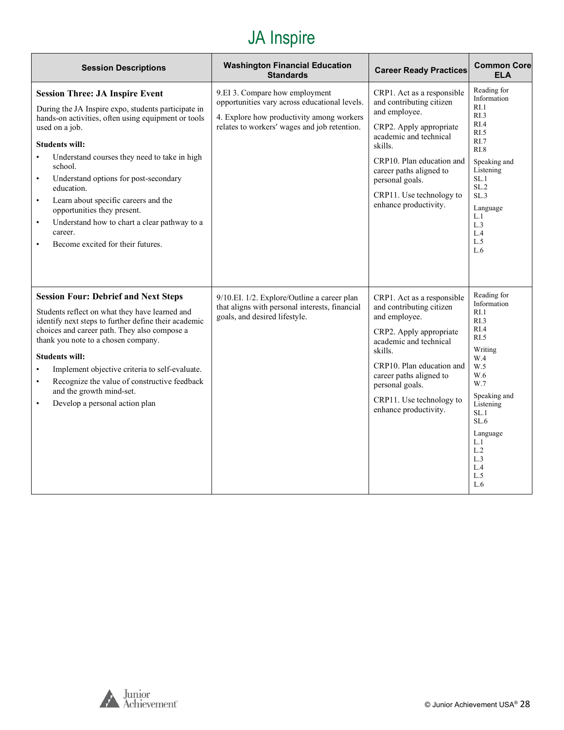| <b>Session Descriptions</b>                                                                                                                                                                                                                                                                                                                                                                                                                                                                                                     | <b>Washington Financial Education</b><br><b>Standards</b>                                                                                                                    | <b>Career Ready Practices</b>                                                                                                                                                                                                                                           | <b>Common Core</b><br><b>ELA</b>                                                                                                                                                                    |
|---------------------------------------------------------------------------------------------------------------------------------------------------------------------------------------------------------------------------------------------------------------------------------------------------------------------------------------------------------------------------------------------------------------------------------------------------------------------------------------------------------------------------------|------------------------------------------------------------------------------------------------------------------------------------------------------------------------------|-------------------------------------------------------------------------------------------------------------------------------------------------------------------------------------------------------------------------------------------------------------------------|-----------------------------------------------------------------------------------------------------------------------------------------------------------------------------------------------------|
| <b>Session Three: JA Inspire Event</b><br>During the JA Inspire expo, students participate in<br>hands-on activities, often using equipment or tools<br>used on a job.<br><b>Students will:</b><br>Understand courses they need to take in high<br>school.<br>Understand options for post-secondary<br>$\bullet$<br>education.<br>Learn about specific careers and the<br>$\bullet$<br>opportunities they present.<br>Understand how to chart a clear pathway to a<br>$\bullet$<br>career.<br>Become excited for their futures. | 9.EI 3. Compare how employment<br>opportunities vary across educational levels.<br>4. Explore how productivity among workers<br>relates to workers' wages and job retention. | CRP1. Act as a responsible<br>and contributing citizen<br>and employee.<br>CRP2. Apply appropriate<br>academic and technical<br>skills.<br>CRP10. Plan education and<br>career paths aligned to<br>personal goals.<br>CRP11. Use technology to<br>enhance productivity. | Reading for<br>Information<br>RI.1<br>R <sub>L.3</sub><br>RI.4<br>RI.5<br>RI.7<br>R1.8<br>Speaking and<br>Listening<br>SL.1<br>SL.2<br>SL.3<br>Language<br>L.1<br>L.3<br>L.4<br>L.5<br>L.6          |
| <b>Session Four: Debrief and Next Steps</b><br>Students reflect on what they have learned and<br>identify next steps to further define their academic<br>choices and career path. They also compose a<br>thank you note to a chosen company.<br><b>Students will:</b><br>Implement objective criteria to self-evaluate.<br>$\bullet$<br>Recognize the value of constructive feedback<br>$\bullet$<br>and the growth mind-set.<br>Develop a personal action plan<br>$\bullet$                                                    | 9/10.EI. 1/2. Explore/Outline a career plan<br>that aligns with personal interests, financial<br>goals, and desired lifestyle.                                               | CRP1. Act as a responsible<br>and contributing citizen<br>and employee.<br>CRP2. Apply appropriate<br>academic and technical<br>skills.<br>CRP10. Plan education and<br>career paths aligned to<br>personal goals.<br>CRP11. Use technology to<br>enhance productivity. | Reading for<br>Information<br>RI.1<br>RL3<br>RI.4<br>RI.5<br>Writing<br>W.4<br>W.5<br>W.6<br>W.7<br>Speaking and<br>Listening<br>SL.1<br>SL.6<br>Language<br>L.1<br>L.2<br>L.3<br>L.4<br>L.5<br>L.6 |

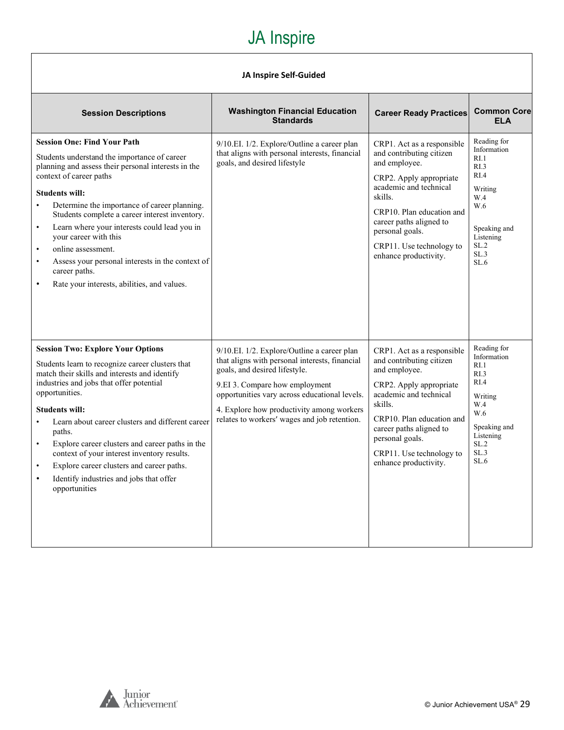#### **JA Inspire Self-Guided**

| <b>Session Descriptions</b>                                                                                                                                                                                                                                                                                                                                                                                                                                                                                                                                       | <b>Washington Financial Education</b><br><b>Standards</b>                                                                                                                                                                                                                                                      | <b>Career Ready Practices</b>                                                                                                                                                                                                                                           | <b>Common Core</b><br><b>ELA</b>                                                                                                             |
|-------------------------------------------------------------------------------------------------------------------------------------------------------------------------------------------------------------------------------------------------------------------------------------------------------------------------------------------------------------------------------------------------------------------------------------------------------------------------------------------------------------------------------------------------------------------|----------------------------------------------------------------------------------------------------------------------------------------------------------------------------------------------------------------------------------------------------------------------------------------------------------------|-------------------------------------------------------------------------------------------------------------------------------------------------------------------------------------------------------------------------------------------------------------------------|----------------------------------------------------------------------------------------------------------------------------------------------|
| <b>Session One: Find Your Path</b><br>Students understand the importance of career<br>planning and assess their personal interests in the<br>context of career paths<br><b>Students will:</b><br>Determine the importance of career planning.<br>Students complete a career interest inventory.<br>Learn where your interests could lead you in<br>$\bullet$<br>your career with this<br>online assessment.<br>$\bullet$<br>Assess your personal interests in the context of<br>$\bullet$<br>career paths.<br>Rate your interests, abilities, and values.         | 9/10.EI. 1/2. Explore/Outline a career plan<br>that aligns with personal interests, financial<br>goals, and desired lifestyle                                                                                                                                                                                  | CRP1. Act as a responsible<br>and contributing citizen<br>and employee.<br>CRP2. Apply appropriate<br>academic and technical<br>skills.<br>CRP10. Plan education and<br>career paths aligned to<br>personal goals.<br>CRP11. Use technology to<br>enhance productivity. | Reading for<br>Information<br>RI.1<br>R <sub>L</sub> 3<br>RI.4<br>Writing<br>W.4<br>W.6<br>Speaking and<br>Listening<br>SL.2<br>SL.3<br>SL.6 |
| <b>Session Two: Explore Your Options</b><br>Students learn to recognize career clusters that<br>match their skills and interests and identify<br>industries and jobs that offer potential<br>opportunities.<br><b>Students will:</b><br>Learn about career clusters and different career<br>$\bullet$<br>paths.<br>Explore career clusters and career paths in the<br>$\bullet$<br>context of your interest inventory results.<br>Explore career clusters and career paths.<br>$\bullet$<br>Identify industries and jobs that offer<br>$\bullet$<br>opportunities | 9/10.EI. 1/2. Explore/Outline a career plan<br>that aligns with personal interests, financial<br>goals, and desired lifestyle.<br>9.EI 3. Compare how employment<br>opportunities vary across educational levels.<br>4. Explore how productivity among workers<br>relates to workers' wages and job retention. | CRP1. Act as a responsible<br>and contributing citizen<br>and employee.<br>CRP2. Apply appropriate<br>academic and technical<br>skills.<br>CRP10. Plan education and<br>career paths aligned to<br>personal goals.<br>CRP11. Use technology to<br>enhance productivity. | Reading for<br>Information<br>RI.1<br>RI.3<br>RI.4<br>Writing<br>W.4<br>W.6<br>Speaking and<br>Listening<br>SL.2<br>SL.3<br>SL.6             |

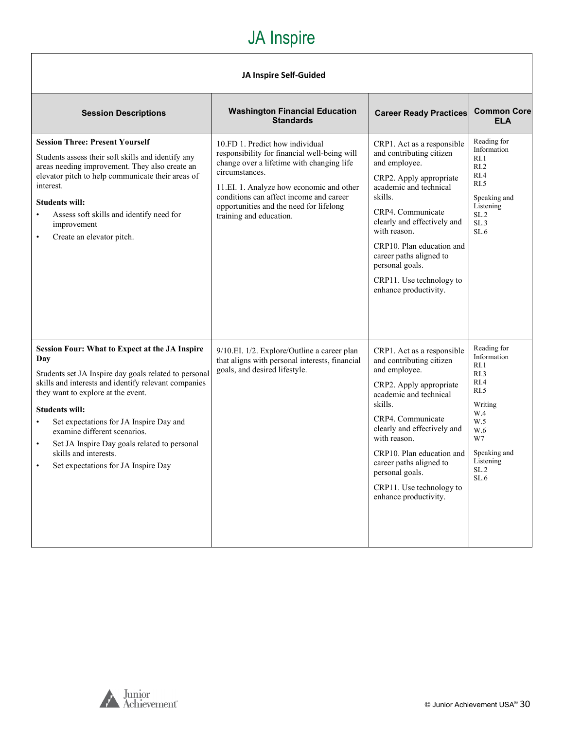#### **JA Inspire Self-Guided**

| <b>Session Descriptions</b>                                                                                                                                                                                                                                                                                                                                                                                                                                                    | <b>Washington Financial Education</b><br><b>Standards</b>                                                                                                                                                                                                                                                   | <b>Career Ready Practices</b>                                                                                                                                                                                                                                                                                                               | <b>Common Core</b><br><b>ELA</b>                                                                                                                         |
|--------------------------------------------------------------------------------------------------------------------------------------------------------------------------------------------------------------------------------------------------------------------------------------------------------------------------------------------------------------------------------------------------------------------------------------------------------------------------------|-------------------------------------------------------------------------------------------------------------------------------------------------------------------------------------------------------------------------------------------------------------------------------------------------------------|---------------------------------------------------------------------------------------------------------------------------------------------------------------------------------------------------------------------------------------------------------------------------------------------------------------------------------------------|----------------------------------------------------------------------------------------------------------------------------------------------------------|
| <b>Session Three: Present Yourself</b><br>Students assess their soft skills and identify any<br>areas needing improvement. They also create an<br>elevator pitch to help communicate their areas of<br>interest.<br><b>Students will:</b><br>Assess soft skills and identify need for<br>improvement<br>Create an elevator pitch.<br>$\bullet$                                                                                                                                 | 10.FD 1. Predict how individual<br>responsibility for financial well-being will<br>change over a lifetime with changing life<br>circumstances.<br>11.EI. 1. Analyze how economic and other<br>conditions can affect income and career<br>opportunities and the need for lifelong<br>training and education. | CRP1. Act as a responsible<br>and contributing citizen<br>and employee.<br>CRP2. Apply appropriate<br>academic and technical<br>skills.<br>CRP4. Communicate<br>clearly and effectively and<br>with reason.<br>CRP10. Plan education and<br>career paths aligned to<br>personal goals.<br>CRP11. Use technology to<br>enhance productivity. | Reading for<br>Information<br>R <sub>L</sub> 1<br>RI.2<br>RI.4<br>RI.5<br>Speaking and<br>Listening<br>SL.2<br>SL.3<br>SL.6                              |
| <b>Session Four: What to Expect at the JA Inspire</b><br>Day<br>Students set JA Inspire day goals related to personal<br>skills and interests and identify relevant companies<br>they want to explore at the event.<br><b>Students will:</b><br>Set expectations for JA Inspire Day and<br>$\bullet$<br>examine different scenarios.<br>Set JA Inspire Day goals related to personal<br>$\bullet$<br>skills and interests.<br>Set expectations for JA Inspire Day<br>$\bullet$ | 9/10.EI. 1/2. Explore/Outline a career plan<br>that aligns with personal interests, financial<br>goals, and desired lifestyle.                                                                                                                                                                              | CRP1. Act as a responsible<br>and contributing citizen<br>and employee.<br>CRP2. Apply appropriate<br>academic and technical<br>skills.<br>CRP4. Communicate<br>clearly and effectively and<br>with reason.<br>CRP10. Plan education and<br>career paths aligned to<br>personal goals.<br>CRP11. Use technology to<br>enhance productivity. | Reading for<br>Information<br>R <sub>L</sub> 1<br>RI.3<br>RIA<br>RI.5<br>Writing<br>W.4<br>W.5<br>W.6<br>W7<br>Speaking and<br>Listening<br>SL.2<br>SL.6 |

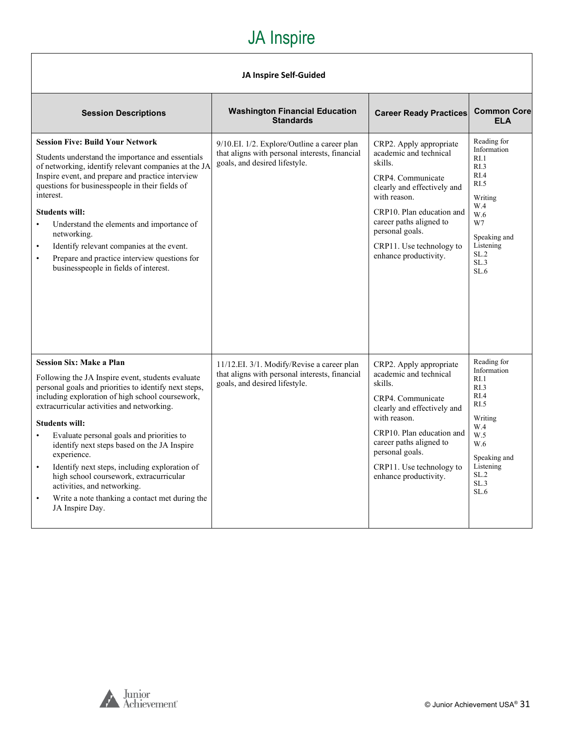#### **JA Inspire Self-Guided**

| <b>Session Descriptions</b>                                                                                                                                                                                                                                                                                                                                                                                                                                                                                                                                                                                                | <b>Washington Financial Education</b><br><b>Standards</b>                                                                      | <b>Career Ready Practices</b>                                                                                                                                                                                                                                    | <b>Common Core</b><br><b>ELA</b>                                                                                                                                        |
|----------------------------------------------------------------------------------------------------------------------------------------------------------------------------------------------------------------------------------------------------------------------------------------------------------------------------------------------------------------------------------------------------------------------------------------------------------------------------------------------------------------------------------------------------------------------------------------------------------------------------|--------------------------------------------------------------------------------------------------------------------------------|------------------------------------------------------------------------------------------------------------------------------------------------------------------------------------------------------------------------------------------------------------------|-------------------------------------------------------------------------------------------------------------------------------------------------------------------------|
| <b>Session Five: Build Your Network</b><br>Students understand the importance and essentials<br>of networking, identify relevant companies at the JA<br>Inspire event, and prepare and practice interview<br>questions for businesspeople in their fields of<br>interest.<br><b>Students will:</b><br>Understand the elements and importance of<br>$\bullet$<br>networking.<br>Identify relevant companies at the event.<br>$\bullet$<br>Prepare and practice interview questions for<br>$\bullet$<br>businesspeople in fields of interest.                                                                                | 9/10.EI. 1/2. Explore/Outline a career plan<br>that aligns with personal interests, financial<br>goals, and desired lifestyle. | CRP2. Apply appropriate<br>academic and technical<br>skills.<br>CRP4. Communicate<br>clearly and effectively and<br>with reason.<br>CRP10. Plan education and<br>career paths aligned to<br>personal goals.<br>CRP11. Use technology to<br>enhance productivity. | Reading for<br>Information<br>R <sub>L</sub> 1<br>RI.3<br>RI.4<br>RI.5<br>Writing<br>W.4<br>W.6<br>W7<br>Speaking and<br>Listening<br>SL.2<br>SL.3<br>SL.6              |
| <b>Session Six: Make a Plan</b><br>Following the JA Inspire event, students evaluate<br>personal goals and priorities to identify next steps,<br>including exploration of high school coursework,<br>extracurricular activities and networking.<br><b>Students will:</b><br>Evaluate personal goals and priorities to<br>$\bullet$<br>identify next steps based on the JA Inspire<br>experience.<br>Identify next steps, including exploration of<br>$\bullet$<br>high school coursework, extracurricular<br>activities, and networking.<br>Write a note thanking a contact met during the<br>$\bullet$<br>JA Inspire Day. | 11/12.EI. 3/1. Modify/Revise a career plan<br>that aligns with personal interests, financial<br>goals, and desired lifestyle.  | CRP2. Apply appropriate<br>academic and technical<br>skills.<br>CRP4. Communicate<br>clearly and effectively and<br>with reason.<br>CRP10. Plan education and<br>career paths aligned to<br>personal goals.<br>CRP11. Use technology to<br>enhance productivity. | Reading for<br>Information<br>RI.1<br>R <sub>L</sub> 3<br>RI.4<br>R <sub>L</sub> 5<br>Writing<br>W.4<br>W.5<br>W.6<br>Speaking and<br>Listening<br>SL.2<br>SL.3<br>SL.6 |

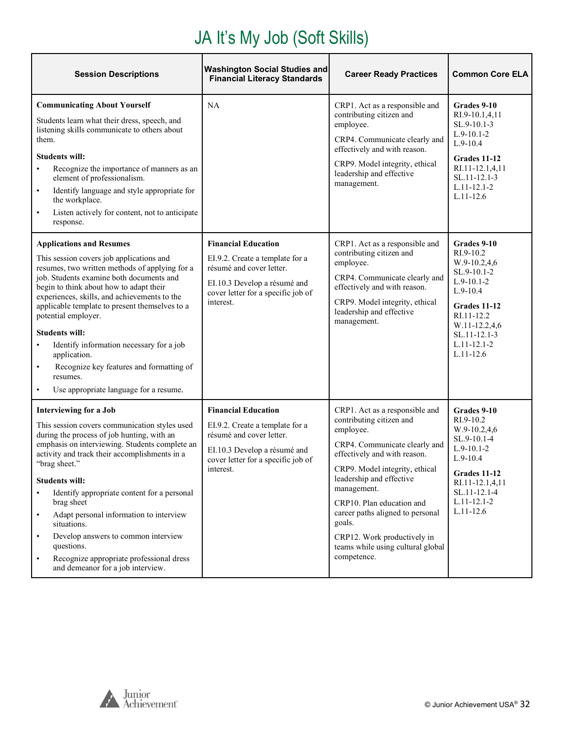#### JA It's My Job (Soft Skills)

| <b>Session Descriptions</b>                                                                                                                                                                                                                                                                                                                                                                                                                                                                                                                                                                | <b>Washington Social Studies and</b><br><b>Financial Literacy Standards</b>                                                                                                  | <b>Career Ready Practices</b>                                                                                                                                                                                                                                                                                                                                                       | <b>Common Core ELA</b>                                                                                                                                                                     |
|--------------------------------------------------------------------------------------------------------------------------------------------------------------------------------------------------------------------------------------------------------------------------------------------------------------------------------------------------------------------------------------------------------------------------------------------------------------------------------------------------------------------------------------------------------------------------------------------|------------------------------------------------------------------------------------------------------------------------------------------------------------------------------|-------------------------------------------------------------------------------------------------------------------------------------------------------------------------------------------------------------------------------------------------------------------------------------------------------------------------------------------------------------------------------------|--------------------------------------------------------------------------------------------------------------------------------------------------------------------------------------------|
| <b>Communicating About Yourself</b><br>Students learn what their dress, speech, and<br>listening skills communicate to others about<br>them.<br><b>Students will:</b><br>Recognize the importance of manners as an<br>element of professionalism.<br>Identify language and style appropriate for<br>$\bullet$<br>the workplace.<br>Listen actively for content, not to anticipate<br>$\bullet$<br>response.                                                                                                                                                                                | NA                                                                                                                                                                           | CRP1. Act as a responsible and<br>contributing citizen and<br>employee.<br>CRP4. Communicate clearly and<br>effectively and with reason.<br>CRP9. Model integrity, ethical<br>leadership and effective<br>management.                                                                                                                                                               | Grades 9-10<br>RI.9-10.1,4,11<br>SL.9-10.1-3<br>$L.9-10.1-2$<br>$L.9-10.4$<br>Grades 11-12<br>RI.11-12.1,4,11<br>SL.11-12.1-3<br>$L.11 - 12.1 - 2$<br>$L.11 - 12.6$                        |
| <b>Applications and Resumes</b><br>This session covers job applications and<br>resumes, two written methods of applying for a<br>job. Students examine both documents and<br>begin to think about how to adapt their<br>experiences, skills, and achievements to the<br>applicable template to present themselves to a<br>potential employer.<br><b>Students will:</b><br>Identify information necessary for a job<br>$\bullet$<br>application.<br>Recognize key features and formatting of<br>$\bullet$<br>resumes.<br>Use appropriate language for a resume.<br>$\bullet$                | <b>Financial Education</b><br>EI.9.2. Create a template for a<br>résumé and cover letter.<br>EI.10.3 Develop a résumé and<br>cover letter for a specific job of<br>interest. | CRP1. Act as a responsible and<br>contributing citizen and<br>employee.<br>CRP4. Communicate clearly and<br>effectively and with reason.<br>CRP9. Model integrity, ethical<br>leadership and effective<br>management.                                                                                                                                                               | Grades 9-10<br>RI.9-10.2<br>W.9-10.2,4,6<br>SL.9-10.1-2<br>$L.9-10.1-2$<br>$L.9-10.4$<br>Grades 11-12<br>RI.11-12.2<br>W.11-12.2,4,6<br>SL.11-12.1-3<br>$L.11 - 12.1 - 2$<br>$L.11 - 12.6$ |
| <b>Interviewing for a Job</b><br>This session covers communication styles used<br>during the process of job hunting, with an<br>emphasis on interviewing. Students complete an<br>activity and track their accomplishments in a<br>"brag sheet."<br><b>Students will:</b><br>Identify appropriate content for a personal<br>$\bullet$<br>brag sheet<br>Adapt personal information to interview<br>$\bullet$<br>situations.<br>Develop answers to common interview<br>$\bullet$<br>questions.<br>Recognize appropriate professional dress<br>$\bullet$<br>and demeanor for a job interview. | <b>Financial Education</b><br>EI.9.2. Create a template for a<br>résumé and cover letter.<br>EI.10.3 Develop a résumé and<br>cover letter for a specific job of<br>interest. | CRP1. Act as a responsible and<br>contributing citizen and<br>employee.<br>CRP4. Communicate clearly and<br>effectively and with reason.<br>CRP9. Model integrity, ethical<br>leadership and effective<br>management.<br>CRP10. Plan education and<br>career paths aligned to personal<br>goals.<br>CRP12. Work productively in<br>teams while using cultural global<br>competence. | Grades 9-10<br>RI.9-10.2<br>W.9-10.2,4,6<br>SL.9-10.1-4<br>$L.9-10.1-2$<br>$L.9-10.4$<br>Grades 11-12<br>RI.11-12.1,4,11<br>SL.11-12.1-4<br>$L.11 - 12.1 - 2$<br>$L.11 - 12.6$             |

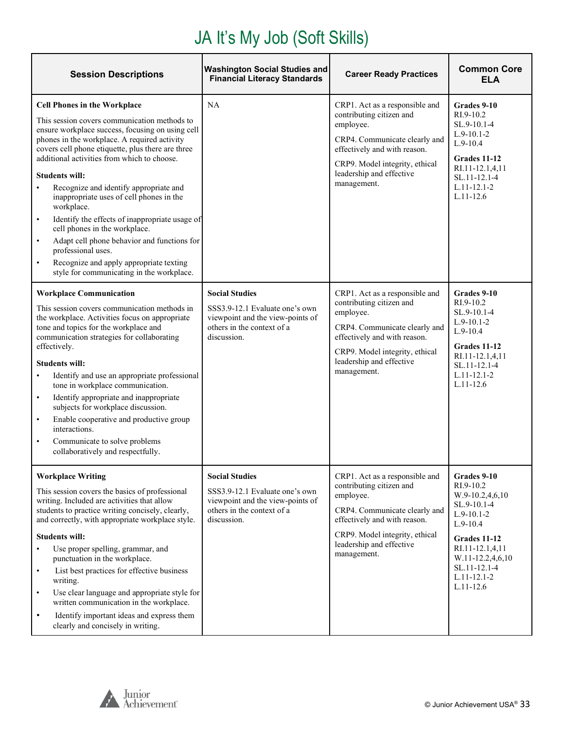### JA It's My Job (Soft Skills)

| <b>Session Descriptions</b>                                                                                                                                                                                                                                                                                                                                                                                                                                                                                                                                                                                                                                                                                                  | <b>Washington Social Studies and</b><br><b>Financial Literacy Standards</b>                                                              | <b>Career Ready Practices</b>                                                                                                                                                                                         | <b>Common Core</b><br>ELA                                                                                                                                                                                      |
|------------------------------------------------------------------------------------------------------------------------------------------------------------------------------------------------------------------------------------------------------------------------------------------------------------------------------------------------------------------------------------------------------------------------------------------------------------------------------------------------------------------------------------------------------------------------------------------------------------------------------------------------------------------------------------------------------------------------------|------------------------------------------------------------------------------------------------------------------------------------------|-----------------------------------------------------------------------------------------------------------------------------------------------------------------------------------------------------------------------|----------------------------------------------------------------------------------------------------------------------------------------------------------------------------------------------------------------|
| <b>Cell Phones in the Workplace</b><br>This session covers communication methods to<br>ensure workplace success, focusing on using cell<br>phones in the workplace. A required activity<br>covers cell phone etiquette, plus there are three<br>additional activities from which to choose.<br><b>Students will:</b><br>Recognize and identify appropriate and<br>$\bullet$<br>inappropriate uses of cell phones in the<br>workplace.<br>Identify the effects of inappropriate usage of<br>$\bullet$<br>cell phones in the workplace.<br>Adapt cell phone behavior and functions for<br>$\bullet$<br>professional uses.<br>Recognize and apply appropriate texting<br>$\bullet$<br>style for communicating in the workplace. | <b>NA</b>                                                                                                                                | CRP1. Act as a responsible and<br>contributing citizen and<br>employee.<br>CRP4. Communicate clearly and<br>effectively and with reason.<br>CRP9. Model integrity, ethical<br>leadership and effective<br>management. | Grades 9-10<br>$RI.9-10.2$<br>SL.9-10.1-4<br>$L.9-10.1-2$<br>$L.9-10.4$<br>Grades 11-12<br>RI.11-12.1,4,11<br>SL.11-12.1-4<br>$L.11 - 12.1 - 2$<br>$L.11 - 12.6$                                               |
| <b>Workplace Communication</b><br>This session covers communication methods in<br>the workplace. Activities focus on appropriate<br>tone and topics for the workplace and<br>communication strategies for collaborating<br>effectively.<br><b>Students will:</b><br>Identify and use an appropriate professional<br>$\bullet$<br>tone in workplace communication.<br>Identify appropriate and inappropriate<br>$\bullet$<br>subjects for workplace discussion.<br>Enable cooperative and productive group<br>$\bullet$<br>interactions.<br>Communicate to solve problems<br>$\bullet$<br>collaboratively and respectfully.                                                                                                   | <b>Social Studies</b><br>SSS3.9-12.1 Evaluate one's own<br>viewpoint and the view-points of<br>others in the context of a<br>discussion. | CRP1. Act as a responsible and<br>contributing citizen and<br>employee.<br>CRP4. Communicate clearly and<br>effectively and with reason.<br>CRP9. Model integrity, ethical<br>leadership and effective<br>management. | Grades 9-10<br>RI.9-10.2<br>$SL.9-10.1-4$<br>$L.9-10.1-2$<br>$L.9-10.4$<br>Grades 11-12<br>RI.11-12.1,4,11<br>SL.11-12.1-4<br>$L.11 - 12.1 - 2$<br>$L.11 - 12.6$                                               |
| <b>Workplace Writing</b><br>This session covers the basics of professional<br>writing. Included are activities that allow<br>students to practice writing concisely, clearly,<br>and correctly, with appropriate workplace style.<br><b>Students will:</b><br>Use proper spelling, grammar, and<br>$\bullet$<br>punctuation in the workplace.<br>List best practices for effective business<br>$\bullet$<br>writing.<br>Use clear language and appropriate style for<br>$\bullet$<br>written communication in the workplace.<br>Identify important ideas and express them<br>$\bullet$<br>clearly and concisely in writing.                                                                                                  | <b>Social Studies</b><br>SSS3.9-12.1 Evaluate one's own<br>viewpoint and the view-points of<br>others in the context of a<br>discussion. | CRP1. Act as a responsible and<br>contributing citizen and<br>employee.<br>CRP4. Communicate clearly and<br>effectively and with reason.<br>CRP9. Model integrity, ethical<br>leadership and effective<br>management. | Grades 9-10<br>RI.9-10.2<br>$W.9-10.2,4,6,10$<br>SL.9-10.1-4<br>$L.9-10.1-2$<br>$L.9-10.4$<br><b>Grades 11-12</b><br>RI.11-12.1,4,11<br>W.11-12.2,4,6,10<br>SL.11-12.1-4<br>$L.11 - 12.1 - 2$<br>$L.11 - 12.6$ |

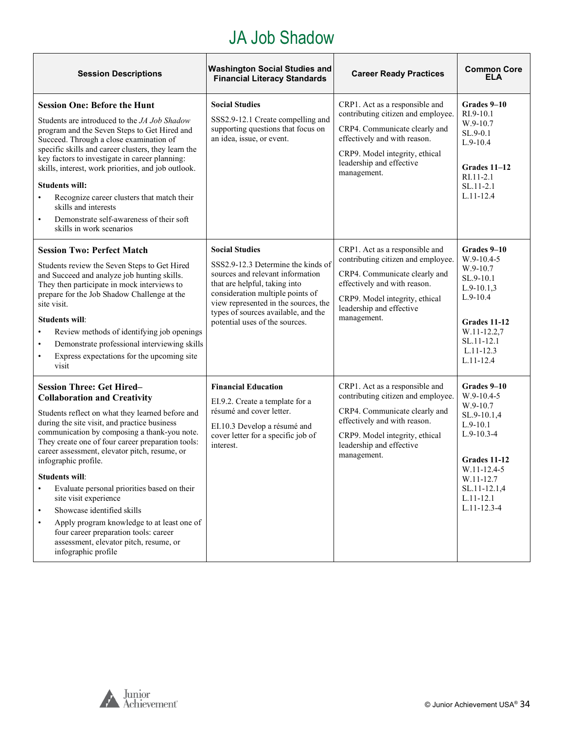#### JA Job Shadow

| <b>Session Descriptions</b>                                                                                                                                                                                                                                                                                                                                                                                                                                                                                                                                                                                                                                                             | <b>Washington Social Studies and</b><br><b>Financial Literacy Standards</b>                                                                                                                                                                                                           | <b>Career Ready Practices</b>                                                                                                                                                                                      | <b>Common Core</b><br><b>ELA</b>                                                                                                                                                     |
|-----------------------------------------------------------------------------------------------------------------------------------------------------------------------------------------------------------------------------------------------------------------------------------------------------------------------------------------------------------------------------------------------------------------------------------------------------------------------------------------------------------------------------------------------------------------------------------------------------------------------------------------------------------------------------------------|---------------------------------------------------------------------------------------------------------------------------------------------------------------------------------------------------------------------------------------------------------------------------------------|--------------------------------------------------------------------------------------------------------------------------------------------------------------------------------------------------------------------|--------------------------------------------------------------------------------------------------------------------------------------------------------------------------------------|
| <b>Session One: Before the Hunt</b><br>Students are introduced to the JA Job Shadow<br>program and the Seven Steps to Get Hired and<br>Succeed. Through a close examination of<br>specific skills and career clusters, they learn the<br>key factors to investigate in career planning:<br>skills, interest, work priorities, and job outlook.<br><b>Students will:</b><br>Recognize career clusters that match their<br>$\bullet$<br>skills and interests<br>Demonstrate self-awareness of their soft<br>$\bullet$<br>skills in work scenarios                                                                                                                                         | <b>Social Studies</b><br>SSS2.9-12.1 Create compelling and<br>supporting questions that focus on<br>an idea, issue, or event.                                                                                                                                                         | CRP1. Act as a responsible and<br>contributing citizen and employee.<br>CRP4. Communicate clearly and<br>effectively and with reason.<br>CRP9. Model integrity, ethical<br>leadership and effective<br>management. | Grades 9-10<br>$RI.9-10.1$<br>W.9-10.7<br>SL.9-0.1<br>$L.9-10.4$<br>Grades $11-12$<br>$RI.11 - 2.1$<br>$SL.11-2.1$<br>$L.11 - 12.4$                                                  |
| <b>Session Two: Perfect Match</b><br>Students review the Seven Steps to Get Hired<br>and Succeed and analyze job hunting skills.<br>They then participate in mock interviews to<br>prepare for the Job Shadow Challenge at the<br>site visit.<br><b>Students will:</b><br>Review methods of identifying job openings<br>$\bullet$<br>Demonstrate professional interviewing skills<br>$\bullet$<br>Express expectations for the upcoming site<br>$\bullet$<br>visit                                                                                                                                                                                                                      | <b>Social Studies</b><br>SSS2.9-12.3 Determine the kinds of<br>sources and relevant information<br>that are helpful, taking into<br>consideration multiple points of<br>view represented in the sources, the<br>types of sources available, and the<br>potential uses of the sources. | CRP1. Act as a responsible and<br>contributing citizen and employee.<br>CRP4. Communicate clearly and<br>effectively and with reason.<br>CRP9. Model integrity, ethical<br>leadership and effective<br>management. | Grades 9-10<br>$W.9-10.4-5$<br>W.9-10.7<br>SL.9-10.1<br>$L.9-10.1,3$<br>$L.9-10.4$<br><b>Grades 11-12</b><br>W.11-12.2.7<br>SL.11-12.1<br>$L.11 - 12.3$<br>$L.11 - 12.4$             |
| <b>Session Three: Get Hired-</b><br><b>Collaboration and Creativity</b><br>Students reflect on what they learned before and<br>during the site visit, and practice business<br>communication by composing a thank-you note.<br>They create one of four career preparation tools:<br>career assessment, elevator pitch, resume, or<br>infographic profile.<br><b>Students will:</b><br>Evaluate personal priorities based on their<br>$\bullet$<br>site visit experience<br>Showcase identified skills<br>$\bullet$<br>Apply program knowledge to at least one of<br>$\bullet$<br>four career preparation tools: career<br>assessment, elevator pitch, resume, or<br>infographic profile | <b>Financial Education</b><br>EI.9.2. Create a template for a<br>résumé and cover letter.<br>EI.10.3 Develop a résumé and<br>cover letter for a specific job of<br>interest.                                                                                                          | CRP1. Act as a responsible and<br>contributing citizen and employee.<br>CRP4. Communicate clearly and<br>effectively and with reason.<br>CRP9. Model integrity, ethical<br>leadership and effective<br>management. | Grades 9-10<br>$W.9-10.4-5$<br>W.9-10.7<br>SL.9-10.1,4<br>$L.9-10.1$<br>$L.9-10.3-4$<br>Grades 11-12<br>W.11-12.4-5<br>W.11-12.7<br>SL.11-12.1,4<br>$L.11-12.1$<br>$L.11 - 12.3 - 4$ |

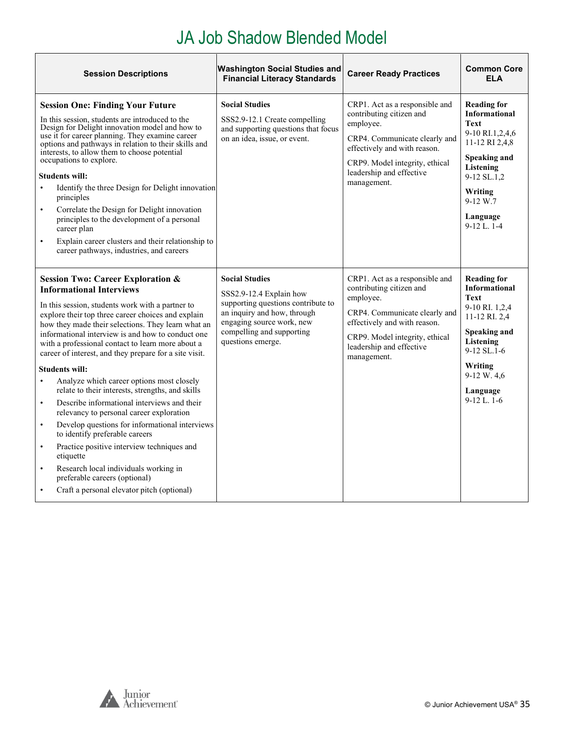## JA Job Shadow Blended Model

<span id="page-34-0"></span>

| <b>Session Descriptions</b>                                                                                                                                                                                                                                                                                                                                                                                                                                                                                                                                                                                                                                                                                                                                                                                                                                                                                                                                                                   | <b>Washington Social Studies and</b><br><b>Financial Literacy Standards</b>                                                                                                                          | <b>Career Ready Practices</b>                                                                                                                                                                                         | <b>Common Core</b><br><b>ELA</b>                                                                                                                                                                   |
|-----------------------------------------------------------------------------------------------------------------------------------------------------------------------------------------------------------------------------------------------------------------------------------------------------------------------------------------------------------------------------------------------------------------------------------------------------------------------------------------------------------------------------------------------------------------------------------------------------------------------------------------------------------------------------------------------------------------------------------------------------------------------------------------------------------------------------------------------------------------------------------------------------------------------------------------------------------------------------------------------|------------------------------------------------------------------------------------------------------------------------------------------------------------------------------------------------------|-----------------------------------------------------------------------------------------------------------------------------------------------------------------------------------------------------------------------|----------------------------------------------------------------------------------------------------------------------------------------------------------------------------------------------------|
| <b>Session One: Finding Your Future</b><br>In this session, students are introduced to the<br>Design for Delight innovation model and how to<br>use it for career planning. They examine career<br>options and pathways in relation to their skills and<br>interests, to allow them to choose potential<br>occupations to explore.<br><b>Students will:</b><br>Identify the three Design for Delight innovation<br>$\bullet$<br>principles<br>Correlate the Design for Delight innovation<br>$\bullet$<br>principles to the development of a personal<br>career plan<br>Explain career clusters and their relationship to<br>$\bullet$<br>career pathways, industries, and careers                                                                                                                                                                                                                                                                                                            | <b>Social Studies</b><br>SSS2.9-12.1 Create compelling<br>and supporting questions that focus<br>on an idea, issue, or event.                                                                        | CRP1. Act as a responsible and<br>contributing citizen and<br>employee.<br>CRP4. Communicate clearly and<br>effectively and with reason.<br>CRP9. Model integrity, ethical<br>leadership and effective<br>management. | <b>Reading for</b><br><b>Informational</b><br><b>Text</b><br>9-10 RI.1,2,4,6<br>11-12 RI 2,4,8<br>Speaking and<br>Listening<br>9-12 SL.1,2<br>Writing<br>$9-12 W.7$<br>Language<br>$9-12$ L. $1-4$ |
| <b>Session Two: Career Exploration &amp;</b><br><b>Informational Interviews</b><br>In this session, students work with a partner to<br>explore their top three career choices and explain<br>how they made their selections. They learn what an<br>informational interview is and how to conduct one<br>with a professional contact to learn more about a<br>career of interest, and they prepare for a site visit.<br><b>Students will:</b><br>Analyze which career options most closely<br>$\bullet$<br>relate to their interests, strengths, and skills<br>Describe informational interviews and their<br>$\bullet$<br>relevancy to personal career exploration<br>Develop questions for informational interviews<br>$\bullet$<br>to identify preferable careers<br>Practice positive interview techniques and<br>$\bullet$<br>etiquette<br>Research local individuals working in<br>$\bullet$<br>preferable careers (optional)<br>Craft a personal elevator pitch (optional)<br>$\bullet$ | <b>Social Studies</b><br>SSS2.9-12.4 Explain how<br>supporting questions contribute to<br>an inquiry and how, through<br>engaging source work, new<br>compelling and supporting<br>questions emerge. | CRP1. Act as a responsible and<br>contributing citizen and<br>employee.<br>CRP4. Communicate clearly and<br>effectively and with reason.<br>CRP9. Model integrity, ethical<br>leadership and effective<br>management. | <b>Reading for</b><br><b>Informational</b><br>Text<br>9-10 RI. 1,2,4<br>11-12 RI. 2,4<br>Speaking and<br><b>Listening</b><br>$9-12$ SL.1-6<br>Writing<br>9-12 W. 4,6<br>Language<br>$9-12$ L. 1-6  |

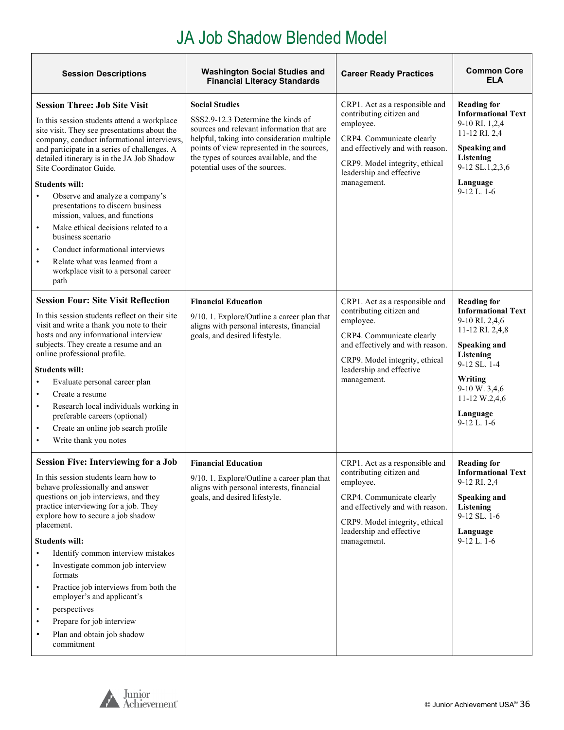#### JA Job Shadow Blended Model

| <b>Session Descriptions</b>                                                                                                                                                                                                                                                                                                                                                                                                                                                                                                                                                                                                                                                         | <b>Washington Social Studies and</b><br><b>Financial Literacy Standards</b>                                                                                                                                                                                                        | <b>Career Ready Practices</b>                                                                                                                                                                                         | <b>Common Core</b><br><b>ELA</b>                                                                                                                                                                                     |
|-------------------------------------------------------------------------------------------------------------------------------------------------------------------------------------------------------------------------------------------------------------------------------------------------------------------------------------------------------------------------------------------------------------------------------------------------------------------------------------------------------------------------------------------------------------------------------------------------------------------------------------------------------------------------------------|------------------------------------------------------------------------------------------------------------------------------------------------------------------------------------------------------------------------------------------------------------------------------------|-----------------------------------------------------------------------------------------------------------------------------------------------------------------------------------------------------------------------|----------------------------------------------------------------------------------------------------------------------------------------------------------------------------------------------------------------------|
| <b>Session Three: Job Site Visit</b><br>In this session students attend a workplace<br>site visit. They see presentations about the<br>company, conduct informational interviews,<br>and participate in a series of challenges. A<br>detailed itinerary is in the JA Job Shadow<br>Site Coordinator Guide.<br><b>Students will:</b><br>Observe and analyze a company's<br>$\bullet$<br>presentations to discern business<br>mission, values, and functions<br>Make ethical decisions related to a<br>$\bullet$<br>business scenario<br>Conduct informational interviews<br>$\bullet$<br>Relate what was learned from a<br>$\bullet$<br>workplace visit to a personal career<br>path | <b>Social Studies</b><br>SSS2.9-12.3 Determine the kinds of<br>sources and relevant information that are<br>helpful, taking into consideration multiple<br>points of view represented in the sources,<br>the types of sources available, and the<br>potential uses of the sources. | CRP1. Act as a responsible and<br>contributing citizen and<br>employee.<br>CRP4. Communicate clearly<br>and effectively and with reason.<br>CRP9. Model integrity, ethical<br>leadership and effective<br>management. | <b>Reading for</b><br><b>Informational Text</b><br>9-10 RI. 1,2,4<br>11-12 RI. 2,4<br>Speaking and<br>Listening<br>9-12 SL.1,2,3,6<br>Language<br>$9-12$ L. $1-6$                                                    |
| <b>Session Four: Site Visit Reflection</b><br>In this session students reflect on their site<br>visit and write a thank you note to their<br>hosts and any informational interview<br>subjects. They create a resume and an<br>online professional profile.<br><b>Students will:</b><br>Evaluate personal career plan<br>$\bullet$<br>Create a resume<br>$\bullet$<br>Research local individuals working in<br>$\bullet$<br>preferable careers (optional)<br>Create an online job search profile<br>$\bullet$<br>Write thank you notes<br>$\bullet$                                                                                                                                 | <b>Financial Education</b><br>9/10. 1. Explore/Outline a career plan that<br>aligns with personal interests, financial<br>goals, and desired lifestyle.                                                                                                                            | CRP1. Act as a responsible and<br>contributing citizen and<br>employee.<br>CRP4. Communicate clearly<br>and effectively and with reason.<br>CRP9. Model integrity, ethical<br>leadership and effective<br>management. | <b>Reading for</b><br><b>Informational Text</b><br>9-10 RI. 2,4,6<br>11-12 RI. 2,4,8<br><b>Speaking and</b><br>Listening<br>9-12 SL. 1-4<br>Writing<br>9-10 W. 3,4,6<br>11-12 W.2,4,6<br>Language<br>$9-12$ L. $1-6$ |
| <b>Session Five: Interviewing for a Job</b><br>In this session students learn how to<br>behave professionally and answer<br>questions on job interviews, and they<br>practice interviewing for a job. They<br>explore how to secure a job shadow<br>placement.<br><b>Students will:</b><br>Identify common interview mistakes<br>$\bullet$<br>Investigate common job interview<br>$\bullet$<br>formats<br>Practice job interviews from both the<br>$\bullet$<br>employer's and applicant's<br>perspectives<br>$\bullet$<br>Prepare for job interview<br>$\bullet$<br>Plan and obtain job shadow<br>$\bullet$<br>commitment                                                          | <b>Financial Education</b><br>9/10. 1. Explore/Outline a career plan that<br>aligns with personal interests, financial<br>goals, and desired lifestyle.                                                                                                                            | CRP1. Act as a responsible and<br>contributing citizen and<br>employee.<br>CRP4. Communicate clearly<br>and effectively and with reason.<br>CRP9. Model integrity, ethical<br>leadership and effective<br>management. | <b>Reading for</b><br><b>Informational Text</b><br>9-12 RI. 2,4<br><b>Speaking and</b><br>Listening<br>9-12 SL. 1-6<br>Language<br>$9-12$ L. 1-6                                                                     |

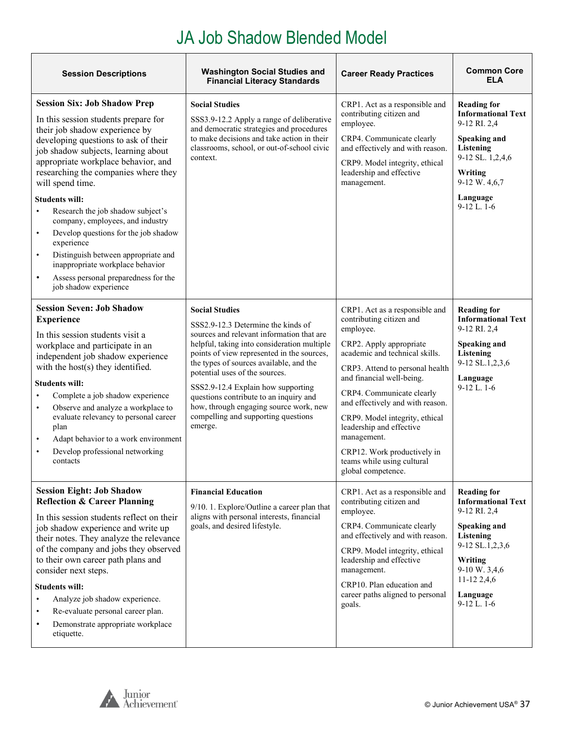#### JA Job Shadow Blended Model

| <b>Session Descriptions</b>                                                                                                                                                                                                                                                                                                                                                                                                                                                                                                                                                                                                                             | <b>Washington Social Studies and</b><br><b>Financial Literacy Standards</b>                                                                                                                                                                                                                                                                                                                                                                                    | <b>Career Ready Practices</b>                                                                                                                                                                                                                                                                                                                                                                                                         | <b>Common Core</b><br><b>ELA</b>                                                                                                                                                          |
|---------------------------------------------------------------------------------------------------------------------------------------------------------------------------------------------------------------------------------------------------------------------------------------------------------------------------------------------------------------------------------------------------------------------------------------------------------------------------------------------------------------------------------------------------------------------------------------------------------------------------------------------------------|----------------------------------------------------------------------------------------------------------------------------------------------------------------------------------------------------------------------------------------------------------------------------------------------------------------------------------------------------------------------------------------------------------------------------------------------------------------|---------------------------------------------------------------------------------------------------------------------------------------------------------------------------------------------------------------------------------------------------------------------------------------------------------------------------------------------------------------------------------------------------------------------------------------|-------------------------------------------------------------------------------------------------------------------------------------------------------------------------------------------|
| <b>Session Six: Job Shadow Prep</b><br>In this session students prepare for<br>their job shadow experience by<br>developing questions to ask of their<br>job shadow subjects, learning about<br>appropriate workplace behavior, and<br>researching the companies where they<br>will spend time.<br><b>Students will:</b><br>Research the job shadow subject's<br>$\bullet$<br>company, employees, and industry<br>Develop questions for the job shadow<br>$\bullet$<br>experience<br>Distinguish between appropriate and<br>$\bullet$<br>inappropriate workplace behavior<br>Assess personal preparedness for the<br>$\bullet$<br>job shadow experience | <b>Social Studies</b><br>SSS3.9-12.2 Apply a range of deliberative<br>and democratic strategies and procedures<br>to make decisions and take action in their<br>classrooms, school, or out-of-school civic<br>context.                                                                                                                                                                                                                                         | CRP1. Act as a responsible and<br>contributing citizen and<br>employee.<br>CRP4. Communicate clearly<br>and effectively and with reason.<br>CRP9. Model integrity, ethical<br>leadership and effective<br>management.                                                                                                                                                                                                                 | <b>Reading for</b><br><b>Informational Text</b><br>9-12 RI. 2,4<br>Speaking and<br><b>Listening</b><br>9-12 SL. 1,2,4,6<br>Writing<br>9-12 W. 4,6,7<br>Language<br>$9-12$ L. $1-6$        |
| <b>Session Seven: Job Shadow</b><br><b>Experience</b><br>In this session students visit a<br>workplace and participate in an<br>independent job shadow experience<br>with the host(s) they identified.<br><b>Students will:</b><br>Complete a job shadow experience<br>Observe and analyze a workplace to<br>$\bullet$<br>evaluate relevancy to personal career<br>plan<br>Adapt behavior to a work environment<br>$\bullet$<br>Develop professional networking<br>$\bullet$<br>contacts                                                                                                                                                                | <b>Social Studies</b><br>SSS2.9-12.3 Determine the kinds of<br>sources and relevant information that are<br>helpful, taking into consideration multiple<br>points of view represented in the sources,<br>the types of sources available, and the<br>potential uses of the sources.<br>SSS2.9-12.4 Explain how supporting<br>questions contribute to an inquiry and<br>how, through engaging source work, new<br>compelling and supporting questions<br>emerge. | CRP1. Act as a responsible and<br>contributing citizen and<br>employee.<br>CRP2. Apply appropriate<br>academic and technical skills.<br>CRP3. Attend to personal health<br>and financial well-being.<br>CRP4. Communicate clearly<br>and effectively and with reason.<br>CRP9. Model integrity, ethical<br>leadership and effective<br>management.<br>CRP12. Work productively in<br>teams while using cultural<br>global competence. | <b>Reading for</b><br><b>Informational Text</b><br>9-12 RI. 2,4<br><b>Speaking and</b><br>Listening<br>9-12 SL.1,2,3,6<br>Language<br>$9-12$ L. $1-6$                                     |
| <b>Session Eight: Job Shadow</b><br><b>Reflection &amp; Career Planning</b><br>In this session students reflect on their<br>job shadow experience and write up<br>their notes. They analyze the relevance<br>of the company and jobs they observed<br>to their own career path plans and<br>consider next steps.<br><b>Students will:</b><br>Analyze job shadow experience.<br>$\bullet$<br>Re-evaluate personal career plan.<br>$\bullet$<br>Demonstrate appropriate workplace<br>$\bullet$<br>etiquette.                                                                                                                                              | <b>Financial Education</b><br>9/10. 1. Explore/Outline a career plan that<br>aligns with personal interests, financial<br>goals, and desired lifestyle.                                                                                                                                                                                                                                                                                                        | CRP1. Act as a responsible and<br>contributing citizen and<br>employee.<br>CRP4. Communicate clearly<br>and effectively and with reason.<br>CRP9. Model integrity, ethical<br>leadership and effective<br>management.<br>CRP10. Plan education and<br>career paths aligned to personal<br>goals.                                                                                                                                      | <b>Reading for</b><br><b>Informational Text</b><br>9-12 RI. 2,4<br>Speaking and<br>Listening<br>9-12 SL.1,2,3,6<br>Writing<br>9-10 W. 3,4,6<br>11-12 2,4,6<br>Language<br>$9-12$ L. $1-6$ |

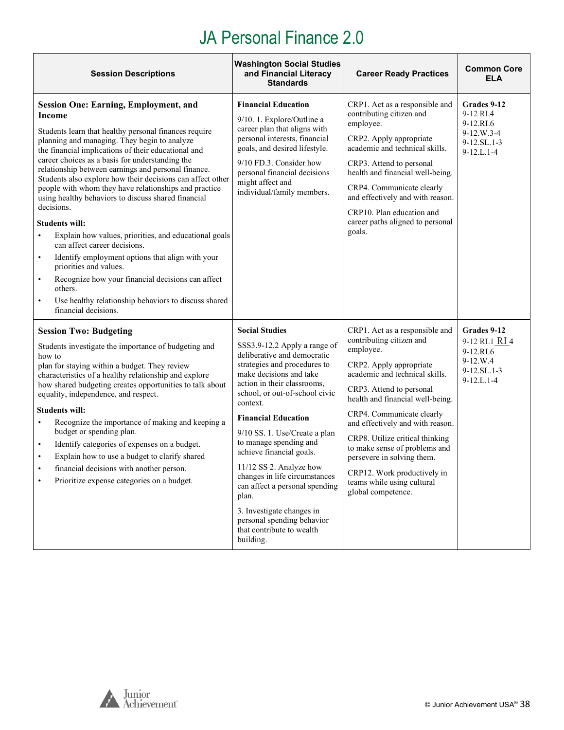<span id="page-37-0"></span>

| <b>Session Descriptions</b>                                                                                                                                                                                                                                                                                                                                                                                                                                                                                                                                                                                                                                                                                                                                                                                                                                                                                                      | <b>Washington Social Studies</b><br>and Financial Literacy<br><b>Standards</b>                                                                                                                                                                                                                                                                                                                                                                                                                                                                                  | <b>Career Ready Practices</b>                                                                                                                                                                                                                                                                                                                                                                                                                              | <b>Common Core</b><br><b>ELA</b>                                                          |
|----------------------------------------------------------------------------------------------------------------------------------------------------------------------------------------------------------------------------------------------------------------------------------------------------------------------------------------------------------------------------------------------------------------------------------------------------------------------------------------------------------------------------------------------------------------------------------------------------------------------------------------------------------------------------------------------------------------------------------------------------------------------------------------------------------------------------------------------------------------------------------------------------------------------------------|-----------------------------------------------------------------------------------------------------------------------------------------------------------------------------------------------------------------------------------------------------------------------------------------------------------------------------------------------------------------------------------------------------------------------------------------------------------------------------------------------------------------------------------------------------------------|------------------------------------------------------------------------------------------------------------------------------------------------------------------------------------------------------------------------------------------------------------------------------------------------------------------------------------------------------------------------------------------------------------------------------------------------------------|-------------------------------------------------------------------------------------------|
| <b>Session One: Earning, Employment, and</b><br>Income<br>Students learn that healthy personal finances require<br>planning and managing. They begin to analyze<br>the financial implications of their educational and<br>career choices as a basis for understanding the<br>relationship between earnings and personal finance.<br>Students also explore how their decisions can affect other<br>people with whom they have relationships and practice<br>using healthy behaviors to discuss shared financial<br>decisions.<br><b>Students will:</b><br>Explain how values, priorities, and educational goals<br>$\bullet$<br>can affect career decisions.<br>Identify employment options that align with your<br>$\bullet$<br>priorities and values.<br>Recognize how your financial decisions can affect<br>$\bullet$<br>others.<br>Use healthy relationship behaviors to discuss shared<br>$\bullet$<br>financial decisions. | <b>Financial Education</b><br>9/10. 1. Explore/Outline a<br>career plan that aligns with<br>personal interests, financial<br>goals, and desired lifestyle.<br>9/10 FD.3. Consider how<br>personal financial decisions<br>might affect and<br>individual/family members.                                                                                                                                                                                                                                                                                         | CRP1. Act as a responsible and<br>contributing citizen and<br>employee.<br>CRP2. Apply appropriate<br>academic and technical skills.<br>CRP3. Attend to personal<br>health and financial well-being.<br>CRP4. Communicate clearly<br>and effectively and with reason.<br>CRP10. Plan education and<br>career paths aligned to personal<br>goals.                                                                                                           | Grades 9-12<br>9-12 RI.4<br>9-12.RI.6<br>9-12.W.3-4<br>9-12.SL.1-3<br>$9-12.L.1-4$        |
| <b>Session Two: Budgeting</b><br>Students investigate the importance of budgeting and<br>how to<br>plan for staying within a budget. They review<br>characteristics of a healthy relationship and explore<br>how shared budgeting creates opportunities to talk about<br>equality, independence, and respect.<br><b>Students will:</b><br>Recognize the importance of making and keeping a<br>$\bullet$<br>budget or spending plan.<br>Identify categories of expenses on a budget.<br>$\bullet$<br>Explain how to use a budget to clarify shared<br>٠<br>financial decisions with another person.<br>Prioritize expense categories on a budget.                                                                                                                                                                                                                                                                                 | <b>Social Studies</b><br>SSS3.9-12.2 Apply a range of<br>deliberative and democratic<br>strategies and procedures to<br>make decisions and take<br>action in their classrooms,<br>school, or out-of-school civic<br>context.<br><b>Financial Education</b><br>9/10 SS. 1. Use/Create a plan<br>to manage spending and<br>achieve financial goals.<br>$11/12$ SS 2. Analyze how<br>changes in life circumstances<br>can affect a personal spending<br>plan.<br>3. Investigate changes in<br>personal spending behavior<br>that contribute to wealth<br>building. | CRP1. Act as a responsible and<br>contributing citizen and<br>employee.<br>CRP2. Apply appropriate<br>academic and technical skills.<br>CRP3. Attend to personal<br>health and financial well-being.<br>CRP4. Communicate clearly<br>and effectively and with reason.<br>CRP8. Utilize critical thinking<br>to make sense of problems and<br>persevere in solving them.<br>CRP12. Work productively in<br>teams while using cultural<br>global competence. | Grades 9-12<br>9-12 RI.1 RI 4<br>9-12.RI.6<br>$9-12.W.4$<br>$9-12.SL.1-3$<br>$9-12.L.1-4$ |

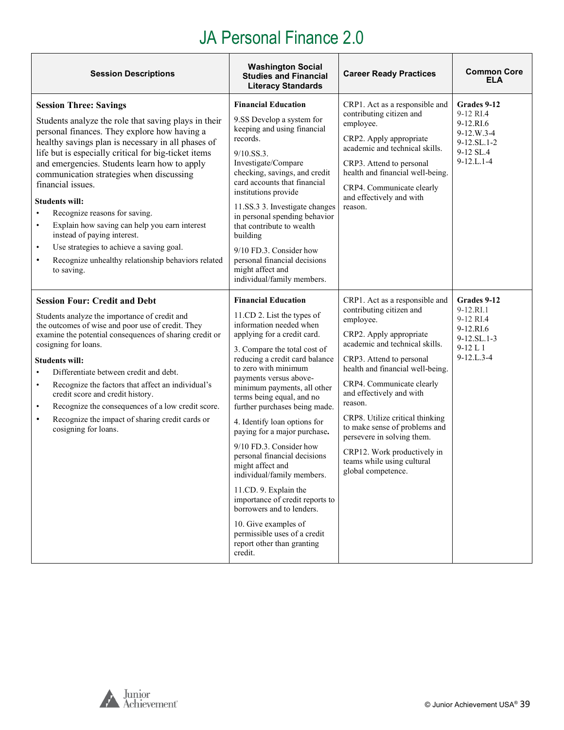| <b>Session Descriptions</b>                                                                                                                                                                                                                                                                                                                                                                                                                                                                                                                                                                                                                                                        | <b>Washington Social</b><br><b>Career Ready Practices</b><br><b>Studies and Financial</b><br><b>Literacy Standards</b>                                                                                                                                                                                                                                                                                                                                                                                                                                                                                                                                                                                     |                                                                                                                                                                                                                                                                                                                                                                                                                                                               | <b>Common Core</b><br>ELA                                                                               |
|------------------------------------------------------------------------------------------------------------------------------------------------------------------------------------------------------------------------------------------------------------------------------------------------------------------------------------------------------------------------------------------------------------------------------------------------------------------------------------------------------------------------------------------------------------------------------------------------------------------------------------------------------------------------------------|------------------------------------------------------------------------------------------------------------------------------------------------------------------------------------------------------------------------------------------------------------------------------------------------------------------------------------------------------------------------------------------------------------------------------------------------------------------------------------------------------------------------------------------------------------------------------------------------------------------------------------------------------------------------------------------------------------|---------------------------------------------------------------------------------------------------------------------------------------------------------------------------------------------------------------------------------------------------------------------------------------------------------------------------------------------------------------------------------------------------------------------------------------------------------------|---------------------------------------------------------------------------------------------------------|
| <b>Session Three: Savings</b><br>Students analyze the role that saving plays in their<br>personal finances. They explore how having a<br>healthy savings plan is necessary in all phases of<br>life but is especially critical for big-ticket items<br>and emergencies. Students learn how to apply<br>communication strategies when discussing<br>financial issues.<br><b>Students will:</b><br>Recognize reasons for saving.<br>$\bullet$<br>Explain how saving can help you earn interest<br>$\bullet$<br>instead of paying interest.<br>Use strategies to achieve a saving goal.<br>$\bullet$<br>Recognize unhealthy relationship behaviors related<br>$\bullet$<br>to saving. | <b>Financial Education</b><br>9.SS Develop a system for<br>keeping and using financial<br>records.<br>$9/10.$ SS.3.<br>Investigate/Compare<br>checking, savings, and credit<br>card accounts that financial<br>institutions provide<br>11.SS.3 3. Investigate changes<br>in personal spending behavior<br>that contribute to wealth<br>building<br>9/10 FD.3. Consider how<br>personal financial decisions<br>might affect and<br>individual/family members.                                                                                                                                                                                                                                               | CRP1. Act as a responsible and<br>contributing citizen and<br>employee.<br>CRP2. Apply appropriate<br>academic and technical skills.<br>CRP3. Attend to personal<br>health and financial well-being.<br>CRP4. Communicate clearly<br>and effectively and with<br>reason.                                                                                                                                                                                      | Grades 9-12<br>9-12 RI.4<br>9-12.RI.6<br>9-12.W.3-4<br>9-12.SL.1-2<br>9-12 SL.4<br>$9 - 12$ .L. $1 - 4$ |
| <b>Session Four: Credit and Debt</b><br>Students analyze the importance of credit and<br>the outcomes of wise and poor use of credit. They<br>examine the potential consequences of sharing credit or<br>cosigning for loans.<br><b>Students will:</b><br>Differentiate between credit and debt.<br>$\bullet$<br>Recognize the factors that affect an individual's<br>$\bullet$<br>credit score and credit history.<br>Recognize the consequences of a low credit score.<br>$\bullet$<br>Recognize the impact of sharing credit cards or<br>$\bullet$<br>cosigning for loans.                                                                                                      | <b>Financial Education</b><br>11.CD 2. List the types of<br>information needed when<br>applying for a credit card.<br>3. Compare the total cost of<br>reducing a credit card balance<br>to zero with minimum<br>payments versus above-<br>minimum payments, all other<br>terms being equal, and no<br>further purchases being made.<br>4. Identify loan options for<br>paying for a major purchase.<br>9/10 FD.3. Consider how<br>personal financial decisions<br>might affect and<br>individual/family members.<br>11.CD. 9. Explain the<br>importance of credit reports to<br>borrowers and to lenders.<br>10. Give examples of<br>permissible uses of a credit<br>report other than granting<br>credit. | CRP1. Act as a responsible and<br>contributing citizen and<br>employee.<br>CRP2. Apply appropriate<br>academic and technical skills.<br>CRP3. Attend to personal<br>health and financial well-being.<br>CRP4. Communicate clearly<br>and effectively and with<br>reason.<br>CRP8. Utilize critical thinking<br>to make sense of problems and<br>persevere in solving them.<br>CRP12. Work productively in<br>teams while using cultural<br>global competence. | Grades 9-12<br>9-12.RI.1<br>9-12 RI.4<br>9-12.RI.6<br>9-12.SL.1-3<br>$9-12L1$<br>$9 - 12$ .L.3-4        |



 $\mathbf{r}$ 

h

h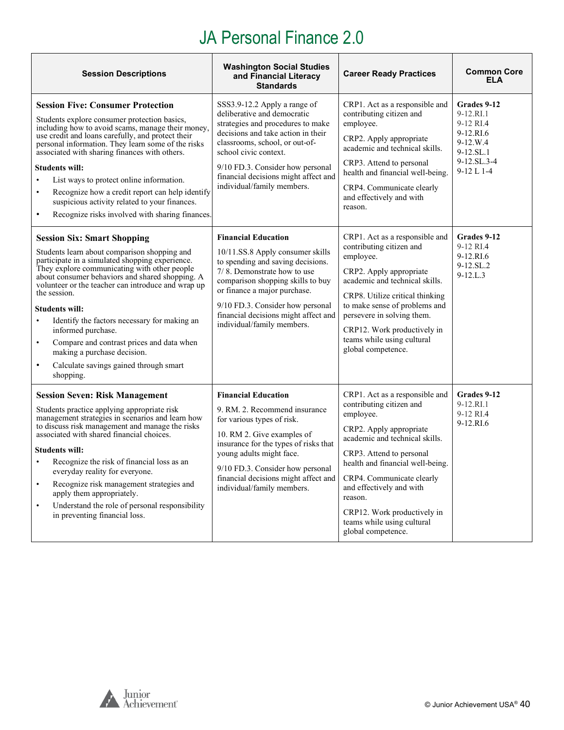| <b>Session Descriptions</b>                                                                                                                                                                                                                                                                                                                                                                                                                                                                                                                                                             | <b>Washington Social Studies</b><br>and Financial Literacy<br><b>Standards</b>                                                                                                                                                                                                                                    | <b>Career Ready Practices</b>                                                                                                                                                                                                                                                                                                                               | <b>Common Core</b><br>ELA                                                                                 |
|-----------------------------------------------------------------------------------------------------------------------------------------------------------------------------------------------------------------------------------------------------------------------------------------------------------------------------------------------------------------------------------------------------------------------------------------------------------------------------------------------------------------------------------------------------------------------------------------|-------------------------------------------------------------------------------------------------------------------------------------------------------------------------------------------------------------------------------------------------------------------------------------------------------------------|-------------------------------------------------------------------------------------------------------------------------------------------------------------------------------------------------------------------------------------------------------------------------------------------------------------------------------------------------------------|-----------------------------------------------------------------------------------------------------------|
| <b>Session Five: Consumer Protection</b><br>Students explore consumer protection basics,<br>including how to avoid scams, manage their money,<br>use credit and loans carefully, and protect their<br>personal information. They learn some of the risks<br>associated with sharing finances with others.<br><b>Students will:</b><br>List ways to protect online information.<br>$\bullet$<br>Recognize how a credit report can help identify<br>$\bullet$<br>suspicious activity related to your finances.<br>Recognize risks involved with sharing finances.<br>$\bullet$            | SSS3.9-12.2 Apply a range of<br>deliberative and democratic<br>strategies and procedures to make<br>decisions and take action in their<br>classrooms, school, or out-of-<br>school civic context.<br>9/10 FD.3. Consider how personal<br>financial decisions might affect and<br>individual/family members.       | CRP1. Act as a responsible and<br>contributing citizen and<br>employee.<br>CRP2. Apply appropriate<br>academic and technical skills.<br>CRP3. Attend to personal<br>health and financial well-being.<br>CRP4. Communicate clearly<br>and effectively and with<br>reason.                                                                                    | Grades 9-12<br>9-12.RI.1<br>9-12 RI.4<br>9-12.RI.6<br>9-12.W.4<br>9-12.SL.1<br>9-12.SL.3-4<br>$9-12 L1-4$ |
| <b>Session Six: Smart Shopping</b><br>Students learn about comparison shopping and<br>participate in a simulated shopping experience.<br>They explore communicating with other people<br>about consumer behaviors and shared shopping. A<br>volunteer or the teacher can introduce and wrap up<br>the session.<br><b>Students will:</b><br>Identify the factors necessary for making an<br>$\bullet$<br>informed purchase.<br>Compare and contrast prices and data when<br>$\bullet$<br>making a purchase decision.<br>Calculate savings gained through smart<br>$\bullet$<br>shopping. | <b>Financial Education</b><br>10/11.SS.8 Apply consumer skills<br>to spending and saving decisions.<br>7/8. Demonstrate how to use<br>comparison shopping skills to buy<br>or finance a major purchase.<br>9/10 FD.3. Consider how personal<br>financial decisions might affect and<br>individual/family members. | CRP1. Act as a responsible and<br>contributing citizen and<br>employee.<br>CRP2. Apply appropriate<br>academic and technical skills.<br>CRP8. Utilize critical thinking<br>to make sense of problems and<br>persevere in solving them.<br>CRP12. Work productively in<br>teams while using cultural<br>global competence.                                   | Grades 9-12<br>9-12 RI.4<br>9-12.RI.6<br>9-12.SL.2<br>$9 - 12$ .L.3                                       |
| <b>Session Seven: Risk Management</b><br>Students practice applying appropriate risk<br>management strategies in scenarios and learn how<br>to discuss risk management and manage the risks<br>associated with shared financial choices.<br><b>Students will:</b><br>Recognize the risk of financial loss as an<br>everyday reality for everyone.<br>Recognize risk management strategies and<br>$\bullet$<br>apply them appropriately.<br>Understand the role of personal responsibility<br>$\bullet$<br>in preventing financial loss.                                                 | <b>Financial Education</b><br>9. RM. 2. Recommend insurance<br>for various types of risk.<br>10. RM 2. Give examples of<br>insurance for the types of risks that<br>young adults might face.<br>9/10 FD.3. Consider how personal<br>financial decisions might affect and<br>individual/family members.            | CRP1. Act as a responsible and<br>contributing citizen and<br>employee.<br>CRP2. Apply appropriate<br>academic and technical skills.<br>CRP3. Attend to personal<br>health and financial well-being.<br>CRP4. Communicate clearly<br>and effectively and with<br>reason.<br>CRP12. Work productively in<br>teams while using cultural<br>global competence. | Grades 9-12<br>9-12.RI.1<br>9-12 RI.4<br>9-12.RI.6                                                        |



 $\Gamma$ 

 $\overline{\phantom{a}}$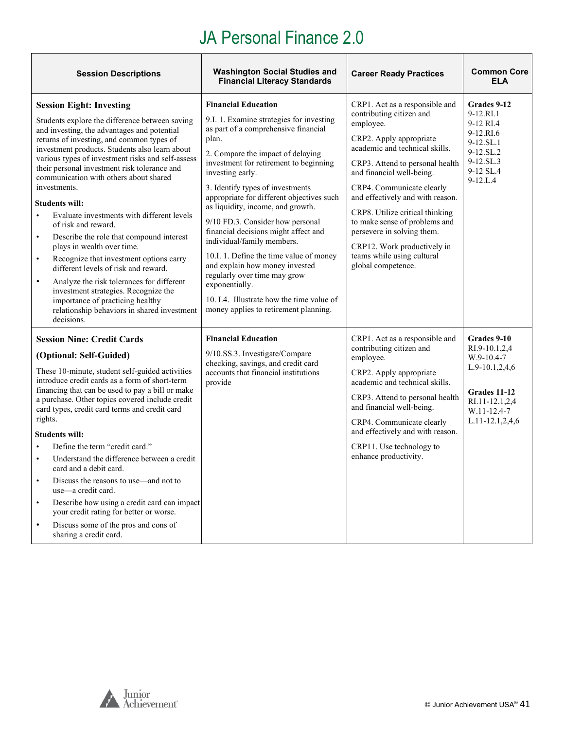| <b>Session Descriptions</b>                                                                                                                                                                                                                                                                                                                                                                                                                                                                                                                                                                                                                                                                                                                                                                                                                                                                         | <b>Washington Social Studies and</b><br><b>Financial Literacy Standards</b>                                                                                                                                                                                                                                                                                                                                                                                                                                                                                                                                                                                                     | <b>Career Ready Practices</b>                                                                                                                                                                                                                                                                                                                                                                                                                              | <b>Common Core</b><br><b>ELA</b>                                                                                                               |
|-----------------------------------------------------------------------------------------------------------------------------------------------------------------------------------------------------------------------------------------------------------------------------------------------------------------------------------------------------------------------------------------------------------------------------------------------------------------------------------------------------------------------------------------------------------------------------------------------------------------------------------------------------------------------------------------------------------------------------------------------------------------------------------------------------------------------------------------------------------------------------------------------------|---------------------------------------------------------------------------------------------------------------------------------------------------------------------------------------------------------------------------------------------------------------------------------------------------------------------------------------------------------------------------------------------------------------------------------------------------------------------------------------------------------------------------------------------------------------------------------------------------------------------------------------------------------------------------------|------------------------------------------------------------------------------------------------------------------------------------------------------------------------------------------------------------------------------------------------------------------------------------------------------------------------------------------------------------------------------------------------------------------------------------------------------------|------------------------------------------------------------------------------------------------------------------------------------------------|
| <b>Session Eight: Investing</b><br>Students explore the difference between saving<br>and investing, the advantages and potential<br>returns of investing, and common types of<br>investment products. Students also learn about<br>various types of investment risks and self-assess<br>their personal investment risk tolerance and<br>communication with others about shared<br>investments.<br><b>Students will:</b><br>Evaluate investments with different levels<br>$\bullet$<br>of risk and reward.<br>Describe the role that compound interest<br>$\bullet$<br>plays in wealth over time.<br>Recognize that investment options carry<br>$\bullet$<br>different levels of risk and reward.<br>Analyze the risk tolerances for different<br>$\bullet$<br>investment strategies. Recognize the<br>importance of practicing healthy<br>relationship behaviors in shared investment<br>decisions. | <b>Financial Education</b><br>9.I. 1. Examine strategies for investing<br>as part of a comprehensive financial<br>plan.<br>2. Compare the impact of delaying<br>investment for retirement to beginning<br>investing early.<br>3. Identify types of investments<br>appropriate for different objectives such<br>as liquidity, income, and growth.<br>9/10 FD.3. Consider how personal<br>financial decisions might affect and<br>individual/family members.<br>10.I. 1. Define the time value of money<br>and explain how money invested<br>regularly over time may grow<br>exponentially.<br>10. I.4. Illustrate how the time value of<br>money applies to retirement planning. | CRP1. Act as a responsible and<br>contributing citizen and<br>employee.<br>CRP2. Apply appropriate<br>academic and technical skills.<br>CRP3. Attend to personal health<br>and financial well-being.<br>CRP4. Communicate clearly<br>and effectively and with reason.<br>CRP8. Utilize critical thinking<br>to make sense of problems and<br>persevere in solving them.<br>CRP12. Work productively in<br>teams while using cultural<br>global competence. | Grades 9-12<br>9-12.RI.1<br>9-12 RI.4<br>9-12.RI.6<br>9-12.SL.1<br>9-12.SL.2<br>9-12.SL <sub>3</sub><br>9-12 SL.4<br>$9 - 12$ .L.4             |
| <b>Session Nine: Credit Cards</b><br>(Optional: Self-Guided)<br>These 10-minute, student self-guided activities<br>introduce credit cards as a form of short-term<br>financing that can be used to pay a bill or make<br>a purchase. Other topics covered include credit<br>card types, credit card terms and credit card<br>rights.<br><b>Students will:</b><br>Define the term "credit card."<br>$\bullet$<br>Understand the difference between a credit<br>$\bullet$<br>card and a debit card.<br>Discuss the reasons to use—and not to<br>$\bullet$<br>use-a credit card.<br>Describe how using a credit card can impact<br>$\bullet$<br>your credit rating for better or worse.<br>Discuss some of the pros and cons of<br>$\bullet$<br>sharing a credit card.                                                                                                                                 | <b>Financial Education</b><br>9/10.SS.3. Investigate/Compare<br>checking, savings, and credit card<br>accounts that financial institutions<br>provide                                                                                                                                                                                                                                                                                                                                                                                                                                                                                                                           | CRP1. Act as a responsible and<br>contributing citizen and<br>employee.<br>CRP2. Apply appropriate<br>academic and technical skills.<br>CRP3. Attend to personal health<br>and financial well-being.<br>CRP4. Communicate clearly<br>and effectively and with reason.<br>CRP11. Use technology to<br>enhance productivity.                                                                                                                                 | Grades 9-10<br>RI.9-10.1,2,4<br>$W.9-10.4-7$<br>$L.9-10.1, 2, 4, 6$<br>Grades 11-12<br>RI.11-12.1,2,4<br>W.11-12.4-7<br>$L.11 - 12.1, 2, 4, 6$ |

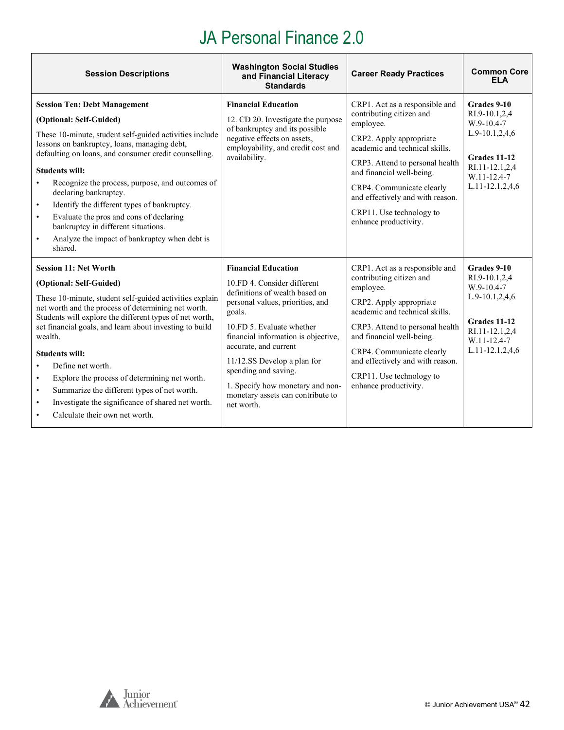| <b>Session Descriptions</b>                                                                                                                                                                                                                                                                                                                                                                                                                                                                                                                                                 | <b>Washington Social Studies</b><br>and Financial Literacy<br><b>Standards</b>                                                                                                                                                                                                                                                                                                       | <b>Career Ready Practices</b>                                                                                                                                                                                                                                                                                              | <b>Common Core</b><br><b>ELA</b>                                                                                                        |
|-----------------------------------------------------------------------------------------------------------------------------------------------------------------------------------------------------------------------------------------------------------------------------------------------------------------------------------------------------------------------------------------------------------------------------------------------------------------------------------------------------------------------------------------------------------------------------|--------------------------------------------------------------------------------------------------------------------------------------------------------------------------------------------------------------------------------------------------------------------------------------------------------------------------------------------------------------------------------------|----------------------------------------------------------------------------------------------------------------------------------------------------------------------------------------------------------------------------------------------------------------------------------------------------------------------------|-----------------------------------------------------------------------------------------------------------------------------------------|
| <b>Session Ten: Debt Management</b><br>(Optional: Self-Guided)<br>These 10-minute, student self-guided activities include<br>lessons on bankruptcy, loans, managing debt,<br>defaulting on loans, and consumer credit counselling.<br><b>Students will:</b><br>Recognize the process, purpose, and outcomes of<br>declaring bankruptcy.<br>Identify the different types of bankruptcy.<br>$\bullet$<br>Evaluate the pros and cons of declaring<br>$\bullet$<br>bankruptcy in different situations.<br>Analyze the impact of bankruptcy when debt is<br>$\bullet$<br>shared. | <b>Financial Education</b><br>12. CD 20. Investigate the purpose<br>of bankruptcy and its possible<br>negative effects on assets,<br>employability, and credit cost and<br>availability.                                                                                                                                                                                             | CRP1. Act as a responsible and<br>contributing citizen and<br>employee.<br>CRP2. Apply appropriate<br>academic and technical skills.<br>CRP3. Attend to personal health<br>and financial well-being.<br>CRP4. Communicate clearly<br>and effectively and with reason.<br>CRP11. Use technology to<br>enhance productivity. | Grades 9-10<br>RI.9-10.1,2,4<br>W.9-10.4-7<br>$L.9-10.1, 2, 4, 6$<br>Grades 11-12<br>RI.11-12.1,2,4<br>W.11-12.4-7<br>L.11-12.1,2,4,6   |
| <b>Session 11: Net Worth</b><br>(Optional: Self-Guided)<br>These 10-minute, student self-guided activities explain<br>net worth and the process of determining net worth.<br>Students will explore the different types of net worth,<br>set financial goals, and learn about investing to build<br>wealth.<br><b>Students will:</b><br>Define net worth.<br>Explore the process of determining net worth.<br>$\bullet$<br>Summarize the different types of net worth.<br>$\bullet$<br>Investigate the significance of shared net worth.<br>Calculate their own net worth.   | <b>Financial Education</b><br>10.FD 4. Consider different<br>definitions of wealth based on<br>personal values, priorities, and<br>goals.<br>10.FD 5. Evaluate whether<br>financial information is objective,<br>accurate, and current<br>11/12.SS Develop a plan for<br>spending and saving.<br>1. Specify how monetary and non-<br>monetary assets can contribute to<br>net worth. | CRP1. Act as a responsible and<br>contributing citizen and<br>employee.<br>CRP2. Apply appropriate<br>academic and technical skills.<br>CRP3. Attend to personal health<br>and financial well-being.<br>CRP4. Communicate clearly<br>and effectively and with reason.<br>CRP11. Use technology to<br>enhance productivity. | Grades 9-10<br>RI.9-10.1,2,4<br>W.9-10.4-7<br>L.9-10.1,2,4,6<br>Grades 11-12<br>RI.11-12.1,2,4<br>W.11-12.4-7<br>$L.11 - 12.1, 2, 4, 6$ |



Ť

 $\overline{\mathbf{1}}$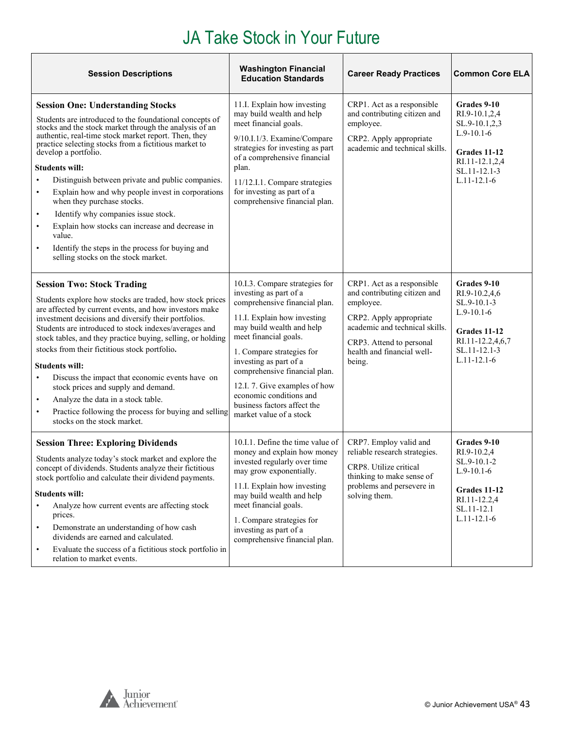<span id="page-42-0"></span>

| <b>Session Descriptions</b>                                                                                                                                                                                                                                                                                                                                                                                                                                                                                                                                                                                                                                                                                                | <b>Washington Financial</b><br><b>Education Standards</b>                                                                                                                                                                                                                                                                                                                                    | <b>Career Ready Practices</b>                                                                                                                                                                            | <b>Common Core ELA</b>                                                                                                               |
|----------------------------------------------------------------------------------------------------------------------------------------------------------------------------------------------------------------------------------------------------------------------------------------------------------------------------------------------------------------------------------------------------------------------------------------------------------------------------------------------------------------------------------------------------------------------------------------------------------------------------------------------------------------------------------------------------------------------------|----------------------------------------------------------------------------------------------------------------------------------------------------------------------------------------------------------------------------------------------------------------------------------------------------------------------------------------------------------------------------------------------|----------------------------------------------------------------------------------------------------------------------------------------------------------------------------------------------------------|--------------------------------------------------------------------------------------------------------------------------------------|
| <b>Session One: Understanding Stocks</b><br>Students are introduced to the foundational concepts of<br>stocks and the stock market through the analysis of an<br>authentic, real-time stock market report. Then, they<br>practice selecting stocks from a fictitious market to<br>develop a portfolio.<br><b>Students will:</b><br>Distinguish between private and public companies.<br>Explain how and why people invest in corporations<br>$\bullet$<br>when they purchase stocks.<br>Identify why companies issue stock.<br>$\bullet$<br>Explain how stocks can increase and decrease in<br>$\bullet$<br>value.<br>Identify the steps in the process for buying and<br>$\bullet$<br>selling stocks on the stock market. | 11.I. Explain how investing<br>may build wealth and help<br>meet financial goals.<br>9/10.I.1/3. Examine/Compare<br>strategies for investing as part<br>of a comprehensive financial<br>plan.<br>11/12.I.1. Compare strategies<br>for investing as part of a<br>comprehensive financial plan.                                                                                                | CRP1. Act as a responsible<br>and contributing citizen and<br>employee.<br>CRP2. Apply appropriate<br>academic and technical skills.                                                                     | Grades 9-10<br>RI.9-10.1,2,4<br>SL.9-10.1,2,3<br>$L.9-10.1-6$<br>Grades 11-12<br>RI.11-12.1,2,4<br>SL.11-12.1-3<br>$L.11 - 12.1 - 6$ |
| <b>Session Two: Stock Trading</b><br>Students explore how stocks are traded, how stock prices<br>are affected by current events, and how investors make<br>investment decisions and diversify their portfolios.<br>Students are introduced to stock indexes/averages and<br>stock tables, and they practice buying, selling, or holding<br>stocks from their fictitious stock portfolio.<br><b>Students will:</b><br>Discuss the impact that economic events have on<br>stock prices and supply and demand.<br>Analyze the data in a stock table.<br>Practice following the process for buying and selling<br>$\bullet$<br>stocks on the stock market.                                                                     | 10.I.3. Compare strategies for<br>investing as part of a<br>comprehensive financial plan.<br>11.I. Explain how investing<br>may build wealth and help<br>meet financial goals.<br>1. Compare strategies for<br>investing as part of a<br>comprehensive financial plan.<br>12.I. 7. Give examples of how<br>economic conditions and<br>business factors affect the<br>market value of a stock | CRP1. Act as a responsible<br>and contributing citizen and<br>employee.<br>CRP2. Apply appropriate<br>academic and technical skills.<br>CRP3. Attend to personal<br>health and financial well-<br>being. | Grades 9-10<br>RI.9-10.2,4,6<br>SL.9-10.1-3<br>$L.9-10.1-6$<br>Grades 11-12<br>RI.11-12.2,4,6,7<br>SL.11-12.1-3<br>$L.11 - 12.1 - 6$ |
| <b>Session Three: Exploring Dividends</b><br>Students analyze today's stock market and explore the<br>concept of dividends. Students analyze their fictitious<br>stock portfolio and calculate their dividend payments.<br><b>Students will:</b><br>Analyze how current events are affecting stock<br>prices.<br>Demonstrate an understanding of how cash<br>$\bullet$<br>dividends are earned and calculated.<br>Evaluate the success of a fictitious stock portfolio in<br>$\bullet$<br>relation to market events.                                                                                                                                                                                                       | 10.I.1. Define the time value of<br>money and explain how money<br>invested regularly over time<br>may grow exponentially.<br>11.I. Explain how investing<br>may build wealth and help<br>meet financial goals.<br>1. Compare strategies for<br>investing as part of a<br>comprehensive financial plan.                                                                                      | CRP7. Employ valid and<br>reliable research strategies.<br>CRP8. Utilize critical<br>thinking to make sense of<br>problems and persevere in<br>solving them.                                             | Grades 9-10<br>RI.9-10.2,4<br>SL.9-10.1-2<br>$L.9-10.1-6$<br>Grades 11-12<br>RI.11-12.2,4<br>SL.11-12.1<br>$L.11 - 12.1 - 6$         |

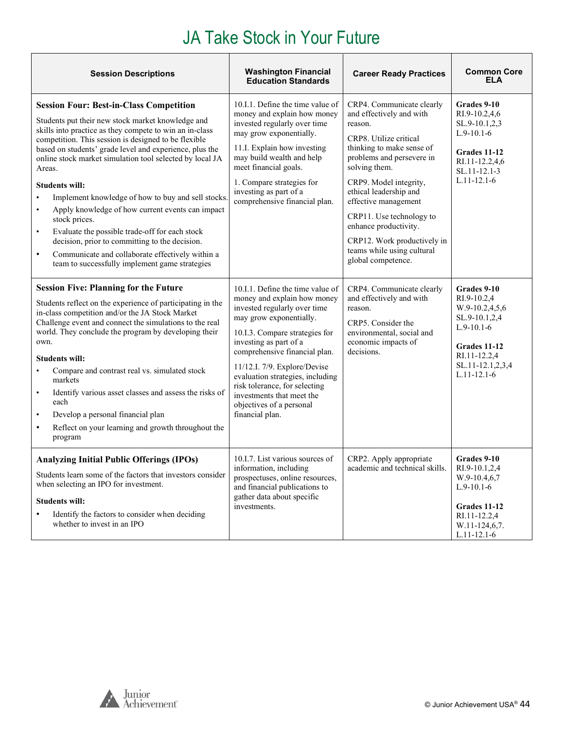| <b>Washington Financial</b><br><b>Session Descriptions</b><br><b>Education Standards</b>                                                                                                                                                                                                                                                                                                                                                                                                                                                                                                                                                                                                                                                                                  |                                                                                                                                                                                                                                                                                                                                                                                                          | <b>Career Ready Practices</b>                                                                                                                                                                                                                                                                                                                                                             | <b>Common Core</b><br><b>ELA</b>                                                                                                                       |
|---------------------------------------------------------------------------------------------------------------------------------------------------------------------------------------------------------------------------------------------------------------------------------------------------------------------------------------------------------------------------------------------------------------------------------------------------------------------------------------------------------------------------------------------------------------------------------------------------------------------------------------------------------------------------------------------------------------------------------------------------------------------------|----------------------------------------------------------------------------------------------------------------------------------------------------------------------------------------------------------------------------------------------------------------------------------------------------------------------------------------------------------------------------------------------------------|-------------------------------------------------------------------------------------------------------------------------------------------------------------------------------------------------------------------------------------------------------------------------------------------------------------------------------------------------------------------------------------------|--------------------------------------------------------------------------------------------------------------------------------------------------------|
| <b>Session Four: Best-in-Class Competition</b><br>Students put their new stock market knowledge and<br>skills into practice as they compete to win an in-class<br>competition. This session is designed to be flexible<br>based on students' grade level and experience, plus the<br>online stock market simulation tool selected by local JA<br>Areas.<br><b>Students will:</b><br>Implement knowledge of how to buy and sell stocks.<br>$\bullet$<br>Apply knowledge of how current events can impact<br>$\bullet$<br>stock prices.<br>Evaluate the possible trade-off for each stock<br>$\bullet$<br>decision, prior to committing to the decision.<br>Communicate and collaborate effectively within a<br>$\bullet$<br>team to successfully implement game strategies | 10.I.1. Define the time value of<br>money and explain how money<br>invested regularly over time<br>may grow exponentially.<br>11.I. Explain how investing<br>may build wealth and help<br>meet financial goals.<br>1. Compare strategies for<br>investing as part of a<br>comprehensive financial plan.                                                                                                  | CRP4. Communicate clearly<br>and effectively and with<br>reason.<br>CRP8. Utilize critical<br>thinking to make sense of<br>problems and persevere in<br>solving them.<br>CRP9. Model integrity,<br>ethical leadership and<br>effective management<br>CRP11. Use technology to<br>enhance productivity.<br>CRP12. Work productively in<br>teams while using cultural<br>global competence. | Grades 9-10<br>RI.9-10.2,4,6<br>SL.9-10.1,2,3<br>$L.9-10.1-6$<br>Grades 11-12<br>RI.11-12.2,4,6<br>SL.11-12.1-3<br>$L.11 - 12.1 - 6$                   |
| <b>Session Five: Planning for the Future</b><br>Students reflect on the experience of participating in the<br>in-class competition and/or the JA Stock Market<br>Challenge event and connect the simulations to the real<br>world. They conclude the program by developing their<br>own.<br><b>Students will:</b><br>Compare and contrast real vs. simulated stock<br>$\bullet$<br>markets<br>Identify various asset classes and assess the risks of<br>$\bullet$<br>each<br>Develop a personal financial plan<br>$\bullet$<br>Reflect on your learning and growth throughout the<br>$\bullet$<br>program                                                                                                                                                                 | 10.I.1. Define the time value of<br>money and explain how money<br>invested regularly over time<br>may grow exponentially.<br>10.I.3. Compare strategies for<br>investing as part of a<br>comprehensive financial plan.<br>11/12.I. 7/9. Explore/Devise<br>evaluation strategies, including<br>risk tolerance, for selecting<br>investments that meet the<br>objectives of a personal<br>financial plan. | CRP4. Communicate clearly<br>and effectively and with<br>reason.<br>CRP5. Consider the<br>environmental, social and<br>economic impacts of<br>decisions.                                                                                                                                                                                                                                  | Grades 9-10<br>RI.9-10.2,4<br>W.9-10.2,4,5,6<br>SL.9-10.1,2,4<br>$L.9-10.1-6$<br>Grades 11-12<br>RI.11-12.2,4<br>SL.11-12.1,2,3,4<br>$L.11 - 12.1 - 6$ |
| <b>Analyzing Initial Public Offerings (IPOs)</b><br>Students learn some of the factors that investors consider<br>when selecting an IPO for investment.<br><b>Students will:</b><br>Identify the factors to consider when deciding<br>$\bullet$<br>whether to invest in an IPO                                                                                                                                                                                                                                                                                                                                                                                                                                                                                            | 10.I.7. List various sources of<br>information, including<br>prospectuses, online resources,<br>and financial publications to<br>gather data about specific<br>investments.                                                                                                                                                                                                                              | CRP2. Apply appropriate<br>academic and technical skills.                                                                                                                                                                                                                                                                                                                                 | Grades 9-10<br>RI.9-10.1,2,4<br>W.9-10.4,6,7<br>$L.9-10.1-6$<br>Grades 11-12<br>RI.11-12.2,4<br>W.11-124,6,7.<br>$L.11 - 12.1 - 6$                     |

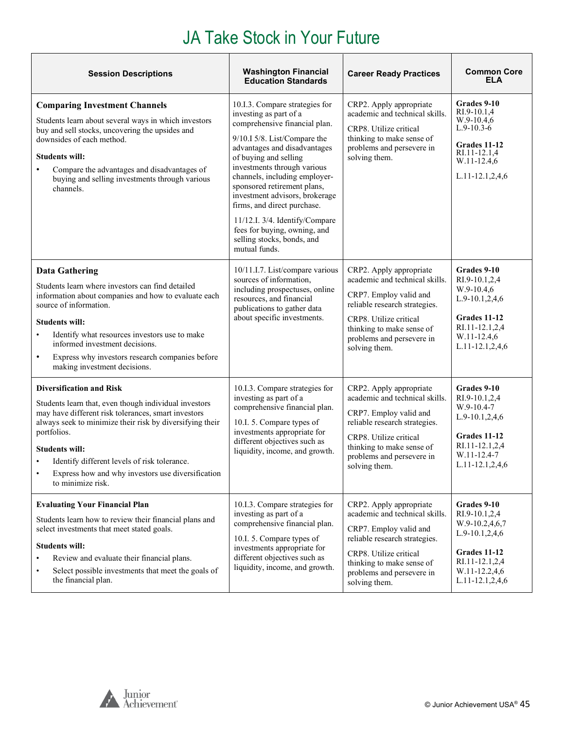| <b>Session Descriptions</b>                                                                                                                                                                                                                                                                                                                                                   | <b>Washington Financial</b><br><b>Education Standards</b>                                                                                                                                                                                                                                                                                                                                                                                                           | <b>Career Ready Practices</b>                                                                                                                                                                                             | <b>Common Core</b><br><b>ELA</b>                                                                                                            |
|-------------------------------------------------------------------------------------------------------------------------------------------------------------------------------------------------------------------------------------------------------------------------------------------------------------------------------------------------------------------------------|---------------------------------------------------------------------------------------------------------------------------------------------------------------------------------------------------------------------------------------------------------------------------------------------------------------------------------------------------------------------------------------------------------------------------------------------------------------------|---------------------------------------------------------------------------------------------------------------------------------------------------------------------------------------------------------------------------|---------------------------------------------------------------------------------------------------------------------------------------------|
| <b>Comparing Investment Channels</b><br>Students learn about several ways in which investors<br>buy and sell stocks, uncovering the upsides and<br>downsides of each method.<br><b>Students will:</b><br>Compare the advantages and disadvantages of<br>buying and selling investments through various<br>channels.                                                           | 10.I.3. Compare strategies for<br>investing as part of a<br>comprehensive financial plan.<br>9/10.I 5/8. List/Compare the<br>advantages and disadvantages<br>of buying and selling<br>investments through various<br>channels, including employer-<br>sponsored retirement plans,<br>investment advisors, brokerage<br>firms, and direct purchase.<br>11/12.I. 3/4. Identify/Compare<br>fees for buying, owning, and<br>selling stocks, bonds, and<br>mutual funds. | CRP2. Apply appropriate<br>academic and technical skills.<br>CRP8. Utilize critical<br>thinking to make sense of<br>problems and persevere in<br>solving them.                                                            | <b>Grades 9-10</b><br>RI.9-10.1,4<br>$W.9-10.4,6$<br>$L.9-10.3-6$<br>Grades 11-12<br>RI.11-12.1,4<br>W.11-12.4,6<br>L.11-12.1,2,4,6         |
| <b>Data Gathering</b><br>Students learn where investors can find detailed<br>information about companies and how to evaluate each<br>source of information.<br><b>Students will:</b><br>Identify what resources investors use to make<br>informed investment decisions.<br>Express why investors research companies before<br>$\bullet$<br>making investment decisions.       | 10/11.I.7. List/compare various<br>sources of information,<br>including prospectuses, online<br>resources, and financial<br>publications to gather data<br>about specific investments.                                                                                                                                                                                                                                                                              | CRP2. Apply appropriate<br>academic and technical skills.<br>CRP7. Employ valid and<br>reliable research strategies.<br>CRP8. Utilize critical<br>thinking to make sense of<br>problems and persevere in<br>solving them. | Grades 9-10<br>RI.9-10.1,2,4<br>W.9-10.4,6<br>L.9-10.1,2,4,6<br>Grades 11-12<br>RI.11-12.1,2,4<br>W.11-12.4,6<br>$L.11-12.1, 2, 4, 6$       |
| <b>Diversification and Risk</b><br>Students learn that, even though individual investors<br>may have different risk tolerances, smart investors<br>always seek to minimize their risk by diversifying their<br>portfolios.<br><b>Students will:</b><br>Identify different levels of risk tolerance.<br>Express how and why investors use diversification<br>to minimize risk. | 10.I.3. Compare strategies for<br>investing as part of a<br>comprehensive financial plan.<br>10.I. 5. Compare types of<br>investments appropriate for<br>different objectives such as<br>liquidity, income, and growth.                                                                                                                                                                                                                                             | CRP2. Apply appropriate<br>academic and technical skills.<br>CRP7. Employ valid and<br>reliable research strategies.<br>CRP8. Utilize critical<br>thinking to make sense of<br>problems and persevere in<br>solving them. | Grades 9-10<br>RI.9-10.1,2,4<br>W.9-10.4-7<br>L.9-10.1,2,4,6<br>Grades 11-12<br>RI.11-12.1,2,4<br>W.11-12.4-7<br>L.11-12.1,2,4,6            |
| <b>Evaluating Your Financial Plan</b><br>Students learn how to review their financial plans and<br>select investments that meet stated goals.<br><b>Students will:</b><br>Review and evaluate their financial plans.<br>$\bullet$<br>Select possible investments that meet the goals of<br>$\bullet$<br>the financial plan.                                                   | 10.I.3. Compare strategies for<br>investing as part of a<br>comprehensive financial plan.<br>10.I. 5. Compare types of<br>investments appropriate for<br>different objectives such as<br>liquidity, income, and growth.                                                                                                                                                                                                                                             | CRP2. Apply appropriate<br>academic and technical skills.<br>CRP7. Employ valid and<br>reliable research strategies.<br>CRP8. Utilize critical<br>thinking to make sense of<br>problems and persevere in<br>solving them. | Grades 9-10<br>RI.9-10.1,2,4<br>W.9-10.2,4,6,7<br>$L.9-10.1, 2, 4, 6$<br>Grades 11-12<br>RI.11-12.1,2,4<br>W.11-12.2,4,6<br>L.11-12.1,2,4,6 |

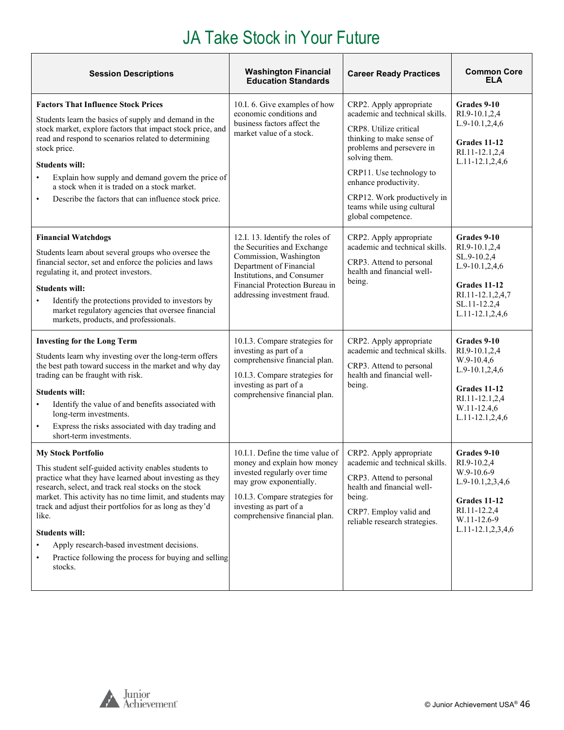| <b>Session Descriptions</b>                                                                                                                                                                                                                                                                                                                                                                                                                                                                                 | <b>Washington Financial</b><br><b>Education Standards</b>                                                                                                                                                               | <b>Career Ready Practices</b>                                                                                                                                                                                                                                                                          | <b>Common Core</b><br><b>ELA</b>                                                                                                                 |
|-------------------------------------------------------------------------------------------------------------------------------------------------------------------------------------------------------------------------------------------------------------------------------------------------------------------------------------------------------------------------------------------------------------------------------------------------------------------------------------------------------------|-------------------------------------------------------------------------------------------------------------------------------------------------------------------------------------------------------------------------|--------------------------------------------------------------------------------------------------------------------------------------------------------------------------------------------------------------------------------------------------------------------------------------------------------|--------------------------------------------------------------------------------------------------------------------------------------------------|
| <b>Factors That Influence Stock Prices</b><br>Students learn the basics of supply and demand in the<br>stock market, explore factors that impact stock price, and<br>read and respond to scenarios related to determining<br>stock price.<br><b>Students will:</b><br>Explain how supply and demand govern the price of<br>$\bullet$<br>a stock when it is traded on a stock market.<br>Describe the factors that can influence stock price.<br>$\bullet$                                                   | 10.I. 6. Give examples of how<br>economic conditions and<br>business factors affect the<br>market value of a stock.                                                                                                     | CRP2. Apply appropriate<br>academic and technical skills.<br>CRP8. Utilize critical<br>thinking to make sense of<br>problems and persevere in<br>solving them.<br>CRP11. Use technology to<br>enhance productivity.<br>CRP12. Work productively in<br>teams while using cultural<br>global competence. | Grades 9-10<br>RI.9-10.1,2,4<br>L.9-10.1,2,4,6<br>Grades 11-12<br>RI.11-12.1,2,4<br>L.11-12.1,2,4,6                                              |
| <b>Financial Watchdogs</b><br>Students learn about several groups who oversee the<br>financial sector, set and enforce the policies and laws<br>regulating it, and protect investors.<br><b>Students will:</b><br>Identify the protections provided to investors by<br>market regulatory agencies that oversee financial<br>markets, products, and professionals.                                                                                                                                           | 12.I. 13. Identify the roles of<br>the Securities and Exchange<br>Commission, Washington<br>Department of Financial<br>Institutions, and Consumer<br>Financial Protection Bureau in<br>addressing investment fraud.     | CRP2. Apply appropriate<br>academic and technical skills.<br>CRP3. Attend to personal<br>health and financial well-<br>being.                                                                                                                                                                          | Grades 9-10<br>RI.9-10.1,2,4<br>SL.9-10.2,4<br>L.9-10.1,2,4,6<br><b>Grades 11-12</b><br>RI.11-12.1,2,4,7<br>SL.11-12.2,4<br>$L.11-12.1, 2, 4, 6$ |
| <b>Investing for the Long Term</b><br>Students learn why investing over the long-term offers<br>the best path toward success in the market and why day<br>trading can be fraught with risk.<br><b>Students will:</b><br>Identify the value of and benefits associated with<br>$\bullet$<br>long-term investments.<br>Express the risks associated with day trading and<br>$\bullet$<br>short-term investments.                                                                                              | 10.I.3. Compare strategies for<br>investing as part of a<br>comprehensive financial plan.<br>10.I.3. Compare strategies for<br>investing as part of a<br>comprehensive financial plan.                                  | CRP2. Apply appropriate<br>academic and technical skills.<br>CRP3. Attend to personal<br>health and financial well-<br>being.                                                                                                                                                                          | Grades 9-10<br>RI.9-10.1,2,4<br>$W.9-10.4,6$<br>L.9-10.1,2,4,6<br>Grades 11-12<br>RI.11-12.1,2,4<br>W.11-12.4,6<br>L.11-12.1,2,4,6               |
| <b>My Stock Portfolio</b><br>This student self-guided activity enables students to<br>practice what they have learned about investing as they<br>research, select, and track real stocks on the stock<br>market. This activity has no time limit, and students may<br>track and adjust their portfolios for as long as they'd<br>like.<br><b>Students will:</b><br>Apply research-based investment decisions.<br>$\bullet$<br>Practice following the process for buying and selling<br>$\bullet$<br>stocks. | 10.I.1. Define the time value of<br>money and explain how money<br>invested regularly over time<br>may grow exponentially.<br>10.I.3. Compare strategies for<br>investing as part of a<br>comprehensive financial plan. | CRP2. Apply appropriate<br>academic and technical skills.<br>CRP3. Attend to personal<br>health and financial well-<br>being.<br>CRP7. Employ valid and<br>reliable research strategies.                                                                                                               | Grades 9-10<br>RI.9-10.2,4<br>W.9-10.6-9<br>L.9-10.1,2,3,4,6<br>Grades 11-12<br>RI.11-12.2,4<br>W.11-12.6-9<br>L.11-12.1,2,3,4,6                 |

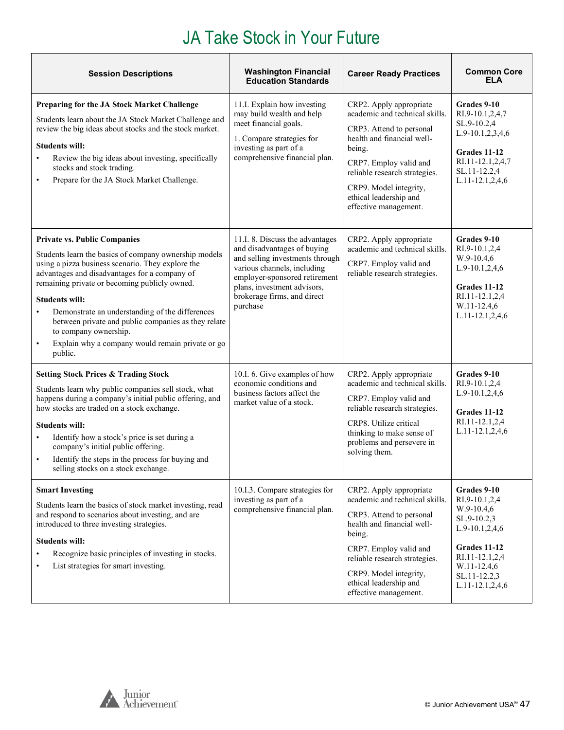| <b>Session Descriptions</b>                                                                                                                                                                                                                                                                                                                                                                                                                                                    | <b>Washington Financial</b><br><b>Education Standards</b>                                                                                                                                                                                   | <b>Career Ready Practices</b>                                                                                                                                                                                                                                         | <b>Common Core</b><br><b>ELA</b>                                                                                                                                |  |
|--------------------------------------------------------------------------------------------------------------------------------------------------------------------------------------------------------------------------------------------------------------------------------------------------------------------------------------------------------------------------------------------------------------------------------------------------------------------------------|---------------------------------------------------------------------------------------------------------------------------------------------------------------------------------------------------------------------------------------------|-----------------------------------------------------------------------------------------------------------------------------------------------------------------------------------------------------------------------------------------------------------------------|-----------------------------------------------------------------------------------------------------------------------------------------------------------------|--|
| Preparing for the JA Stock Market Challenge<br>Students learn about the JA Stock Market Challenge and<br>review the big ideas about stocks and the stock market.<br><b>Students will:</b><br>Review the big ideas about investing, specifically<br>$\bullet$<br>stocks and stock trading.<br>Prepare for the JA Stock Market Challenge.<br>$\bullet$                                                                                                                           | 11.I. Explain how investing<br>may build wealth and help<br>meet financial goals.<br>1. Compare strategies for<br>investing as part of a<br>comprehensive financial plan.                                                                   | CRP2. Apply appropriate<br>academic and technical skills.<br>CRP3. Attend to personal<br>health and financial well-<br>being.<br>CRP7. Employ valid and<br>reliable research strategies.<br>CRP9. Model integrity,<br>ethical leadership and<br>effective management. | Grades 9-10<br>RI.9-10.1,2,4,7<br>SL.9-10.2,4<br>L.9-10.1,2,3,4,6<br><b>Grades 11-12</b><br>RI.11-12.1,2,4,7<br>SL.11-12.2,4<br>L.11-12.1,2,4,6                 |  |
| <b>Private vs. Public Companies</b><br>Students learn the basics of company ownership models<br>using a pizza business scenario. They explore the<br>advantages and disadvantages for a company of<br>remaining private or becoming publicly owned.<br><b>Students will:</b><br>Demonstrate an understanding of the differences<br>between private and public companies as they relate<br>to company ownership.<br>Explain why a company would remain private or go<br>public. | 11.I. 8. Discuss the advantages<br>and disadvantages of buying<br>and selling investments through<br>various channels, including<br>employer-sponsored retirement<br>plans, investment advisors,<br>brokerage firms, and direct<br>purchase | CRP2. Apply appropriate<br>academic and technical skills.<br>CRP7. Employ valid and<br>reliable research strategies.                                                                                                                                                  | Grades 9-10<br>RI.9-10.1,2,4<br>W.9-10.4,6<br>L.9-10.1,2,4,6<br>Grades 11-12<br>RI.11-12.1,2,4<br>W.11-12.4,6<br>L.11-12.1,2,4,6                                |  |
| <b>Setting Stock Prices &amp; Trading Stock</b><br>Students learn why public companies sell stock, what<br>happens during a company's initial public offering, and<br>how stocks are traded on a stock exchange.<br><b>Students will:</b><br>Identify how a stock's price is set during a<br>company's initial public offering.<br>Identify the steps in the process for buying and<br>selling stocks on a stock exchange.                                                     | 10.I. 6. Give examples of how<br>economic conditions and<br>business factors affect the<br>market value of a stock.                                                                                                                         | CRP2. Apply appropriate<br>academic and technical skills.<br>CRP7. Employ valid and<br>reliable research strategies.<br>CRP8. Utilize critical<br>thinking to make sense of<br>problems and persevere in<br>solving them.                                             | Grades 9-10<br>RI.9-10.1,2,4<br>L.9-10.1,2,4,6<br>Grades 11-12<br>RI.11-12.1,2,4<br>L.11-12.1,2,4,6                                                             |  |
| <b>Smart Investing</b><br>Students learn the basics of stock market investing, read<br>and respond to scenarios about investing, and are<br>introduced to three investing strategies.<br><b>Students will:</b><br>Recognize basic principles of investing in stocks.<br>List strategies for smart investing.                                                                                                                                                                   | 10.I.3. Compare strategies for<br>investing as part of a<br>comprehensive financial plan.                                                                                                                                                   | CRP2. Apply appropriate<br>academic and technical skills.<br>CRP3. Attend to personal<br>health and financial well-<br>being.<br>CRP7. Employ valid and<br>reliable research strategies.<br>CRP9. Model integrity,<br>ethical leadership and<br>effective management. | Grades 9-10<br>RI.9-10.1,2,4<br>W.9-10.4,6<br>SL.9-10.2,3<br>L.9-10.1,2,4,6<br>Grades 11-12<br>RI.11-12.1,2,4<br>W.11-12.4,6<br>SL.11-12.2,3<br>L.11-12.1,2,4,6 |  |

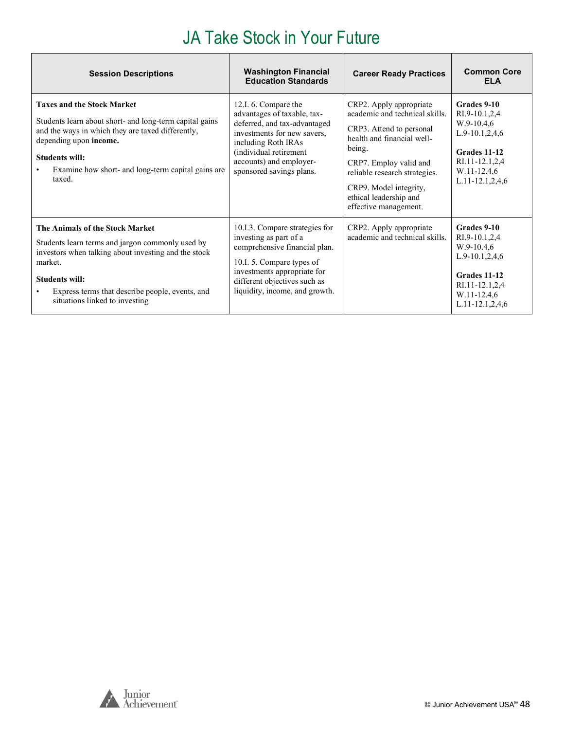| <b>Session Descriptions</b>                                                                                                                                                                                                                                          | <b>Washington Financial</b><br><b>Education Standards</b>                                                                                                                                                                  | <b>Career Ready Practices</b>                                                                                                                                                                                                                                         | <b>Common Core</b><br><b>ELA</b>                                                                                                               |
|----------------------------------------------------------------------------------------------------------------------------------------------------------------------------------------------------------------------------------------------------------------------|----------------------------------------------------------------------------------------------------------------------------------------------------------------------------------------------------------------------------|-----------------------------------------------------------------------------------------------------------------------------------------------------------------------------------------------------------------------------------------------------------------------|------------------------------------------------------------------------------------------------------------------------------------------------|
| <b>Taxes and the Stock Market</b><br>Students learn about short- and long-term capital gains<br>and the ways in which they are taxed differently,<br>depending upon income.<br>Students will:<br>Examine how short- and long-term capital gains are<br>taxed.        | 12.I. 6. Compare the<br>advantages of taxable, tax-<br>deferred, and tax-advantaged<br>investments for new savers.<br>including Roth IRAs<br>(individual retirement<br>accounts) and employer-<br>sponsored savings plans. | CRP2. Apply appropriate<br>academic and technical skills.<br>CRP3. Attend to personal<br>health and financial well-<br>being.<br>CRP7. Employ valid and<br>reliable research strategies.<br>CRP9. Model integrity,<br>ethical leadership and<br>effective management. | Grades 9-10<br>RI.9-10.1,2,4<br>$W.9-10.4,6$<br>$L.9-10.1, 2, 4, 6$<br>Grades 11-12<br>RI.11-12.1,2,4<br>W.11-12.4,6<br>$L.11-12.1, 2, 4, 6$   |
| The Animals of the Stock Market<br>Students learn terms and jargon commonly used by<br>investors when talking about investing and the stock<br>market.<br><b>Students will:</b><br>Express terms that describe people, events, and<br>situations linked to investing | 10.I.3. Compare strategies for<br>investing as part of a<br>comprehensive financial plan.<br>10.I. 5. Compare types of<br>investments appropriate for<br>different objectives such as<br>liquidity, income, and growth.    | CRP2. Apply appropriate<br>academic and technical skills.                                                                                                                                                                                                             | Grades 9-10<br>RI.9-10.1,2,4<br>$W.9-10.4,6$<br>$L.9-10.1, 2, 4, 6$<br>Grades 11-12<br>RI.11-12.1,2,4<br>W.11-12.4,6<br>$L.11 - 12.1, 2, 4, 6$ |

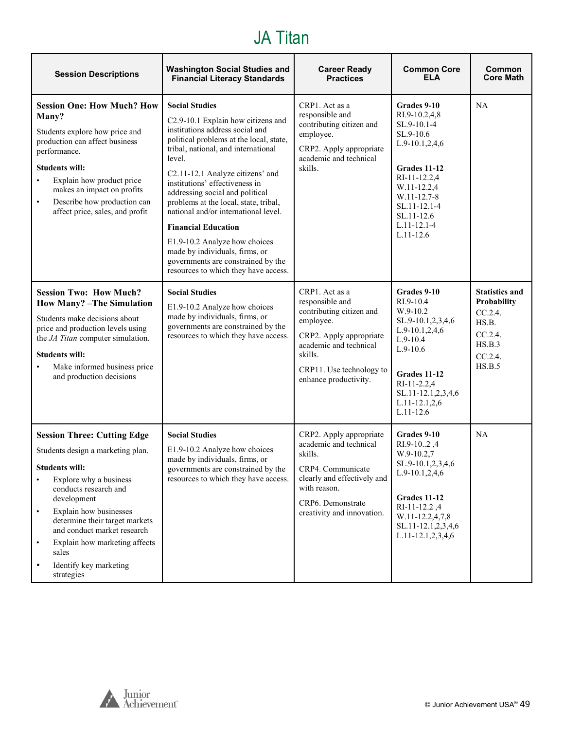#### JA Titan

<span id="page-48-0"></span>

| <b>Session Descriptions</b>                                                                                                                                                                                                                                                                                                                                                     | <b>Washington Social Studies and</b><br><b>Financial Literacy Standards</b>                                                                                                                                                                                                                                                                                                                                                                                                                                                                                         | <b>Career Ready</b><br><b>Practices</b>                                                                                                                                                         | <b>Common Core</b><br><b>ELA</b>                                                                                                                                                                                | Common<br><b>Core Math</b>                                                                            |
|---------------------------------------------------------------------------------------------------------------------------------------------------------------------------------------------------------------------------------------------------------------------------------------------------------------------------------------------------------------------------------|---------------------------------------------------------------------------------------------------------------------------------------------------------------------------------------------------------------------------------------------------------------------------------------------------------------------------------------------------------------------------------------------------------------------------------------------------------------------------------------------------------------------------------------------------------------------|-------------------------------------------------------------------------------------------------------------------------------------------------------------------------------------------------|-----------------------------------------------------------------------------------------------------------------------------------------------------------------------------------------------------------------|-------------------------------------------------------------------------------------------------------|
| <b>Session One: How Much? How</b><br>Many?<br>Students explore how price and<br>production can affect business<br>performance.<br><b>Students will:</b><br>Explain how product price<br>makes an impact on profits<br>Describe how production can<br>$\bullet$<br>affect price, sales, and profit                                                                               | <b>Social Studies</b><br>C2.9-10.1 Explain how citizens and<br>institutions address social and<br>political problems at the local, state,<br>tribal, national, and international<br>level.<br>C2.11-12.1 Analyze citizens' and<br>institutions' effectiveness in<br>addressing social and political<br>problems at the local, state, tribal,<br>national and/or international level.<br><b>Financial Education</b><br>E1.9-10.2 Analyze how choices<br>made by individuals, firms, or<br>governments are constrained by the<br>resources to which they have access. | CRP1. Act as a<br>responsible and<br>contributing citizen and<br>employee.<br>CRP2. Apply appropriate<br>academic and technical<br>skills.                                                      | Grades 9-10<br>RI.9-10.2,4,8<br>SL.9-10.1-4<br>SL.9-10.6<br>$L.9-10.1, 2, 4, 6$<br>Grades 11-12<br>RI-11-12.2,4<br>W.11-12.2,4<br>W.11-12.7-8<br>SL.11-12.1-4<br>SL.11-12.6<br>$L.11 - 12.1 - 4$<br>$L.11-12.6$ | <b>NA</b>                                                                                             |
| <b>Session Two: How Much?</b><br><b>How Many?</b> -The Simulation<br>Students make decisions about<br>price and production levels using<br>the JA Titan computer simulation.<br><b>Students will:</b><br>Make informed business price<br>and production decisions                                                                                                               | <b>Social Studies</b><br>E1.9-10.2 Analyze how choices<br>made by individuals, firms, or<br>governments are constrained by the<br>resources to which they have access.                                                                                                                                                                                                                                                                                                                                                                                              | CRP1. Act as a<br>responsible and<br>contributing citizen and<br>employee.<br>CRP2. Apply appropriate<br>academic and technical<br>skills.<br>CRP11. Use technology to<br>enhance productivity. | Grades 9-10<br>RI.9-10.4<br>$W.9-10.2$<br>SL.9-10.1,2,3,4,6<br>$L.9-10.1, 2, 4, 6$<br>$L.9-10.4$<br>$L.9-10.6$<br>Grades 11-12<br>RI-11-2.2,4<br>SL.11-12.1,2,3,4,6<br>$L.11 - 12.1, 2, 6$<br>$L.11 - 12.6$     | <b>Statistics and</b><br>Probability<br>$CC.2.4$ .<br>HS.B.<br>CC.2.4.<br>HS.B.3<br>CC.2.4.<br>HS.B.5 |
| <b>Session Three: Cutting Edge</b><br>Students design a marketing plan.<br>Students will:<br>Explore why a business<br>$\bullet$<br>conducts research and<br>development<br>Explain how businesses<br>$\bullet$<br>determine their target markets<br>and conduct market research<br>Explain how marketing affects<br>$\bullet$<br>sales<br>Identify key marketing<br>strategies | <b>Social Studies</b><br>E1.9-10.2 Analyze how choices<br>made by individuals, firms, or<br>governments are constrained by the<br>resources to which they have access.                                                                                                                                                                                                                                                                                                                                                                                              | CRP2. Apply appropriate<br>academic and technical<br>skills.<br>CRP4. Communicate<br>clearly and effectively and<br>with reason.<br>CRP6. Demonstrate<br>creativity and innovation.             | Grades 9-10<br>RI.9-102,4<br>$W.9-10.2,7$<br>SL.9-10.1,2,3,4,6<br>$L.9-10.1,2,4,6$<br><b>Grades 11-12</b><br>RI-11-12.2,4<br>W.11-12.2,4,7,8<br>SL.11-12.1,2,3,4,6<br>L.11-12.1,2,3,4,6                         | NA                                                                                                    |

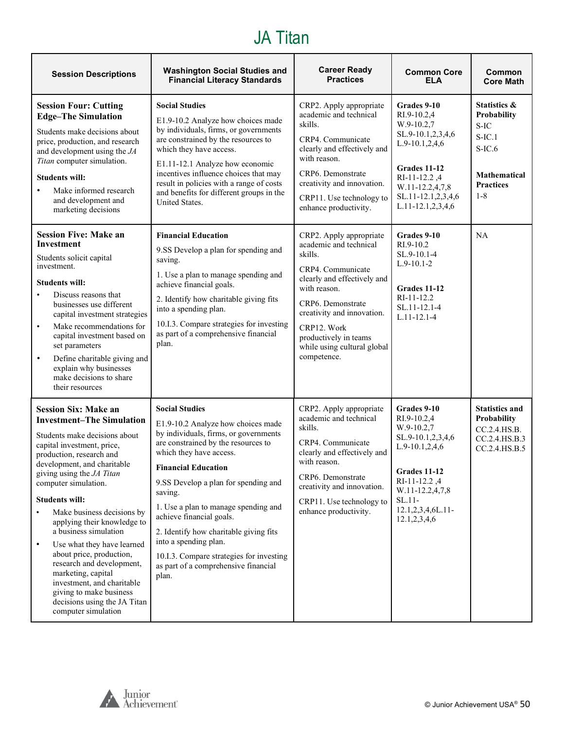#### JA Titan

| <b>Session Descriptions</b>                                                                                                                                                                                                                                                                                                                                                                                                                                                                                                                                                                             | <b>Washington Social Studies and</b><br><b>Financial Literacy Standards</b>                                                                                                                                                                                                                                                                                                                                                                                                                 | <b>Career Ready</b><br><b>Practices</b>                                                                                                                                                                                                                                   | <b>Common Core</b><br><b>ELA</b>                                                                                                                                                           | Common<br><b>Core Math</b>                                                                                                     |
|---------------------------------------------------------------------------------------------------------------------------------------------------------------------------------------------------------------------------------------------------------------------------------------------------------------------------------------------------------------------------------------------------------------------------------------------------------------------------------------------------------------------------------------------------------------------------------------------------------|---------------------------------------------------------------------------------------------------------------------------------------------------------------------------------------------------------------------------------------------------------------------------------------------------------------------------------------------------------------------------------------------------------------------------------------------------------------------------------------------|---------------------------------------------------------------------------------------------------------------------------------------------------------------------------------------------------------------------------------------------------------------------------|--------------------------------------------------------------------------------------------------------------------------------------------------------------------------------------------|--------------------------------------------------------------------------------------------------------------------------------|
| <b>Session Four: Cutting</b><br><b>Edge-The Simulation</b><br>Students make decisions about<br>price, production, and research<br>and development using the $JA$<br>Titan computer simulation.<br><b>Students will:</b><br>Make informed research<br>and development and<br>marketing decisions                                                                                                                                                                                                                                                                                                         | <b>Social Studies</b><br>E1.9-10.2 Analyze how choices made<br>by individuals, firms, or governments<br>are constrained by the resources to<br>which they have access.<br>E1.11-12.1 Analyze how economic<br>incentives influence choices that may<br>result in policies with a range of costs<br>and benefits for different groups in the<br>United States.                                                                                                                                | CRP2. Apply appropriate<br>academic and technical<br>skills.<br>CRP4. Communicate<br>clearly and effectively and<br>with reason.<br>CRP6. Demonstrate<br>creativity and innovation.<br>CRP11. Use technology to<br>enhance productivity.                                  | Grades 9-10<br>RI.9-10.2,4<br>W.9-10.2,7<br>SL.9-10.1,2,3,4,6<br>$L.9-10.1, 2, 4, 6$<br>Grades 11-12<br>RI-11-12.2,4<br>W.11-12.2,4,7,8<br>SL.11-12.1,2,3,4,6<br>$L.11-12.1, 2, 3, 4, 6$   | <b>Statistics &amp;</b><br>Probability<br>$S-IC$<br>$S-IC.1$<br>$S-IC.6$<br><b>Mathematical</b><br><b>Practices</b><br>$1 - 8$ |
| <b>Session Five: Make an</b><br>Investment<br>Students solicit capital<br>investment.<br><b>Students will:</b><br>Discuss reasons that<br>businesses use different<br>capital investment strategies<br>Make recommendations for<br>$\bullet$<br>capital investment based on<br>set parameters<br>Define charitable giving and<br>$\bullet$<br>explain why businesses<br>make decisions to share<br>their resources                                                                                                                                                                                      | <b>Financial Education</b><br>9.SS Develop a plan for spending and<br>saving.<br>1. Use a plan to manage spending and<br>achieve financial goals.<br>2. Identify how charitable giving fits<br>into a spending plan.<br>10.I.3. Compare strategies for investing<br>as part of a comprehensive financial<br>plan.                                                                                                                                                                           | CRP2. Apply appropriate<br>academic and technical<br>skills.<br>CRP4. Communicate<br>clearly and effectively and<br>with reason.<br>CRP6. Demonstrate<br>creativity and innovation.<br>CRP12. Work<br>productively in teams<br>while using cultural global<br>competence. | Grades 9-10<br>RI.9-10.2<br>SL.9-10.1-4<br>$L.9-10.1-2$<br>Grades 11-12<br>$RI-11-12.2$<br>SL.11-12.1-4<br>$L.11 - 12.1 - 4$                                                               | NA                                                                                                                             |
| <b>Session Six: Make an</b><br><b>Investment-The Simulation</b><br>Students make decisions about<br>capital investment, price,<br>production, research and<br>development, and charitable<br>giving using the JA Titan<br>computer simulation.<br><b>Students will:</b><br>Make business decisions by<br>applying their knowledge to<br>a business simulation<br>Use what they have learned<br>$\bullet$<br>about price, production,<br>research and development,<br>marketing, capital<br>investment, and charitable<br>giving to make business<br>decisions using the JA Titan<br>computer simulation | <b>Social Studies</b><br>E1.9-10.2 Analyze how choices made<br>by individuals, firms, or governments<br>are constrained by the resources to<br>which they have access.<br><b>Financial Education</b><br>9.SS Develop a plan for spending and<br>saving.<br>1. Use a plan to manage spending and<br>achieve financial goals.<br>2. Identify how charitable giving fits<br>into a spending plan.<br>10.I.3. Compare strategies for investing<br>as part of a comprehensive financial<br>plan. | CRP2. Apply appropriate<br>academic and technical<br>skills.<br>CRP4. Communicate<br>clearly and effectively and<br>with reason.<br>CRP6. Demonstrate<br>creativity and innovation.<br>CRP11. Use technology to<br>enhance productivity.                                  | Grades 9-10<br>RI.9-10.2,4<br>W.9-10.2,7<br>SL.9-10.1,2,3,4,6<br>L.9-10.1,2,4,6<br><b>Grades 11-12</b><br>RI-11-12.2,4<br>W.11-12.2,4,7,8<br>$SL.11-$<br>12.1,2,3,4,6L.11-<br>12.1,2,3,4,6 | <b>Statistics and</b><br><b>Probability</b><br>CC.2.4.HS.B.<br>CC.2.4.HS.B.3<br>CC.2.4.HS.B.5                                  |

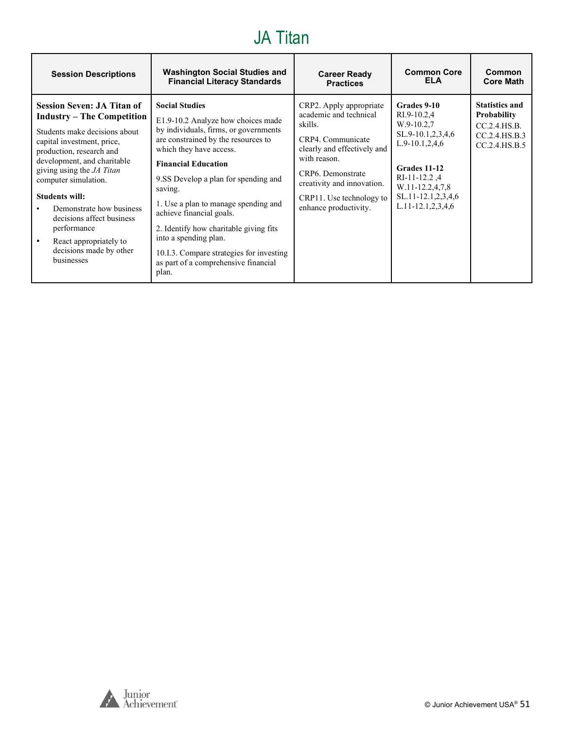#### JA Titan

| <b>Session Descriptions</b>                                                                                                                                                                                                                                                                                                                                                                                               | <b>Washington Social Studies and</b>                                                                                                                                                                                                                                                                                                                                                                                                                                                        | <b>Career Ready</b>                                                                                                                                                                                                                      | <b>Common Core</b>                                                                                                                                                                                 | Common                                                                                        |
|---------------------------------------------------------------------------------------------------------------------------------------------------------------------------------------------------------------------------------------------------------------------------------------------------------------------------------------------------------------------------------------------------------------------------|---------------------------------------------------------------------------------------------------------------------------------------------------------------------------------------------------------------------------------------------------------------------------------------------------------------------------------------------------------------------------------------------------------------------------------------------------------------------------------------------|------------------------------------------------------------------------------------------------------------------------------------------------------------------------------------------------------------------------------------------|----------------------------------------------------------------------------------------------------------------------------------------------------------------------------------------------------|-----------------------------------------------------------------------------------------------|
|                                                                                                                                                                                                                                                                                                                                                                                                                           | <b>Financial Literacy Standards</b>                                                                                                                                                                                                                                                                                                                                                                                                                                                         | <b>Practices</b>                                                                                                                                                                                                                         | <b>ELA</b>                                                                                                                                                                                         | <b>Core Math</b>                                                                              |
| <b>Session Seven: JA Titan of</b><br><b>Industry – The Competition</b><br>Students make decisions about<br>capital investment, price,<br>production, research and<br>development, and charitable<br>giving using the JA Titan<br>computer simulation.<br><b>Students will:</b><br>Demonstrate how business<br>decisions affect business<br>performance<br>React appropriately to<br>decisions made by other<br>businesses | <b>Social Studies</b><br>E1.9-10.2 Analyze how choices made<br>by individuals, firms, or governments<br>are constrained by the resources to<br>which they have access.<br><b>Financial Education</b><br>9.SS Develop a plan for spending and<br>saving.<br>1. Use a plan to manage spending and<br>achieve financial goals.<br>2. Identify how charitable giving fits<br>into a spending plan.<br>10.1.3. Compare strategies for investing<br>as part of a comprehensive financial<br>plan. | CRP2. Apply appropriate<br>academic and technical<br>skills.<br>CRP4. Communicate<br>clearly and effectively and<br>with reason.<br>CRP6. Demonstrate<br>creativity and innovation.<br>CRP11. Use technology to<br>enhance productivity. | Grades 9-10<br>RI.9-10.2,4<br>W.9-10.2,7<br>$SL.9-10.1, 2, 3, 4, 6$<br>$L.9-10.1, 2, 4, 6$<br>Grades 11-12<br>$RI-11-12.2$ , 4<br>W.11-12.2,4,7,8<br>SL.11-12.1,2,3,4,6<br>$L.11-12.1, 2, 3, 4, 6$ | <b>Statistics and</b><br><b>Probability</b><br>CC.2.4.HS.B.<br>CC.2.4.HS.B.3<br>CC.2.4.HS.B.5 |

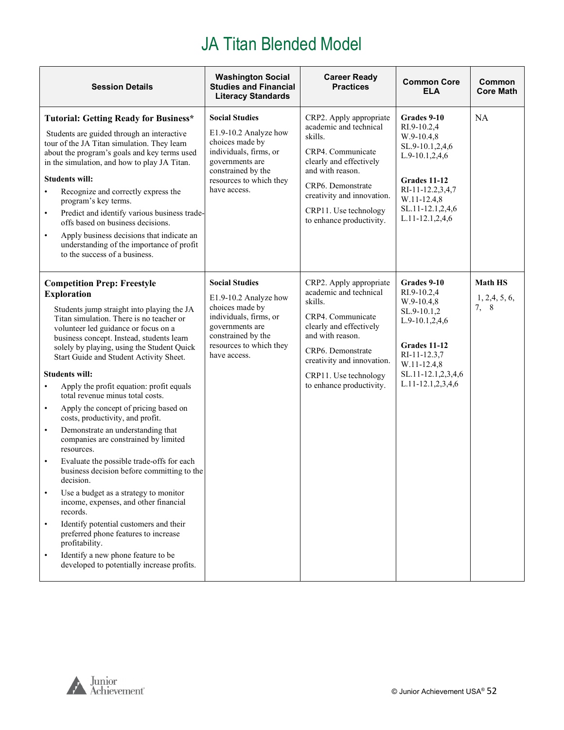<span id="page-51-0"></span>

| <b>Session Details</b>                                                                                                                                                                                                                                                                                                                                                                                                                                                                                                                                                                                                                                                                                                                                                                                                                                                                                                                                                                                                                                                                        | <b>Washington Social</b><br><b>Studies and Financial</b><br><b>Literacy Standards</b>                                                                                           | <b>Career Ready</b><br><b>Practices</b>                                                                                                                                                                                                  | <b>Common Core</b><br><b>ELA</b>                                                                                                                                                   | Common<br><b>Core Math</b>               |
|-----------------------------------------------------------------------------------------------------------------------------------------------------------------------------------------------------------------------------------------------------------------------------------------------------------------------------------------------------------------------------------------------------------------------------------------------------------------------------------------------------------------------------------------------------------------------------------------------------------------------------------------------------------------------------------------------------------------------------------------------------------------------------------------------------------------------------------------------------------------------------------------------------------------------------------------------------------------------------------------------------------------------------------------------------------------------------------------------|---------------------------------------------------------------------------------------------------------------------------------------------------------------------------------|------------------------------------------------------------------------------------------------------------------------------------------------------------------------------------------------------------------------------------------|------------------------------------------------------------------------------------------------------------------------------------------------------------------------------------|------------------------------------------|
| <b>Tutorial: Getting Ready for Business*</b><br>Students are guided through an interactive<br>tour of the JA Titan simulation. They learn<br>about the program's goals and key terms used<br>in the simulation, and how to play JA Titan.<br><b>Students will:</b><br>Recognize and correctly express the<br>$\bullet$<br>program's key terms.<br>Predict and identify various business trade-<br>$\bullet$<br>offs based on business decisions.<br>Apply business decisions that indicate an<br>$\bullet$<br>understanding of the importance of profit<br>to the success of a business.                                                                                                                                                                                                                                                                                                                                                                                                                                                                                                      | <b>Social Studies</b><br>E1.9-10.2 Analyze how<br>choices made by<br>individuals, firms, or<br>governments are<br>constrained by the<br>resources to which they<br>have access. | CRP2. Apply appropriate<br>academic and technical<br>skills.<br>CRP4. Communicate<br>clearly and effectively<br>and with reason.<br>CRP6. Demonstrate<br>creativity and innovation.<br>CRP11. Use technology<br>to enhance productivity. | Grades 9-10<br>RI.9-10.2,4<br>W.9-10.4,8<br>SL.9-10.1,2,4,6<br>$L.9-10.1, 2, 4, 6$<br>Grades 11-12<br>RI-11-12.2,3,4,7<br>W.11-12.4,8<br>SL.11-12.1,2,4,6<br>L.11-12.1,2,4,6       | <b>NA</b>                                |
| <b>Competition Prep: Freestyle</b><br><b>Exploration</b><br>Students jump straight into playing the JA<br>Titan simulation. There is no teacher or<br>volunteer led guidance or focus on a<br>business concept. Instead, students learn<br>solely by playing, using the Student Quick<br>Start Guide and Student Activity Sheet.<br><b>Students will:</b><br>Apply the profit equation: profit equals<br>$\bullet$<br>total revenue minus total costs.<br>Apply the concept of pricing based on<br>$\bullet$<br>costs, productivity, and profit.<br>Demonstrate an understanding that<br>$\bullet$<br>companies are constrained by limited<br>resources.<br>Evaluate the possible trade-offs for each<br>$\bullet$<br>business decision before committing to the<br>decision.<br>Use a budget as a strategy to monitor<br>income, expenses, and other financial<br>records.<br>Identify potential customers and their<br>$\bullet$<br>preferred phone features to increase<br>profitability.<br>Identify a new phone feature to be<br>$\bullet$<br>developed to potentially increase profits. | <b>Social Studies</b><br>E1.9-10.2 Analyze how<br>choices made by<br>individuals, firms, or<br>governments are<br>constrained by the<br>resources to which they<br>have access. | CRP2. Apply appropriate<br>academic and technical<br>skills.<br>CRP4. Communicate<br>clearly and effectively<br>and with reason.<br>CRP6. Demonstrate<br>creativity and innovation.<br>CRP11. Use technology<br>to enhance productivity. | Grades 9-10<br>RI.9-10.2,4<br>$W.9-10.4,8$<br>SL.9-10.1,2<br>$L.9-10.1, 2, 4, 6$<br>Grades 11-12<br>RI-11-12.3,7<br>W.11-12.4,8<br>SL.11-12.1,2,3,4,6<br>$L.11 - 12.1, 2, 3, 4, 6$ | <b>Math HS</b><br>1, 2, 4, 5, 6,<br>7, 8 |

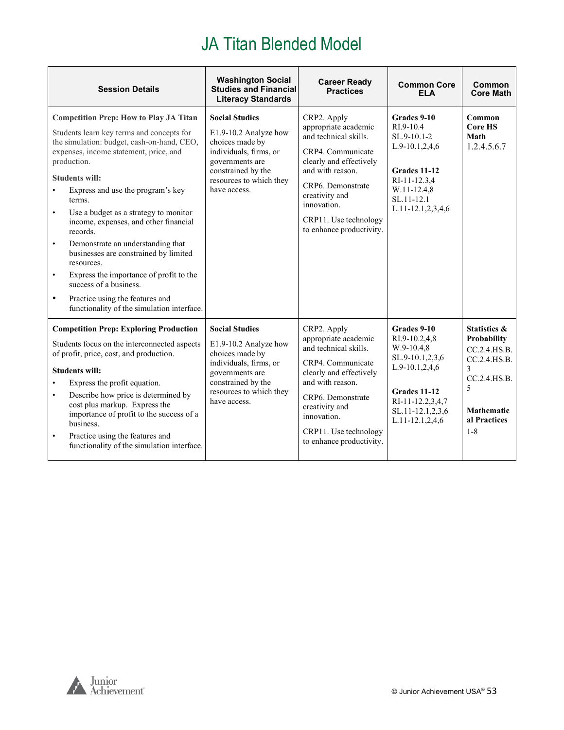| <b>Session Details</b>                                                                                                                                                                                                                                                                                                                                                                                                                                                                                                                                                                                                                                                                     | <b>Washington Social</b><br><b>Studies and Financial</b><br><b>Literacy Standards</b>                                                                                           | <b>Career Ready</b><br><b>Practices</b>                                                                                                                                                                                                     | <b>Common Core</b><br>FI A                                                                                                                                   | Common<br><b>Core Math</b>                                                                                                                       |
|--------------------------------------------------------------------------------------------------------------------------------------------------------------------------------------------------------------------------------------------------------------------------------------------------------------------------------------------------------------------------------------------------------------------------------------------------------------------------------------------------------------------------------------------------------------------------------------------------------------------------------------------------------------------------------------------|---------------------------------------------------------------------------------------------------------------------------------------------------------------------------------|---------------------------------------------------------------------------------------------------------------------------------------------------------------------------------------------------------------------------------------------|--------------------------------------------------------------------------------------------------------------------------------------------------------------|--------------------------------------------------------------------------------------------------------------------------------------------------|
| <b>Competition Prep: How to Play JA Titan</b><br>Students learn key terms and concepts for<br>the simulation: budget, cash-on-hand, CEO,<br>expenses, income statement, price, and<br>production.<br><b>Students will:</b><br>Express and use the program's key<br>$\bullet$<br>terms.<br>Use a budget as a strategy to monitor<br>$\bullet$<br>income, expenses, and other financial<br>records.<br>Demonstrate an understanding that<br>$\bullet$<br>businesses are constrained by limited<br>resources.<br>Express the importance of profit to the<br>$\bullet$<br>success of a business.<br>Practice using the features and<br>$\bullet$<br>functionality of the simulation interface. | <b>Social Studies</b><br>E1.9-10.2 Analyze how<br>choices made by<br>individuals, firms, or<br>governments are<br>constrained by the<br>resources to which they<br>have access. | CRP2. Apply<br>appropriate academic<br>and technical skills.<br>CRP4. Communicate<br>clearly and effectively<br>and with reason.<br>CRP6. Demonstrate<br>creativity and<br>innovation.<br>CRP11. Use technology<br>to enhance productivity. | Grades 9-10<br>RI.9-10.4<br>SL.9-10.1-2<br>L.9-10.1,2,4,6<br>Grades 11-12<br>RI-11-12.3,4<br>W.11-12.4,8<br>SL.11-12.1<br>$L.11 - 12.1, 2, 3, 4, 6$          | Common<br><b>Core HS</b><br>Math<br>1.2.4.5.6.7                                                                                                  |
| <b>Competition Prep: Exploring Production</b><br>Students focus on the interconnected aspects<br>of profit, price, cost, and production.<br><b>Students will:</b><br>Express the profit equation.<br>$\bullet$<br>Describe how price is determined by<br>$\bullet$<br>cost plus markup. Express the<br>importance of profit to the success of a<br>business.<br>Practice using the features and<br>$\bullet$<br>functionality of the simulation interface.                                                                                                                                                                                                                                 | <b>Social Studies</b><br>E1.9-10.2 Analyze how<br>choices made by<br>individuals, firms, or<br>governments are<br>constrained by the<br>resources to which they<br>have access. | CRP2. Apply<br>appropriate academic<br>and technical skills.<br>CRP4. Communicate<br>clearly and effectively<br>and with reason.<br>CRP6. Demonstrate<br>creativity and<br>innovation.<br>CRP11. Use technology<br>to enhance productivity. | Grades 9-10<br>RI.9-10.2,4,8<br>$W.9-10.4,8$<br>SL.9-10.1,2,3,6<br>L.9-10.1,2,4,6<br>Grades 11-12<br>RI-11-12.2,3,4,7<br>SL.11-12.1,2,3,6<br>L.11-12.1,2,4,6 | <b>Statistics &amp;</b><br>Probability<br>CC.2.4.HS.B.<br>CC.2.4.HS.B.<br>3<br>CC.2.4.HS.B.<br>5<br><b>Mathematic</b><br>al Practices<br>$1 - 8$ |

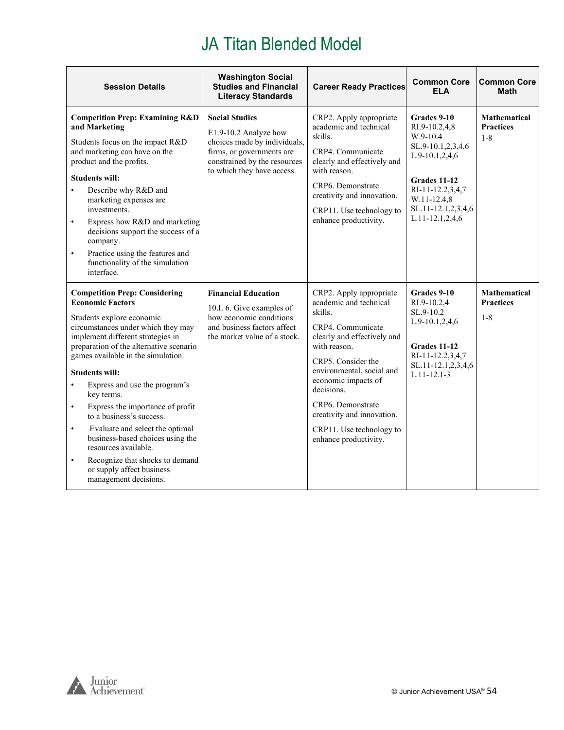| <b>Session Details</b>                                                                                                                                                                                                                                                                                                                                                                                                                                                                                                                                                                                                                       | <b>Washington Social</b><br><b>Studies and Financial</b><br><b>Literacy Standards</b>                                                                                     | <b>Career Ready Practices</b>                                                                                                                                                                                                                                                                                                    | <b>Common Core</b><br><b>ELA</b>                                                                                                                                            | <b>Common Core</b><br><b>Math</b>                  |
|----------------------------------------------------------------------------------------------------------------------------------------------------------------------------------------------------------------------------------------------------------------------------------------------------------------------------------------------------------------------------------------------------------------------------------------------------------------------------------------------------------------------------------------------------------------------------------------------------------------------------------------------|---------------------------------------------------------------------------------------------------------------------------------------------------------------------------|----------------------------------------------------------------------------------------------------------------------------------------------------------------------------------------------------------------------------------------------------------------------------------------------------------------------------------|-----------------------------------------------------------------------------------------------------------------------------------------------------------------------------|----------------------------------------------------|
| <b>Competition Prep: Examining R&amp;D</b><br>and Marketing<br>Students focus on the impact R&D<br>and marketing can have on the<br>product and the profits.<br><b>Students will:</b><br>Describe why R&D and<br>$\bullet$<br>marketing expenses are<br>investments.<br>Express how R&D and marketing<br>$\bullet$<br>decisions support the success of a<br>company.<br>Practice using the features and<br>$\bullet$<br>functionality of the simulation<br>interface.                                                                                                                                                                        | <b>Social Studies</b><br>E1.9-10.2 Analyze how<br>choices made by individuals,<br>firms, or governments are<br>constrained by the resources<br>to which they have access. | CRP2. Apply appropriate<br>academic and technical<br>skills.<br>CRP4. Communicate<br>clearly and effectively and<br>with reason.<br>CRP6. Demonstrate<br>creativity and innovation.<br>CRP11. Use technology to<br>enhance productivity.                                                                                         | Grades 9-10<br>RI.9-10.2,4,8<br>W.9-10.4<br>SL.9-10.1,2,3,4,6<br>L.9-10.1,2,4,6<br>Grades 11-12<br>RI-11-12.2,3,4,7<br>W.11-12.4,8<br>SL.11-12.1,2,3,4,6<br>L.11-12.1,2,4,6 | <b>Mathematical</b><br><b>Practices</b><br>$1 - 8$ |
| <b>Competition Prep: Considering</b><br><b>Economic Factors</b><br>Students explore economic<br>circumstances under which they may<br>implement different strategies in<br>preparation of the alternative scenario<br>games available in the simulation.<br><b>Students will:</b><br>Express and use the program's<br>$\bullet$<br>key terms.<br>Express the importance of profit<br>$\bullet$<br>to a business's success.<br>Evaluate and select the optimal<br>$\bullet$<br>business-based choices using the<br>resources available.<br>Recognize that shocks to demand<br>$\bullet$<br>or supply affect business<br>management decisions. | <b>Financial Education</b><br>10.I. 6. Give examples of<br>how economic conditions<br>and business factors affect<br>the market value of a stock.                         | CRP2. Apply appropriate<br>academic and technical<br>skills.<br>CRP4. Communicate<br>clearly and effectively and<br>with reason.<br>CRP5. Consider the<br>environmental, social and<br>economic impacts of<br>decisions.<br>CRP6. Demonstrate<br>creativity and innovation.<br>CRP11. Use technology to<br>enhance productivity. | Grades 9-10<br>RI.9-10.2,4<br>SL.9-10.2<br>$L.9-10.1, 2, 4, 6$<br>Grades 11-12<br>RI-11-12.2,3,4,7<br>SL.11-12.1,2,3,4,6<br>$L.11 - 12.1 - 3$                               | <b>Mathematical</b><br><b>Practices</b><br>$1 - 8$ |

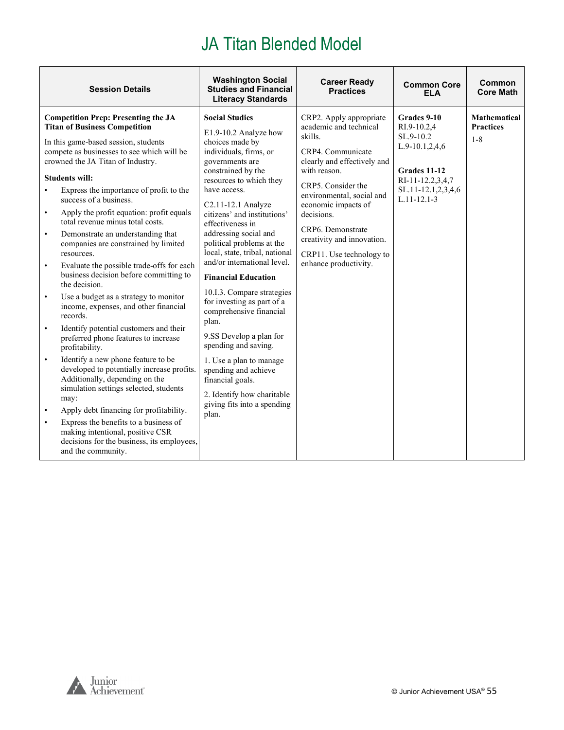| <b>Social Studies</b><br><b>Competition Prep: Presenting the JA</b><br>CRP2. Apply appropriate<br>Grades 9-10<br><b>Mathematical</b><br><b>Titan of Business Competition</b><br>academic and technical<br><b>Practices</b><br>RI.9-10.2,4<br>E1.9-10.2 Analyze how<br>skills.<br>SL.9-10.2<br>$1 - 8$<br>In this game-based session, students<br>choices made by<br>$L.9-10.1, 2, 4, 6$<br>compete as businesses to see which will be<br>individuals, firms, or<br>CRP4. Communicate<br>crowned the JA Titan of Industry.<br>clearly and effectively and<br>governments are<br>with reason.<br>constrained by the<br>Grades 11-12<br><b>Students will:</b><br>resources to which they<br>RI-11-12.2,3,4,7<br>CRP5. Consider the<br>have access.<br>SL.11-12.1,2,3,4,6<br>Express the importance of profit to the<br>$\bullet$<br>environmental, social and<br>$L.11 - 12.1 - 3$<br>success of a business.<br>economic impacts of<br>C2.11-12.1 Analyze<br>Apply the profit equation: profit equals<br>$\bullet$<br>citizens' and institutions'<br>decisions.<br>total revenue minus total costs.<br>effectiveness in<br>CRP6. Demonstrate<br>addressing social and<br>Demonstrate an understanding that<br>$\bullet$<br>creativity and innovation.<br>political problems at the<br>companies are constrained by limited<br>local, state, tribal, national<br>resources.<br>CRP11. Use technology to<br>and/or international level.<br>enhance productivity.<br>Evaluate the possible trade-offs for each<br>$\bullet$<br>business decision before committing to<br><b>Financial Education</b><br>the decision.<br>10.I.3. Compare strategies<br>Use a budget as a strategy to monitor<br>$\bullet$<br>for investing as part of a<br>income, expenses, and other financial<br>comprehensive financial<br>records.<br>plan.<br>Identify potential customers and their<br>$\bullet$<br>9.SS Develop a plan for<br>preferred phone features to increase<br>spending and saving.<br>profitability.<br>Identify a new phone feature to be<br>$\bullet$<br>1. Use a plan to manage<br>developed to potentially increase profits.<br>spending and achieve<br>Additionally, depending on the<br>financial goals.<br>simulation settings selected, students<br>2. Identify how charitable<br>may:<br>giving fits into a spending<br>Apply debt financing for profitability.<br>$\bullet$<br>plan.<br>Express the benefits to a business of<br>$\bullet$<br>making intentional, positive CSR<br>decisions for the business, its employees,<br>and the community. | <b>Session Details</b> | <b>Washington Social</b><br><b>Studies and Financial</b><br><b>Literacy Standards</b> | <b>Career Ready</b><br><b>Practices</b> | <b>Common Core</b><br><b>ELA</b> | Common<br><b>Core Math</b> |
|-------------------------------------------------------------------------------------------------------------------------------------------------------------------------------------------------------------------------------------------------------------------------------------------------------------------------------------------------------------------------------------------------------------------------------------------------------------------------------------------------------------------------------------------------------------------------------------------------------------------------------------------------------------------------------------------------------------------------------------------------------------------------------------------------------------------------------------------------------------------------------------------------------------------------------------------------------------------------------------------------------------------------------------------------------------------------------------------------------------------------------------------------------------------------------------------------------------------------------------------------------------------------------------------------------------------------------------------------------------------------------------------------------------------------------------------------------------------------------------------------------------------------------------------------------------------------------------------------------------------------------------------------------------------------------------------------------------------------------------------------------------------------------------------------------------------------------------------------------------------------------------------------------------------------------------------------------------------------------------------------------------------------------------------------------------------------------------------------------------------------------------------------------------------------------------------------------------------------------------------------------------------------------------------------------------------------------------------------------------------------------------------------------------------------------------------------------------------------------------------------------------------------------------------------------|------------------------|---------------------------------------------------------------------------------------|-----------------------------------------|----------------------------------|----------------------------|
|                                                                                                                                                                                                                                                                                                                                                                                                                                                                                                                                                                                                                                                                                                                                                                                                                                                                                                                                                                                                                                                                                                                                                                                                                                                                                                                                                                                                                                                                                                                                                                                                                                                                                                                                                                                                                                                                                                                                                                                                                                                                                                                                                                                                                                                                                                                                                                                                                                                                                                                                                       |                        |                                                                                       |                                         |                                  |                            |

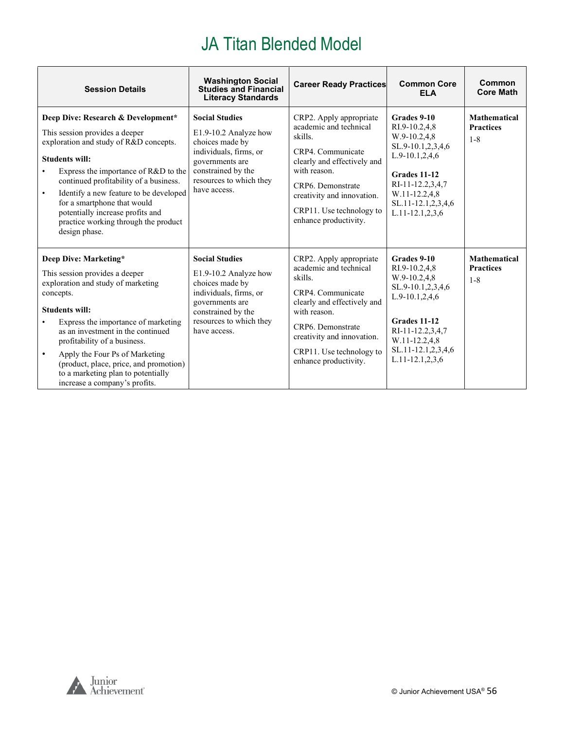| <b>Session Details</b>                                                                                                                                                                                                                                                                                                                                                                                          | <b>Washington Social</b><br><b>Studies and Financial</b><br><b>Literacy Standards</b>                                                                                           | <b>Career Ready Practices</b>                                                                                                                                                                                                            | <b>Common Core</b><br><b>ELA</b>                                                                                                                                                                | Common<br><b>Core Math</b>                         |
|-----------------------------------------------------------------------------------------------------------------------------------------------------------------------------------------------------------------------------------------------------------------------------------------------------------------------------------------------------------------------------------------------------------------|---------------------------------------------------------------------------------------------------------------------------------------------------------------------------------|------------------------------------------------------------------------------------------------------------------------------------------------------------------------------------------------------------------------------------------|-------------------------------------------------------------------------------------------------------------------------------------------------------------------------------------------------|----------------------------------------------------|
| Deep Dive: Research & Development*<br>This session provides a deeper<br>exploration and study of R&D concepts.<br><b>Students will:</b><br>Express the importance of R&D to the<br>continued profitability of a business.<br>Identify a new feature to be developed<br>$\bullet$<br>for a smartphone that would<br>potentially increase profits and<br>practice working through the product<br>design phase.    | <b>Social Studies</b><br>E1.9-10.2 Analyze how<br>choices made by<br>individuals, firms, or<br>governments are<br>constrained by the<br>resources to which they<br>have access. | CRP2. Apply appropriate<br>academic and technical<br>skills.<br>CRP4. Communicate<br>clearly and effectively and<br>with reason.<br>CRP6. Demonstrate<br>creativity and innovation.<br>CRP11. Use technology to<br>enhance productivity. | Grades 9-10<br>RI.9-10.2,4,8<br>$W.9-10.2,4.8$<br>SL.9-10.1,2,3,4,6<br>$L.9-10.1, 2, 4, 6$<br>Grades 11-12<br>RI-11-12.2.3.4.7<br>W.11-12.2,4,8<br>SL.11-12.1,2,3,4,6<br>$L.11 - 12.1, 2, 3, 6$ | <b>Mathematical</b><br><b>Practices</b><br>$1 - 8$ |
| Deep Dive: Marketing*<br>This session provides a deeper<br>exploration and study of marketing<br>concepts.<br><b>Students will:</b><br>Express the importance of marketing<br>as an investment in the continued<br>profitability of a business.<br>Apply the Four Ps of Marketing<br>$\bullet$<br>(product, place, price, and promotion)<br>to a marketing plan to potentially<br>increase a company's profits. | <b>Social Studies</b><br>E1.9-10.2 Analyze how<br>choices made by<br>individuals, firms, or<br>governments are<br>constrained by the<br>resources to which they<br>have access. | CRP2. Apply appropriate<br>academic and technical<br>skills.<br>CRP4. Communicate<br>clearly and effectively and<br>with reason.<br>CRP6. Demonstrate<br>creativity and innovation.<br>CRP11. Use technology to<br>enhance productivity. | Grades 9-10<br>RI.9-10.2,4,8<br>W.9-10.2,4,8<br>SL.9-10.1,2,3,4,6<br>$L.9-10.1, 2, 4, 6$<br>Grades 11-12<br>RI-11-12.2,3,4,7<br>W.11-12.2,4,8<br>SL.11-12.1,2,3,4,6<br>L.11-12.1,2,3,6          | <b>Mathematical</b><br><b>Practices</b><br>$1 - 8$ |